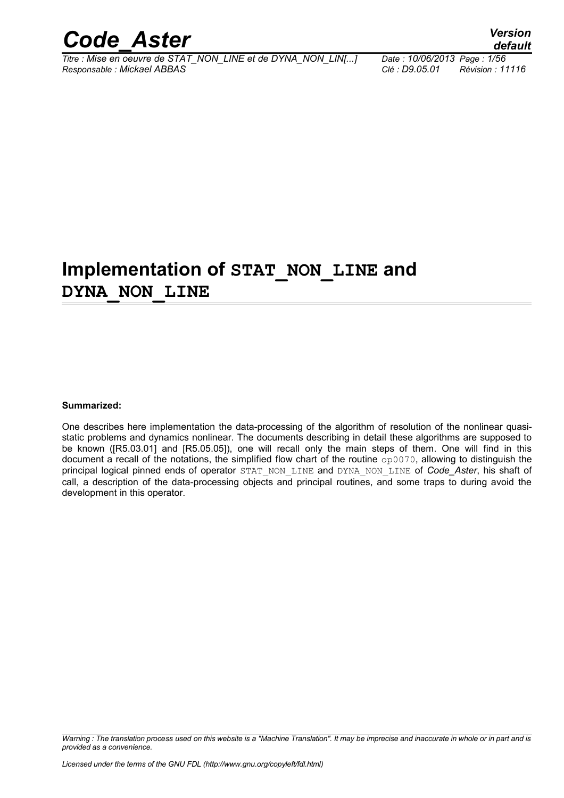

*Titre : Mise en oeuvre de STAT\_NON\_LINE et de DYNA\_NON\_LIN[...] Date : 10/06/2013 Page : 1/56 Responsable : Mickael ABBAS Clé : D9.05.01 Révision : 11116*

### **Implementation of STAT\_NON\_LINE and DYNA\_NON\_LINE**

#### **Summarized:**

One describes here implementation the data-processing of the algorithm of resolution of the nonlinear quasistatic problems and dynamics nonlinear. The documents describing in detail these algorithms are supposed to be known ([R5.03.01] and [R5.05.05]), one will recall only the main steps of them. One will find in this document a recall of the notations, the simplified flow chart of the routine op0070, allowing to distinguish the principal logical pinned ends of operator STAT\_NON\_LINE and DYNA\_NON\_LINE of *Code\_Aster*, his shaft of call, a description of the data-processing objects and principal routines, and some traps to during avoid the development in this operator.

*Warning : The translation process used on this website is a "Machine Translation". It may be imprecise and inaccurate in whole or in part and is provided as a convenience.*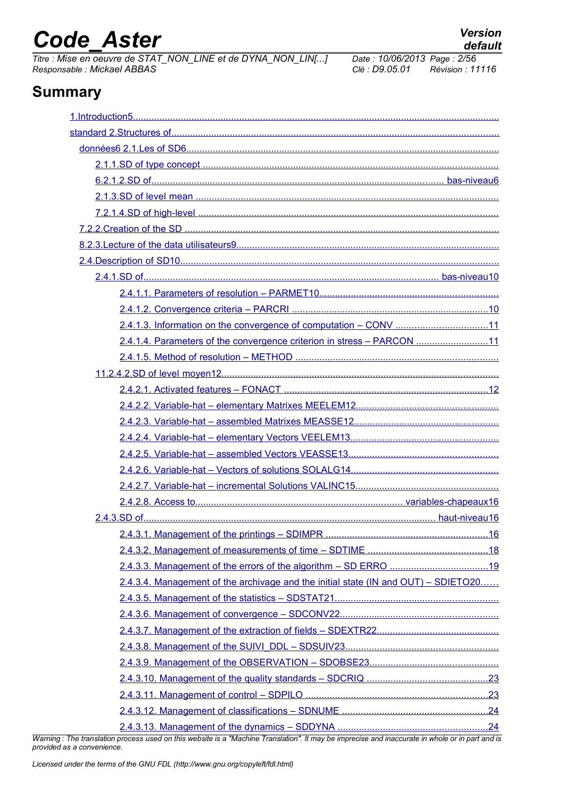# *Code\_Aster Version*<br>*Titre : Mise en oeuvre de STAT NON LINE et de DYNA NON LIN[...] Date : 10/06/2013 Page : 2/56*

*Titre : Mise en oeuvre de STAT\_NON\_LINE et de DYNA\_NON\_LIN[...] Date : 10/06/2013 Page : 2/56 Responsable : Mickael ABBAS Clé : D9.05.01 Révision : 11116*

| 2.4.1.3. Information on the convergence of computation - CONV 11                   |
|------------------------------------------------------------------------------------|
| 2.4.1.4. Parameters of the convergence criterion in stress - PARCON 11             |
|                                                                                    |
|                                                                                    |
|                                                                                    |
|                                                                                    |
|                                                                                    |
|                                                                                    |
|                                                                                    |
|                                                                                    |
|                                                                                    |
|                                                                                    |
|                                                                                    |
|                                                                                    |
|                                                                                    |
|                                                                                    |
| 2.4.3.4. Management of the archivage and the initial state (IN and OUT) - SDIETO20 |
|                                                                                    |
|                                                                                    |
|                                                                                    |
|                                                                                    |
|                                                                                    |
|                                                                                    |
|                                                                                    |
|                                                                                    |
|                                                                                    |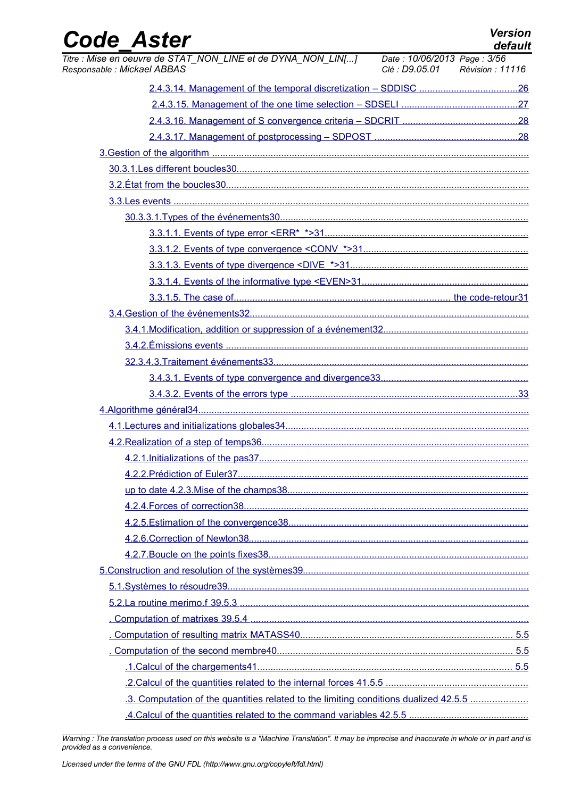| <b>Code Aster</b>                                                                           | <b>Version</b><br>default                                      |
|---------------------------------------------------------------------------------------------|----------------------------------------------------------------|
| Titre : Mise en oeuvre de STAT_NON_LINE et de DYNA_NON_LIN[]<br>Responsable : Mickael ABBAS | Date: 10/06/2013 Page: 3/56<br>Clé : D9.05.01 Révision : 11116 |
|                                                                                             |                                                                |
|                                                                                             |                                                                |
|                                                                                             |                                                                |
|                                                                                             |                                                                |
|                                                                                             |                                                                |
|                                                                                             |                                                                |
|                                                                                             |                                                                |
|                                                                                             |                                                                |
|                                                                                             |                                                                |
|                                                                                             |                                                                |
|                                                                                             |                                                                |
|                                                                                             |                                                                |
|                                                                                             |                                                                |
|                                                                                             |                                                                |
|                                                                                             |                                                                |
|                                                                                             |                                                                |
|                                                                                             |                                                                |
|                                                                                             |                                                                |
|                                                                                             |                                                                |
|                                                                                             |                                                                |
|                                                                                             |                                                                |
|                                                                                             |                                                                |
|                                                                                             |                                                                |
|                                                                                             |                                                                |
|                                                                                             |                                                                |
|                                                                                             |                                                                |
|                                                                                             |                                                                |
|                                                                                             |                                                                |
|                                                                                             |                                                                |
|                                                                                             |                                                                |
|                                                                                             |                                                                |
|                                                                                             |                                                                |
|                                                                                             |                                                                |
|                                                                                             |                                                                |
|                                                                                             |                                                                |
|                                                                                             |                                                                |
|                                                                                             |                                                                |
|                                                                                             |                                                                |
| .3. Computation of the quantities related to the limiting conditions dualized 42.5.5        |                                                                |
|                                                                                             |                                                                |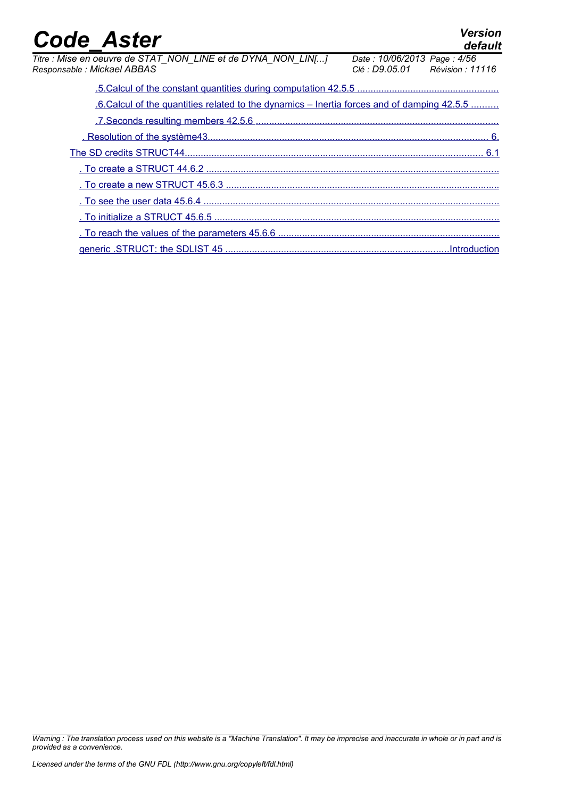| <b>Code Aster</b>                                                                           | <b>Version</b><br>default                                      |
|---------------------------------------------------------------------------------------------|----------------------------------------------------------------|
| Titre : Mise en oeuvre de STAT_NON_LINE et de DYNA_NON_LIN[]<br>Responsable : Mickael ABBAS | Date: 10/06/2013 Page: 4/56<br>Clé : D9.05.01 Révision : 11116 |
|                                                                                             |                                                                |
| .6. Calcul of the quantities related to the dynamics – lnertia forces and of damping 42.5.5 |                                                                |
|                                                                                             |                                                                |
|                                                                                             |                                                                |
|                                                                                             |                                                                |
|                                                                                             |                                                                |
|                                                                                             |                                                                |
|                                                                                             |                                                                |
|                                                                                             |                                                                |
|                                                                                             |                                                                |

 [generic .STRUCT: the SDLIST 45 .................................................................................... Introduction](#page-54-0)

*Warning : The translation process used on this website is a "Machine Translation". It may be imprecise and inaccurate in whole or in part and is provided as a convenience.*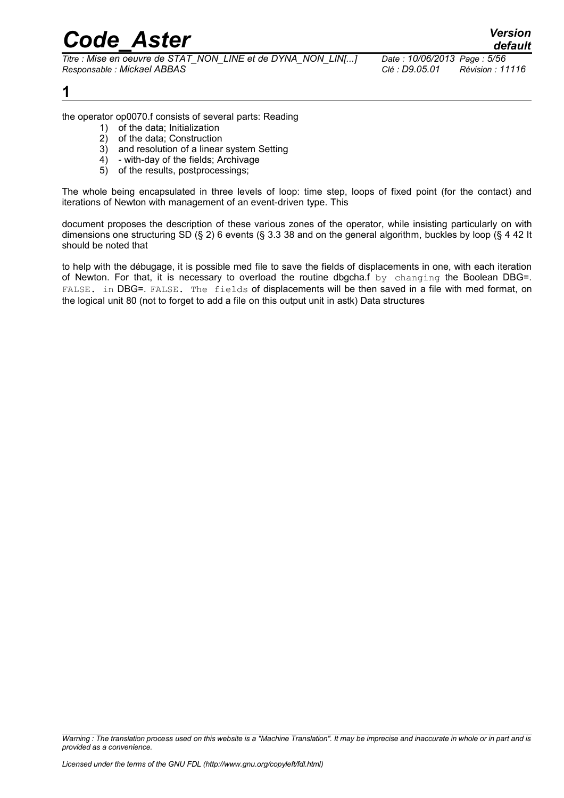*Titre : Mise en oeuvre de STAT\_NON\_LINE et de DYNA\_NON\_LIN[...] Date : 10/06/2013 Page : 5/56 Responsable : Mickael ABBAS Clé : D9.05.01 Révision : 11116*

*default*

<span id="page-4-0"></span>**1**

the operator op0070.f consists of several parts: Reading

- 1) of the data; Initialization
- 2) of the data; Construction
- 3) and resolution of a linear system Setting
- 4) with-day of the fields; Archivage
- 5) of the results, postprocessings;

The whole being encapsulated in three levels of loop: time step, loops of fixed point (for the contact) and iterations of Newton with management of an event-driven type. This

document proposes the description of these various zones of the operator, while insisting particularly on with dimensions one structuring SD (§ 2) [6](#page-5-3) events (§ 3.3 [38](#page-37-2) and on the general algorithm, buckles by loop (§ 4 [42](#page-41-1) It should be noted that

to help with the débugage, it is possible med file to save the fields of displacements in one, with each iteration of Newton. For that, it is necessary to overload the routine dbgcha.f by changing the Boolean DBG=. FALSE. in DBG=. FALSE. The fields of displacements will be then saved in a file with med format, on the logical unit 80 (not to forget to add a file on this output unit in astk) Data structures

*Warning : The translation process used on this website is a "Machine Translation". It may be imprecise and inaccurate in whole or in part and is provided as a convenience.*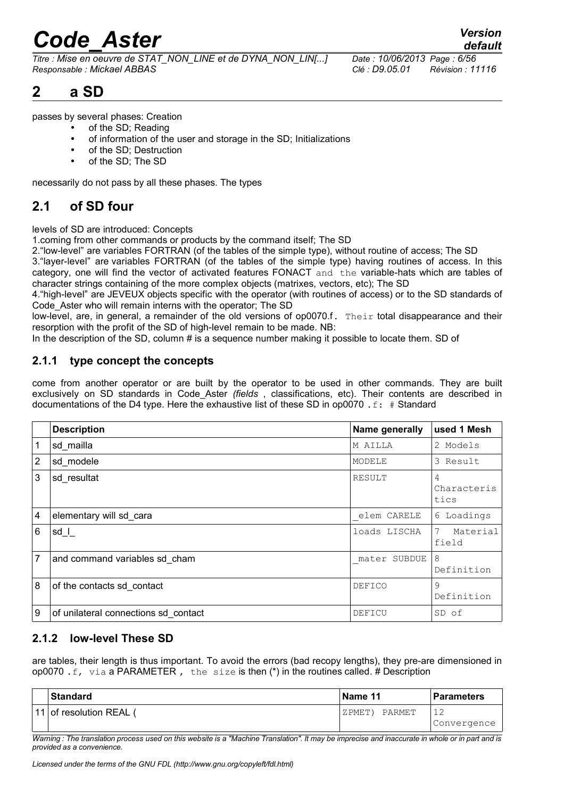*Titre : Mise en oeuvre de STAT\_NON\_LINE et de DYNA\_NON\_LIN[...] Date : 10/06/2013 Page : 6/56 Responsable : Mickael ABBAS Clé : D9.05.01 Révision : 11116*

### <span id="page-5-3"></span>**2 a SD**

passes by several phases: Creation

- of the SD: Reading
- of information of the user and storage in the SD; Initializations
- of the SD; Destruction
- of the SD; The SD

necessarily do not pass by all these phases. The types

### <span id="page-5-2"></span>**2.1 of SD four**

levels of SD are introduced: Concepts

1.coming from other commands or products by the command itself; The SD

2."low-level" are variables FORTRAN (of the tables of the simple type), without routine of access; The SD

3."layer-level" are variables FORTRAN (of the tables of the simple type) having routines of access. In this category, one will find the vector of activated features FONACT and the variable-hats which are tables of character strings containing of the more complex objects (matrixes, vectors, etc); The SD

4."high-level" are JEVEUX objects specific with the operator (with routines of access) or to the SD standards of Code Aster who will remain interns with the operator; The SD

low-level, are, in general, a remainder of the old versions of op0070.f. Their total disappearance and their resorption with the profit of the SD of high-level remain to be made. NB:

In the description of the SD, column # is a sequence number making it possible to locate them. SD of

### <span id="page-5-1"></span>**2.1.1 type concept the concepts**

come from another operator or are built by the operator to be used in other commands. They are built exclusively on SD standards in Code\_Aster *(fields* , classifications, etc). Their contents are described in documentations of the D4 type. Here the exhaustive list of these SD in op0070  $\cdot$  f: # Standard

|                | <b>Description</b>                   | Name generally | used 1 Mesh              |
|----------------|--------------------------------------|----------------|--------------------------|
|                | sd_mailla                            | M AILLA        | 2 Models                 |
| $\overline{2}$ | sd_modele                            | MODELE         | 3 Result                 |
| 3              | sd resultat                          | RESULT         | 4<br>Characteris<br>tics |
| $\overline{4}$ | elementary will sd_cara              | elem CARELE    | 6 Loadings               |
| 6              | $sd$ $\perp$                         | loads LISCHA   | 7<br>Material<br>field   |
| 7              | and command variables sd cham        | mater SUBDUE   | 8<br>Definition          |
| 8              | of the contacts sd contact           | DEFICO         | 9<br>Definition          |
| 9              | of unilateral connections sd contact | DEFICU         | SD of                    |

### <span id="page-5-0"></span>**2.1.2 low-level These SD**

are tables, their length is thus important. To avoid the errors (bad recopy lengths), they pre-are dimensioned in  $op0070$ .f, via a PARAMETER, the size is then  $(*)$  in the routines called. # Description

| <b>Standard</b>         | ⊺Name 11      | <b>Parameters</b> |
|-------------------------|---------------|-------------------|
| 11 of resolution REAL ( | ZPMET) PARMET | Convergence       |
|                         |               |                   |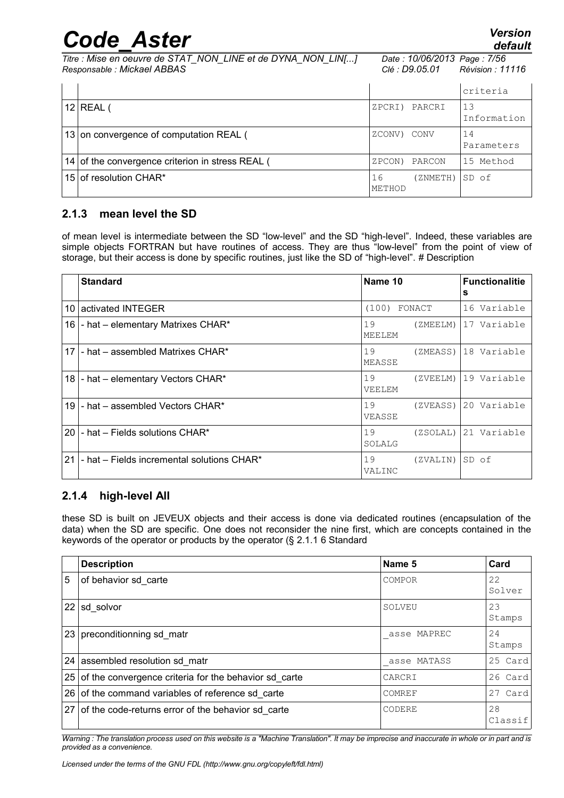| <b>Code Aster</b> | <b>Version</b> |
|-------------------|----------------|
|                   | default        |

*Titre : Mise en oeuvre de STAT\_NON\_LINE et de DYNA\_NON\_LIN[...] Date : 10/06/2013 Page : 7/56 Responsable : Mickael ABBAS Clé : D9.05.01 Révision : 11116*

|                                                  |              |               | criteria          |
|--------------------------------------------------|--------------|---------------|-------------------|
| $12$ REAL (                                      |              | ZPCRI) PARCRI | 13<br>Information |
| 13 on convergence of computation REAL (          | ZCONV) CONV  |               | 14<br>Parameters  |
| 14 of the convergence criterion in stress REAL ( |              | ZPCON) PARCON | 15 Method         |
| 15 of resolution CHAR*                           | 16<br>METHOD | (ZNMETH)      | SD of             |

### <span id="page-6-1"></span>**2.1.3 mean level the SD**

of mean level is intermediate between the SD "low-level" and the SD "high-level". Indeed, these variables are simple objects FORTRAN but have routines of access. They are thus "low-level" from the point of view of storage, but their access is done by specific routines, just like the SD of "high-level". # Description

|    | <b>Standard</b>                            | Name 10      |          | s     | <b>Functionalitie</b> |
|----|--------------------------------------------|--------------|----------|-------|-----------------------|
|    | 10 activated INTEGER                       | (100) FONACT |          |       | 16 Variable           |
| 16 | - hat - elementary Matrixes CHAR*          | 19<br>MEELEM | (ZMEELM) |       | 17 Variable           |
| 17 | - hat - assembled Matrixes CHAR*           | 19<br>MEASSE | (ZMEASS) |       | 18 Variable           |
|    | 18 - hat - elementary Vectors CHAR*        | 19<br>VEELEM | (ZVEELM) |       | 19 Variable           |
| 19 | I-hat – assembled Vectors CHAR*            | 19<br>VEASSE | (ZVEASS) |       | 20 Variable           |
| 20 | - hat - Fields solutions CHAR*             | 19<br>SOLALG | (ZSOLAL) |       | 21 Variable           |
| 21 | - hat - Fields incremental solutions CHAR* | 19<br>VALINC | (ZVALIN) | SD of |                       |

### <span id="page-6-0"></span>**2.1.4 high-level All**

these SD is built on JEVEUX objects and their access is done via dedicated routines (encapsulation of the data) when the SD are specific. One does not reconsider the nine first, which are concepts contained in the keywords of the operator or products by the operator (§ 2.1.1 [6](#page-5-1) Standard

|                 | <b>Description</b>                                       | Name 5        | Card          |
|-----------------|----------------------------------------------------------|---------------|---------------|
| 5               | of behavior sd carte                                     | COMPOR        | 22<br>Solver  |
| 22 <sub>2</sub> | sd solvor                                                | SOLVEU        | 23<br>Stamps  |
| 23              | preconditionning sd matr                                 | asse MAPREC   | 24<br>Stamps  |
|                 | 24 assembled resolution sd_matr                          | asse MATASS   | 25 Card       |
|                 | 25 of the convergence criteria for the behavior sd_carte | CARCRI        | 26 Card       |
|                 | 26 of the command variables of reference sd_carte        | <b>COMREF</b> | 27 Card       |
| 27 <sub>1</sub> | of the code-returns error of the behavior sd carte       | CODERE        | 28<br>Classif |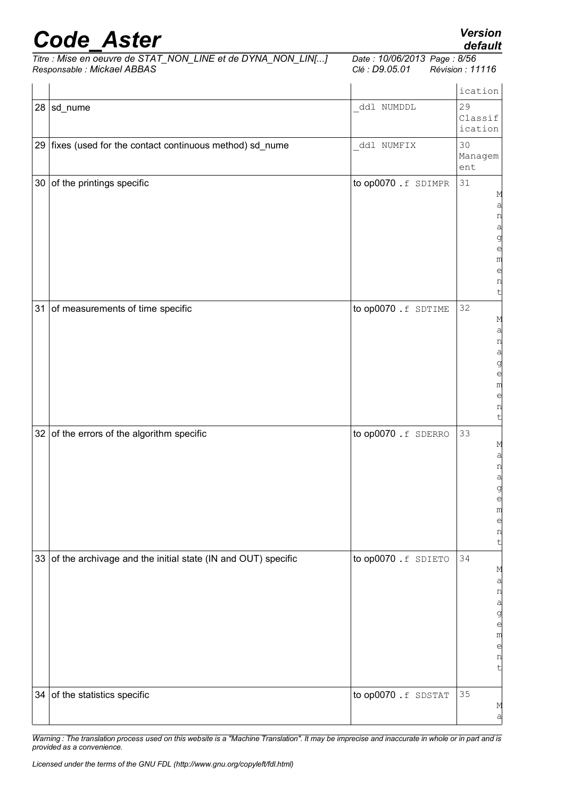*default*

| Titre : Mise en oeuvre de STAT_NON_LINE et de DYNA_NON_LIN[]<br>Responsable : Mickael ABBAS | Date: 10/06/2013 Page: 8/56<br>Clé : D9.05.01 | Révision: 11116                                                                                                                                             |
|---------------------------------------------------------------------------------------------|-----------------------------------------------|-------------------------------------------------------------------------------------------------------------------------------------------------------------|
|                                                                                             |                                               | ication                                                                                                                                                     |
| 28 sd_nume                                                                                  | ddl NUMDDL                                    | 29<br>Classif<br>ication                                                                                                                                    |
| 29 fixes (used for the contact continuous method) sd_nume                                   | ddl NUMFIX                                    | 30<br>Managem<br>ent                                                                                                                                        |
| 30 of the printings specific                                                                | to op0070 .f SDIMPR                           | 31<br>M<br>$\begin{array}{ccc} 0 & \omega & \omega & \omega \\ 0 & \omega & \omega & \omega \end{array}$<br>m<br>$\epsilon$<br>$\mathsf{n}$<br>$\mathsf{t}$ |
| 31 of measurements of time specific                                                         | to op0070 .f SDTIME                           | 32<br>$\mathbb N$<br>a<br>a<br>g<br>a<br>g<br>m<br>$\in$<br>$\mathsf{n}$<br>$\mathsf{t}$                                                                    |
| 32 of the errors of the algorithm specific                                                  | to op0070 .f SDERRO                           | 33<br>$\mathbb N$<br>$\frac{a}{n}$<br>a<br>$\mathcal{G}$<br>$\in$<br>m<br>$\in$<br>n<br>t                                                                   |
| 33 of the archivage and the initial state (IN and OUT) specific                             | to op0070 .f SDIETO                           | 34<br>M<br>$\alpha$<br>$\frac{a}{b}$ a $\frac{b}{c}$<br>m<br>$\epsilon$<br>$\mathsf{n}$<br>$\mathsf{t}$                                                     |
| 34 of the statistics specific                                                               | to op0070 .f SDSTAT                           | 35<br>M,<br>a                                                                                                                                               |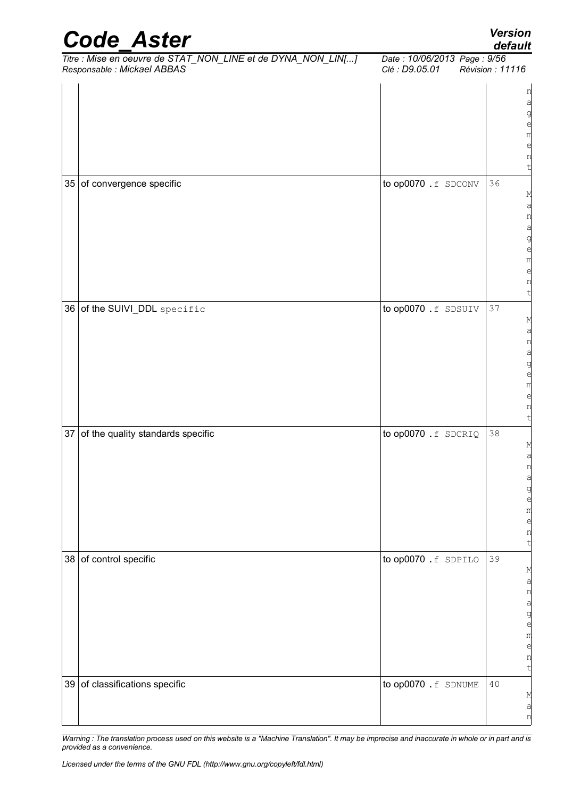| <b>Code Aster</b>                                                                           |                                               | <b>Version</b><br>default                                   |
|---------------------------------------------------------------------------------------------|-----------------------------------------------|-------------------------------------------------------------|
| Titre : Mise en oeuvre de STAT_NON_LINE et de DYNA_NON_LIN[]<br>Responsable : Mickael ABBAS | Date: 10/06/2013 Page: 9/56<br>Clé : D9.05.01 | Révision: 11116                                             |
|                                                                                             |                                               | η<br>ą<br>đ<br>e<br>m<br>е<br>n<br>t                        |
| 35 of convergence specific                                                                  | to op0070 .f SDCONV                           | 36<br>М<br>a<br>n<br>ą<br>g<br>e<br>m<br>e<br>n<br>t        |
| 36 of the SUIVI_DDL specific                                                                | to op0070 .f SDSUIV                           | 37<br>Μ<br>a<br>n<br>ą<br>đ<br>e<br>m<br>е<br>n<br>t        |
| $37$ of the quality standards specific                                                      | to op0070 .f SDCRIQ                           | $38\,$<br>M<br>ŋ<br>ą<br>đ<br>e<br>m<br>е<br>ŋ<br>t         |
| $38$ of control specific                                                                    | to op0070 .f SDPILO                           | 39<br>Μ<br>ą<br>n<br>ᅨ<br>$\frac{9}{4}$<br>m<br>е<br>ŋ<br>t |
| 39 of classifications specific                                                              | to op0070 .f SDNUME                           | 40<br>M<br>ą<br>ŋ                                           |

*Warning : The translation process used on this website is a "Machine Translation". It may be imprecise and inaccurate in whole or in part and is provided as a convenience.*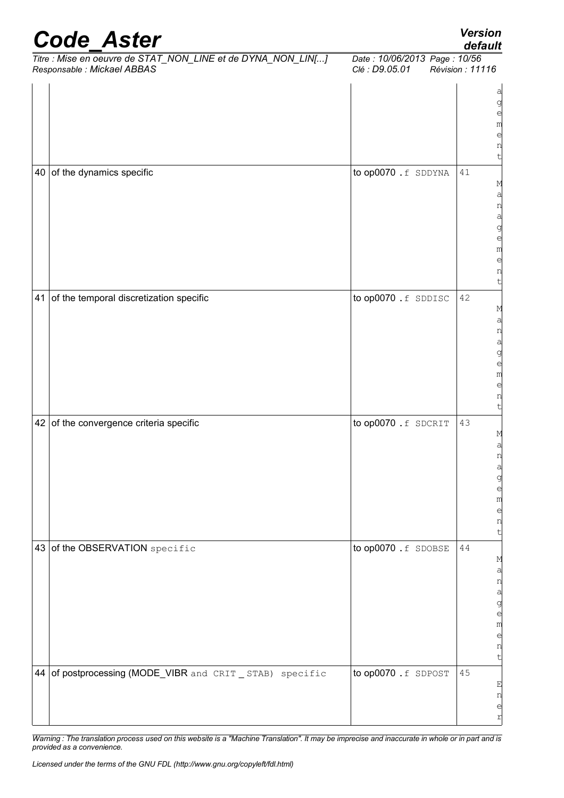| <b>Code Aster</b>                                                                           | <b>Version</b><br>default                                                          |
|---------------------------------------------------------------------------------------------|------------------------------------------------------------------------------------|
| Titre : Mise en oeuvre de STAT_NON_LINE et de DYNA_NON_LIN[]<br>Responsable : Mickael ABBAS | Date: 10/06/2013 Page: 10/56<br>Clé : D9.05.01<br>Révision: 11116                  |
|                                                                                             | а<br>g<br>e<br>m<br>$\in$<br>n                                                     |
| 40 of the dynamics specific                                                                 | t<br>41<br>to op0070 .f SDDYNA<br>Μ<br>а<br>n<br>a<br>$\frac{0}{2}$<br>m           |
| of the temporal discretization specific<br>41                                               | $\in$<br>n<br>t<br>42<br>to op0070 .f SDDISC<br>Μ<br>а                             |
|                                                                                             | n<br>a<br>$\frac{0}{2}$<br>m<br>$\triangleleft$<br>n<br>t                          |
| $42$ of the convergence criteria specific                                                   | 43<br>to op0070 .f SDCRIT<br>Μ<br>a<br>a<br>g<br>e<br>m<br>е<br>n<br>t             |
| 43 of the OBSERVATION specific                                                              | 44<br>to op0070 .f SDOBSE<br>Μ<br>а<br>n<br>а<br>g<br>$\infty$<br>m<br>е<br>n<br>t |
| 44 of postprocessing (MODE_VIBR and CRIT _ STAB) specific                                   | to op0070 .f SDPOST<br>45<br>Е<br>n<br>e<br>r                                      |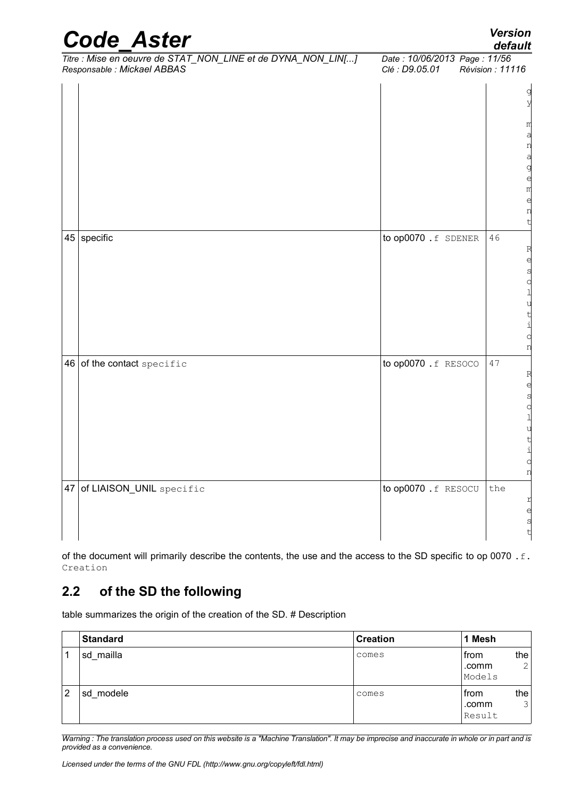|                                                                                             | <b>Code Aster</b>           |                                                | <b>Version</b><br>default                       |
|---------------------------------------------------------------------------------------------|-----------------------------|------------------------------------------------|-------------------------------------------------|
| Titre : Mise en oeuvre de STAT_NON_LINE et de DYNA_NON_LIN[]<br>Responsable : Mickael ABBAS |                             | Date: 10/06/2013 Page: 11/56<br>Clé : D9.05.01 | Révision: 11116                                 |
|                                                                                             |                             |                                                | đ<br>И                                          |
|                                                                                             |                             |                                                | m<br>a<br>η<br>ą<br>$\frac{9}{4}$               |
|                                                                                             |                             |                                                | m<br>е<br>n<br>t                                |
|                                                                                             | $45$ specific               | to op0070 .f SDENER                            | 46<br>R<br>e<br>s<br>q<br>ч<br>t<br>i<br>d<br>n |
|                                                                                             | 46 of the contact specific  | to op0070 .f RESOCO                            | 47<br>R<br>e<br>s<br>q<br>ч<br>비<br>d<br>n      |
|                                                                                             | 47 of LIAISON_UNIL specific | to op0070 .f RESOCU                            | the<br>끠<br>۹<br>$\mathbf{S}$<br>t              |

of the document will primarily describe the contents, the use and the access to the SD specific to op 0070 . f. Creation

### <span id="page-10-0"></span>**2.2 of the SD the following**

table summarizes the origin of the creation of the SD. # Description

|   | <b>Standard</b> | <b>Creation</b> | 1 Mesh                  |          |
|---|-----------------|-----------------|-------------------------|----------|
|   | sd mailla       | comes           | from<br>.comm<br>Models | the<br>2 |
| 2 | sd modele       | comes           | from<br>.comm<br>Result | the<br>3 |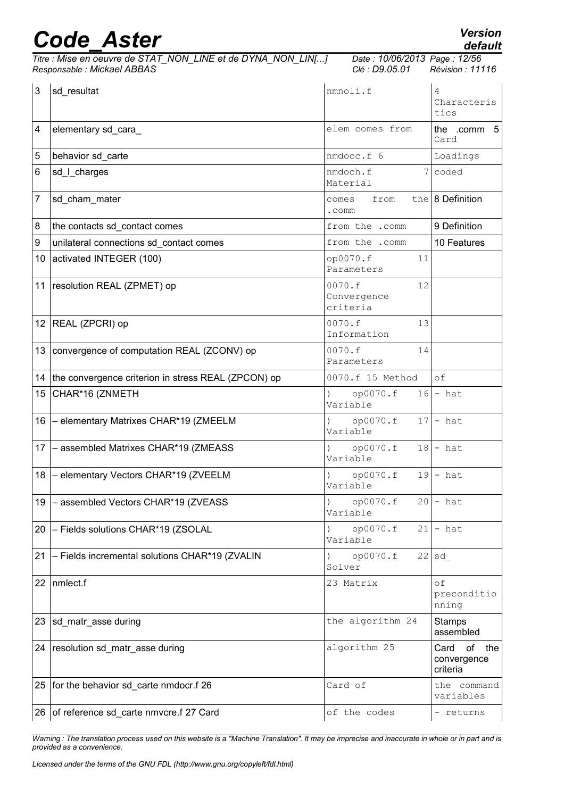# *Code\_Aster Version*<br>*Titre : Mise en oeuvre de STAT NON LINE et de DYNA NON LIN[...] Date : 10/06/2013 Page : 12/56*

*default*

*Titre : Mise en oeuvre de STAT\_NON\_LINE et de DYNA\_NON\_LIN[...] Date : 10/06/2013 Page : 12/56 Responsable : Mickael ABBAS Clé : D9.05.01 Révision : 11116*

| 3                | sd resultat                                         | nmnoli.f                                | 4<br>Characteris<br>tics                     |
|------------------|-----------------------------------------------------|-----------------------------------------|----------------------------------------------|
| $\overline{4}$   | elementary sd_cara_                                 | elem comes from                         | the .comm 5<br>Card                          |
| 5                | behavior sd carte                                   | nmdocc.f 6                              | Loadings                                     |
| 6                | sd I charges                                        | nmdoch.f<br>$7\phantom{.0}$<br>Material | coded                                        |
| $\overline{7}$   | sd_cham_mater                                       | from<br>comes<br>.comm                  | the 8 Definition                             |
| 8                | the contacts sd_contact comes                       | from the .comm                          | 9 Definition                                 |
| $\boldsymbol{9}$ | unilateral connections sd contact comes             | from the .comm                          | 10 Features                                  |
| 10               | activated INTEGER (100)                             | 11<br>op0070.f<br>Parameters            |                                              |
|                  | 11   resolution REAL (ZPMET) op                     | 0070.f<br>12<br>Convergence<br>criteria |                                              |
|                  | 12   REAL (ZPCRI) op                                | 0070.f<br>13<br>Information             |                                              |
| 13               | convergence of computation REAL (ZCONV) op          | 0070.f<br>14<br>Parameters              |                                              |
| 14               | the convergence criterion in stress REAL (ZPCON) op | 0070.f 15 Method                        | of                                           |
| 15               | CHAR*16 (ZNMETH                                     | op0070.f<br>Variable                    | $16$ - hat                                   |
| 16               | - elementary Matrixes CHAR*19 (ZMEELM               | op0070.f<br>17<br>Variable              | - hat                                        |
| 17               | - assembled Matrixes CHAR*19 (ZMEASS                | op0070.f<br>18<br>Variable              | - hat                                        |
| 18               | - elementary Vectors CHAR*19 (ZVEELM                | op0070.f<br>19<br>Variable              | - hat                                        |
|                  | 19 - assembled Vectors CHAR*19 (ZVEASS              | op0070.f<br>Variable                    | $20$ - hat                                   |
|                  | 20 - Fields solutions CHAR*19 (ZSOLAL               | op0070.f<br>21<br>Variable              | - hat                                        |
| 21               | - Fields incremental solutions CHAR*19 (ZVALIN      | op0070.f<br>Solver                      | $22$ sd                                      |
| 22               | nmlect.f                                            | 23 Matrix                               | of<br>preconditio<br>nning                   |
| 23               | sd_matr_asse during                                 | the algorithm 24                        | <b>Stamps</b><br>assembled                   |
| 24               | resolution sd_matr_asse during                      | algorithm 25                            | of<br>Card<br>the<br>convergence<br>criteria |
| 25               | for the behavior sd_carte nmdocr.f 26               | Card of                                 | the command<br>variables                     |
|                  | 26 of reference sd_carte nmvcre.f 27 Card           | of the codes                            | - returns                                    |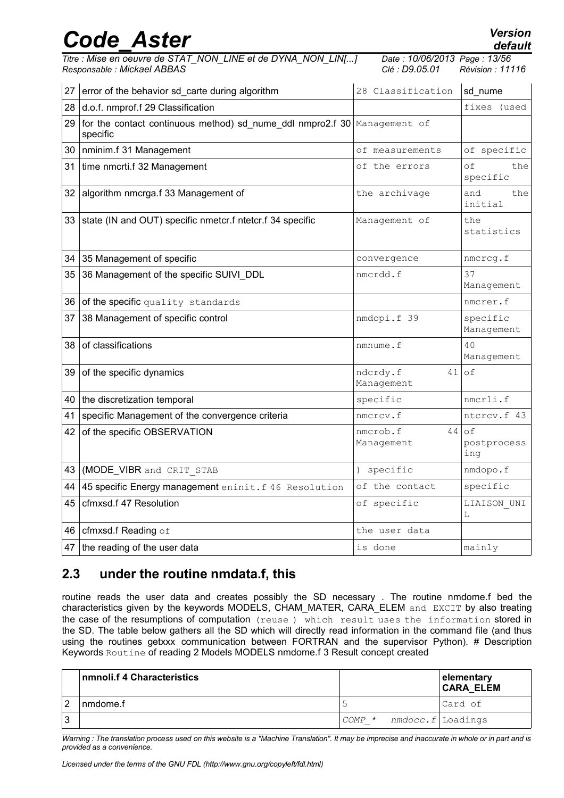*Titre : Mise en oeuvre de STAT\_NON\_LINE et de DYNA\_NON\_LIN[...] Date : 10/06/2013 Page : 13/56 Responsable : Mickael ABBAS Clé : D9.05.01 Révision : 11116*

| 27              | error of the behavior sd_carte during algorithm                                      | 28 Classification            | sd nume                  |
|-----------------|--------------------------------------------------------------------------------------|------------------------------|--------------------------|
|                 | 28 d.o.f. nmprof.f 29 Classification                                                 |                              | fixes (used              |
| 29 <sub>1</sub> | for the contact continuous method) sd_nume_ddl nmpro2.f 30 Management of<br>specific |                              |                          |
| 30              | nminim.f 31 Management                                                               | of measurements              | of specific              |
|                 | 31 time nmcrti.f 32 Management                                                       | of the errors                | оf<br>the<br>specific    |
| 32              | algorithm nmcrga.f 33 Management of                                                  | the archivage                | and<br>the<br>initial    |
| 33              | state (IN and OUT) specific nmetcr.f ntetcr.f 34 specific                            | Management of                | the<br>statistics        |
| 34              | 35 Management of specific                                                            | convergence                  | nmcrcg.f                 |
| 35              | 36 Management of the specific SUIVI DDL                                              | nmcrdd.f                     | 37<br>Management         |
| 36              | of the specific quality standards                                                    |                              | nmcrer.f                 |
| 37              | 38 Management of specific control                                                    | nmdopi.f 39                  | specific<br>Management   |
| 38              | of classifications                                                                   | nmnume.f                     | 40<br>Management         |
| 39              | of the specific dynamics                                                             | 41<br>ndcrdy.f<br>Management | of                       |
| 40              | the discretization temporal                                                          | specific                     | nmcrli.f                 |
| 41              | specific Management of the convergence criteria                                      | nmcrcv.f                     | ntcrcv.f 43              |
| 42              | of the specific OBSERVATION                                                          | 44<br>nmcrob.f<br>Management | οf<br>postprocess<br>ing |
| 43              | (MODE VIBR and CRIT STAB                                                             | ) specific                   | nmdopo.f                 |
| 44              | 45 specific Energy management eninit.f 46 Resolution                                 | of the contact               | specific                 |
| 45              | cfmxsd.f 47 Resolution                                                               | of specific                  | LIAISON UNI<br>L         |
|                 | 46   cfmxsd.f Reading $\circ$ f                                                      | the user data                |                          |
| 47              | the reading of the user data                                                         | is done                      | mainly                   |

### <span id="page-12-0"></span>**2.3 under the routine nmdata.f, this**

routine reads the user data and creates possibly the SD necessary . The routine nmdome.f bed the characteristics given by the keywords MODELS, CHAM\_MATER, CARA\_ELEM and EXCIT by also treating the case of the resumptions of computation (reuse ) which result uses the information stored in the SD. The table below gathers all the SD which will directly read information in the command file (and thus using the routines getxxx communication between FORTRAN and the supervisor Python). # Description Keywords Routine of reading 2 Models MODELS nmdome.f 3 Result concept created

|   | nmnoli.f 4 Characteristics |                             | ∣elementary<br><b>CARA ELEM</b> |
|---|----------------------------|-----------------------------|---------------------------------|
|   | nmdome.f                   |                             | Card of                         |
| 3 |                            | $COMP * mmdocc.f $ Loadings |                                 |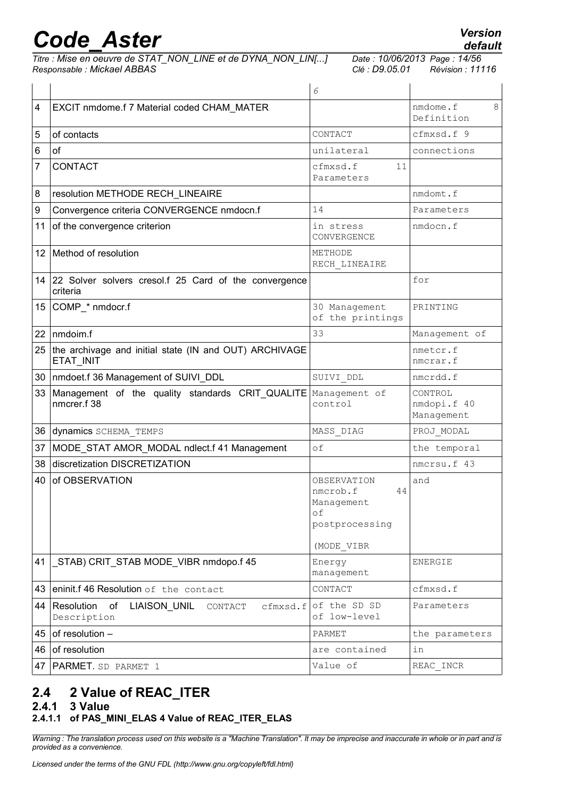*Titre : Mise en oeuvre de STAT\_NON\_LINE et de DYNA\_NON\_LIN[...] Date : 10/06/2013 Date : 10/06 Page : <sup>1</sup>0/66 Page : 10/06 Page : 10/06 Page : 10/56 Page : 10/56 Page : 14/56 Page : 14/56 Page : 14/56 Responsable : Mickael ABBAS Clé : D9.05.01 Révision : 11116*

|                 |                                                                        | 6                                                                                 |                                      |
|-----------------|------------------------------------------------------------------------|-----------------------------------------------------------------------------------|--------------------------------------|
| 4               | EXCIT nmdome.f 7 Material coded CHAM_MATER                             |                                                                                   | nmdome.f<br>8<br>Definition          |
| 5               | of contacts                                                            | CONTACT                                                                           | cfmxsd.f 9                           |
| 6               | οf                                                                     | unilateral                                                                        | connections                          |
| 7               | CONTACT                                                                | cfmxsd.f<br>11<br>Parameters                                                      |                                      |
| 8               | resolution METHODE RECH_LINEAIRE                                       |                                                                                   | nmdomt.f                             |
| 9               | Convergence criteria CONVERGENCE nmdocn.f                              | 14                                                                                | Parameters                           |
| 11              | of the convergence criterion                                           | in stress<br>CONVERGENCE                                                          | nmdocn.f                             |
| 12 <sup>1</sup> | Method of resolution                                                   | METHODE<br>RECH LINEAIRE                                                          |                                      |
|                 | 14 22 Solver solvers cresol.f 25 Card of the convergence<br>criteria   |                                                                                   | for                                  |
| 15 <sup>1</sup> | COMP_* nmdocr.f                                                        | 30 Management<br>of the printings                                                 | PRINTING                             |
|                 | 22   $nmdoim.f$                                                        | 33                                                                                | Management of                        |
| 25              | the archivage and initial state (IN and OUT) ARCHIVAGE<br>ETAT INIT    |                                                                                   | nmetcr.f<br>nmcrar.f                 |
|                 | 30   nmdoet.f 36 Management of SUIVI_DDL                               | SUIVI DDL                                                                         | nmcrdd.f                             |
| 33              | Management of the quality standards CRIT_QUALITE<br>nmcrer.f 38        | Management of<br>control                                                          | CONTROL<br>nmdopi.f 40<br>Management |
|                 | 36 dynamics SCHEMA TEMPS                                               | MASS DIAG                                                                         | PROJ MODAL                           |
| 37              | MODE STAT AMOR MODAL ndlect.f 41 Management                            | оf                                                                                | the temporal                         |
| 38              | discretization DISCRETIZATION                                          |                                                                                   | nmcrsu.f 43                          |
| 40              | of OBSERVATION                                                         | OBSERVATION<br>nmcrob.f<br>44<br>Management<br>οf<br>postprocessing<br>(MODE VIBR | and                                  |
| 41              | _STAB) CRIT_STAB MODE_VIBR nmdopo.f 45                                 | Energy<br>management                                                              | <b>ENERGIE</b>                       |
| 43              | eninit.f 46 Resolution of the contact                                  | CONTACT                                                                           | cfmxsd.f                             |
| 44              | Resolution<br>of<br>LIAISON_UNIL<br>CONTACT<br>cfmxsd.f<br>Description | of the SD SD<br>of low-level                                                      | Parameters                           |
| 45              | of resolution -                                                        | PARMET                                                                            | the parameters                       |
| 46              | of resolution                                                          | are contained                                                                     | in                                   |
| 47              | PARMET. SD PARMET 1                                                    | Value of                                                                          | REAC INCR                            |

### <span id="page-13-2"></span>**2.4 2 Value of REAC\_ITER**

#### <span id="page-13-1"></span>**2.4.1 3 Value**

### <span id="page-13-0"></span>**2.4.1.1 of PAS\_MINI\_ELAS 4 Value of REAC\_ITER\_ELAS**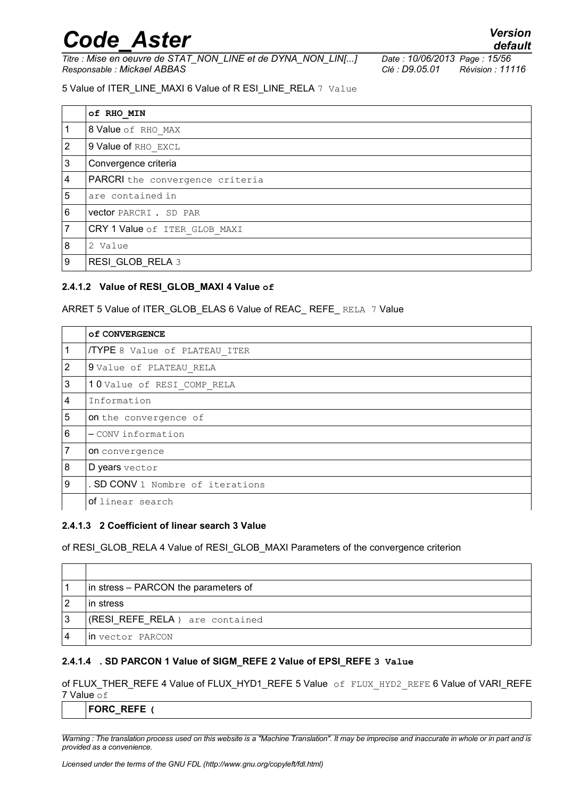*Titre : Mise en oeuvre de STAT\_NON\_LINE et de DYNA\_NON\_LIN[...] Date : 10/06/2013 Page : 15/56 Responsable : Mickael ABBAS Clé : D9.05.01 Révision : 11116*

5 Value of ITER\_LINE\_MAXI 6 Value of R ESI\_LINE\_RELA 7 Value

|                | of RHO MIN                      |
|----------------|---------------------------------|
|                | 8 Value of RHO MAX              |
| 2              | 9 Value of RHO EXCL             |
| 3              | Convergence criteria            |
| 4              | PARCRI the convergence criteria |
| 5              | are contained in                |
| 6              | <b>vector</b> PARCRI . SD PAR   |
| $\overline{7}$ | CRY 1 Value of ITER GLOB MAXI   |
| 8              | 2 Value                         |
| 9              | RESI GLOB RELA 3                |

#### <span id="page-14-2"></span>**2.4.1.2 Value of RESI\_GLOB\_MAXI 4 Value of**

ARRET 5 Value of ITER\_GLOB\_ELAS 6 Value of REAC\_ REFE\_ RELA 7 Value

|                | of CONVERGENCE                       |
|----------------|--------------------------------------|
| 1              | <b>/TYPE</b> 8 Value of PLATEAU ITER |
| $\overline{2}$ | 9 Value of PLATEAU RELA              |
| 3              | 10 Value of RESI COMP RELA           |
| 4              | Information                          |
| 5              | on the convergence of                |
| 6              | - CONV information                   |
| 7              | <b>on</b> convergence                |
| 8              | D years vector                       |
| 9              | . SD CONV 1 Nombre of iterations     |
|                | of linear search                     |

#### <span id="page-14-1"></span>**2.4.1.3 2 Coefficient of linear search 3 Value**

of RESI\_GLOB\_RELA 4 Value of RESI\_GLOB\_MAXI Parameters of the convergence criterion

| in stress – PARCON the parameters of |
|--------------------------------------|
| in stress                            |
| (RESI REFE_RELA) are contained       |
| in vector PARCON                     |

#### <span id="page-14-0"></span>**2.4.1.4 . SD PARCON 1 Value of SIGM\_REFE 2 Value of EPSI\_REFE 3 Value**

of FLUX\_THER\_REFE 4 Value of FLUX\_HYD1\_REFE 5 Value of FLUX\_HYD2\_REFE 6 Value of VARI\_REFE 7 Value of

|  |  | <b>FORC REFE</b> |  |
|--|--|------------------|--|
|--|--|------------------|--|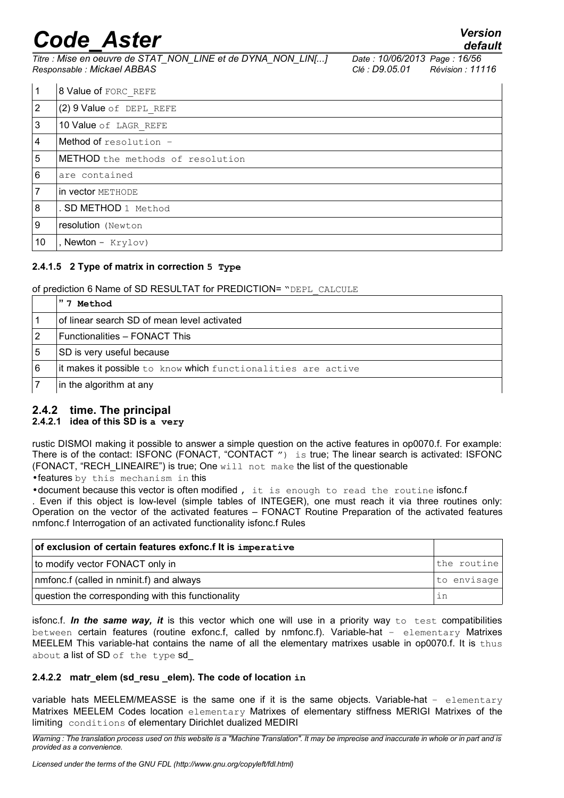*Titre : Mise en oeuvre de STAT\_NON\_LINE et de DYNA\_NON\_LIN[...] Date : 10/06/2013 Page : 16/56 Responsable : Mickael ABBAS Clé : D9.05.01 Révision : 11116*

| $\mathbf 1$    | 8 Value of FORC REFE             |
|----------------|----------------------------------|
| $\overline{2}$ | (2) 9 Value of DEPL REFE         |
| 3              | 10 Value of LAGR REFE            |
| $\overline{4}$ | Method of resolution -           |
| 5              | METHOD the methods of resolution |
| 6              | are contained                    |
| 7              | <b>in vector METHODE</b>         |
| 8              | . SD METHOD 1 Method             |
| 9              | resolution (Newton               |
| 10             | , Newton - $Krylov$ )            |

### <span id="page-15-3"></span>**2.4.1.5 2 Type of matrix in correction 5 Type**

#### of prediction 6 Name of SD RESULTAT for PREDICTION= "DEPL\_CALCULE

|   | "<br>Method                                                   |
|---|---------------------------------------------------------------|
|   | of linear search SD of mean level activated                   |
|   | Functionalities - FONACT This                                 |
|   | SD is very useful because                                     |
| 6 | it makes it possible to know which functionalities are active |
|   | in the algorithm at any                                       |

### <span id="page-15-2"></span>**2.4.2 time. The principal**

#### <span id="page-15-1"></span>**2.4.2.1 idea of this SD is a very**

rustic DISMOI making it possible to answer a simple question on the active features in op0070.f. For example: There is of the contact: ISFONC (FONACT, "CONTACT ") is true; The linear search is activated: ISFONC (FONACT, "RECH\_LINEAIRE") is true; One  $with$   $\alpha$  make the list of the questionable

•features by this mechanism in this

•document because this vector is often modified , it is enough to read the routine isfonc.f

. Even if this object is low-level (simple tables of INTEGER), one must reach it via three routines only: Operation on the vector of the activated features – FONACT Routine Preparation of the activated features nmfonc.f Interrogation of an activated functionality isfonc.f Rules

| of exclusion of certain features exfonc.f It is imperative |             |
|------------------------------------------------------------|-------------|
| to modify vector FONACT only in                            | the routine |
| Inmfonc.f (called in nminit.f) and always                  | to envisage |
| question the corresponding with this functionality         |             |

isfonc.f. *In the same way, it* is this vector which one will use in a priority way to test compatibilities between certain features (routine exfonc.f, called by nmfonc.f). Variable-hat - elementary Matrixes MEELEM This variable-hat contains the name of all the elementary matrixes usable in op0070.f. It is thus about **a list of SD** of the type sd\_

#### <span id="page-15-0"></span>**2.4.2.2 matr\_elem (sd\_resu \_elem). The code of location in**

variable hats MEELEM/MEASSE is the same one if it is the same objects. Variable-hat - elementary Matrixes MEELEM Codes location elementary Matrixes of elementary stiffness MERIGI Matrixes of the limiting conditions of elementary Dirichlet dualized MEDIRI

*Warning : The translation process used on this website is a "Machine Translation". It may be imprecise and inaccurate in whole or in part and is provided as a convenience.*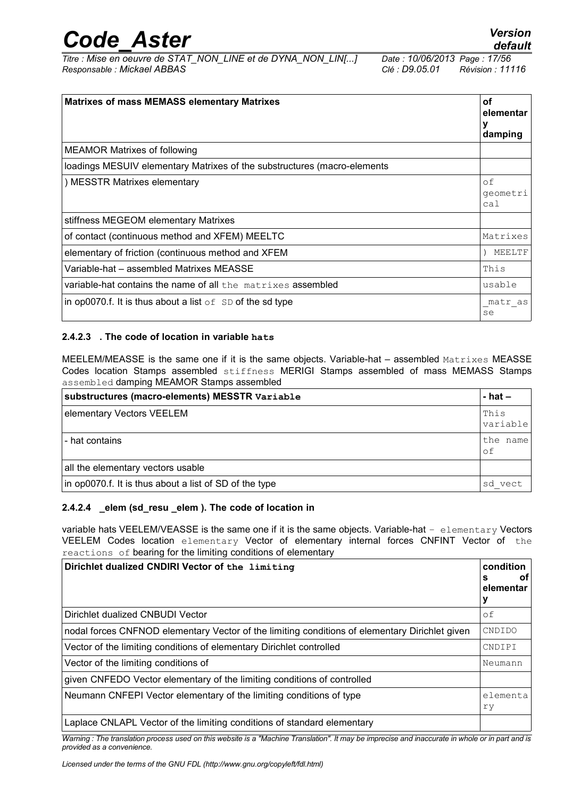*Titre : Mise en oeuvre de STAT\_NON\_LINE et de DYNA\_NON\_LIN[...] Date : 10/06/2013 Page : 17/56 Responsable : Mickael ABBAS Clé : D9.05.01 Révision : 11116*

| <b>Matrixes of mass MEMASS elementary Matrixes</b>                       | <b>of</b><br>elementar<br>damping |
|--------------------------------------------------------------------------|-----------------------------------|
| <b>MEAMOR Matrixes of following</b>                                      |                                   |
| loadings MESUIV elementary Matrixes of the substructures (macro-elements |                                   |
| ) MESSTR Matrixes elementary                                             | of<br>qeometri<br>ca1             |
| stiffness MEGEOM elementary Matrixes                                     |                                   |
| of contact (continuous method and XFEM) MEELTC                           | Matrixes                          |
| elementary of friction (continuous method and XFEM                       | MEELTF                            |
| Variable-hat - assembled Matrixes MEASSE                                 | This                              |
| variable-hat contains the name of all the matrixes assembled             | usable                            |
| in op0070.f. It is thus about a list $\circ$ f sp of the sd type         | matr as<br>se                     |

### <span id="page-16-1"></span>**2.4.2.3 . The code of location in variable hats**

MEELEM/MEASSE is the same one if it is the same objects. Variable-hat - assembled Matrixes MEASSE Codes location Stamps assembled stiffness MERIGI Stamps assembled of mass MEMASS Stamps assembled damping MEAMOR Stamps assembled

| substructures (macro-elements) MESSTR Variable         | $-$ hat $-$      |
|--------------------------------------------------------|------------------|
| elementary Vectors VEELEM                              | This<br>variable |
| - hat contains                                         | the name!<br>οf  |
| all the elementary vectors usable                      |                  |
| in op0070.f. It is thus about a list of SD of the type | sd vect          |

### <span id="page-16-0"></span>**2.4.2.4 \_elem (sd\_resu \_elem ). The code of location in**

variable hats VEELEM/VEASSE is the same one if it is the same objects. Variable-hat - elementary Vectors VEELEM Codes location elementary Vector of elementary internal forces CNFINT Vector of the reactions of bearing for the limiting conditions of elementary

| Dirichlet dualized CNDIRI Vector of the limiting                                               | condition<br>οt<br>s<br>elementar |
|------------------------------------------------------------------------------------------------|-----------------------------------|
| Dirichlet dualized CNBUDI Vector                                                               | οf                                |
| nodal forces CNFNOD elementary Vector of the limiting conditions of elementary Dirichlet given | CNDIDO                            |
| Vector of the limiting conditions of elementary Dirichlet controlled                           | CNDIPI                            |
| Vector of the limiting conditions of                                                           | Neumann                           |
| given CNFEDO Vector elementary of the limiting conditions of controlled                        |                                   |
| Neumann CNFEPI Vector elementary of the limiting conditions of type                            | elementa<br>ry                    |
| Laplace CNLAPL Vector of the limiting conditions of standard elementary                        |                                   |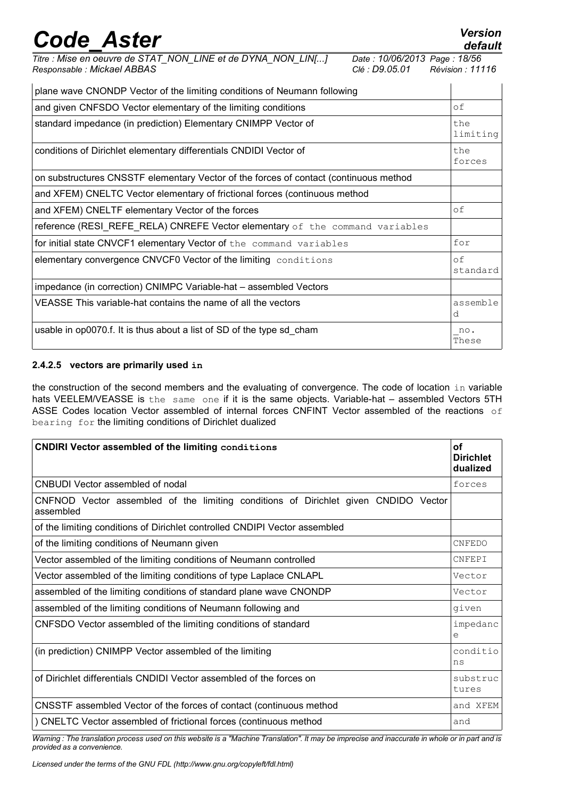*Titre : Mise en oeuvre de STAT\_NON\_LINE et de DYNA\_NON\_LIN[...] Date : 10/06/2013 Page : 18/56 Responsable : Mickael ABBAS Clé : D9.05.01 Révision : 11116*

*default*

| plane wave CNONDP Vector of the limiting conditions of Neumann following              |                 |
|---------------------------------------------------------------------------------------|-----------------|
| and given CNFSDO Vector elementary of the limiting conditions                         | οf              |
| standard impedance (in prediction) Elementary CNIMPP Vector of                        | the<br>limiting |
| conditions of Dirichlet elementary differentials CNDIDI Vector of                     | the<br>forces   |
| on substructures CNSSTF elementary Vector of the forces of contact (continuous method |                 |
| and XFEM) CNELTC Vector elementary of frictional forces (continuous method            |                 |
| and XFEM) CNELTF elementary Vector of the forces                                      | оf              |
| reference (RESI_REFE_RELA) CNREFE Vector elementary of the command variables          |                 |
| for initial state CNVCF1 elementary Vector of the command variables                   | for             |
| elementary convergence CNVCF0 Vector of the limiting conditions                       | of<br>standard  |
| impedance (in correction) CNIMPC Variable-hat - assembled Vectors                     |                 |
| VEASSE This variable-hat contains the name of all the vectors                         | assemble<br>d   |
| usable in op0070.f. It is thus about a list of SD of the type sd cham                 | no.<br>These    |

### <span id="page-17-0"></span>**2.4.2.5 vectors are primarily used in**

the construction of the second members and the evaluating of convergence. The code of location in variable hats VEELEM/VEASSE is the same one if it is the same objects. Variable-hat - assembled Vectors 5TH ASSE Codes location Vector assembled of internal forces CNFINT Vector assembled of the reactions of bearing for the limiting conditions of Dirichlet dualized

| CNDIRI Vector assembled of the limiting conditions                                               | Οf<br><b>Dirichlet</b><br>dualized |
|--------------------------------------------------------------------------------------------------|------------------------------------|
| CNBUDI Vector assembled of nodal                                                                 | forces                             |
| CNFNOD Vector assembled of the limiting conditions of Dirichlet given CNDIDO Vector<br>assembled |                                    |
| of the limiting conditions of Dirichlet controlled CNDIPI Vector assembled                       |                                    |
| of the limiting conditions of Neumann given                                                      | CNFEDO                             |
| Vector assembled of the limiting conditions of Neumann controlled                                | CNFEPI                             |
| Vector assembled of the limiting conditions of type Laplace CNLAPL                               | Vector                             |
| assembled of the limiting conditions of standard plane wave CNONDP                               | Vector                             |
| assembled of the limiting conditions of Neumann following and                                    | given                              |
| CNFSDO Vector assembled of the limiting conditions of standard                                   | impedanc<br>e                      |
| (in prediction) CNIMPP Vector assembled of the limiting                                          | conditio<br>ns                     |
| of Dirichlet differentials CNDIDI Vector assembled of the forces on                              | substruc<br>tures                  |
| CNSSTF assembled Vector of the forces of contact (continuous method                              | and XFEM                           |
| ) CNELTC Vector assembled of frictional forces (continuous method                                | and                                |

*Warning : The translation process used on this website is a "Machine Translation". It may be imprecise and inaccurate in whole or in part and is provided as a convenience.*

*Licensed under the terms of the GNU FDL (http://www.gnu.org/copyleft/fdl.html)*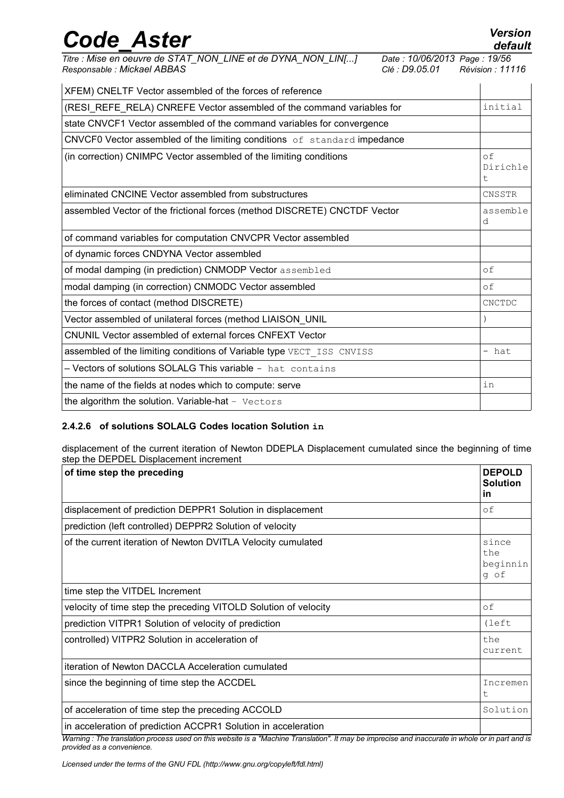# *Code\_Aster*<br>defitive : Mise en oeuvre de STAT NON LINE et de DYNA NON LINI...1 Date : 10/06/2013 Page : 19/56

| Version |
|---------|
| default |

*Titre : Mise en oeuvre de STAT\_NON\_LINE et de DYNA\_NON\_LIN[...] Date : 10/06/2013 Date : 10/06/2013 Page : Page : 10/06/2013 Page : Page : Mickael ABBAS Responsable : Mickael ABBAS Clé : D9.05.01 Révision : 11116*

| XFEM) CNELTF Vector assembled of the forces of reference                  |                     |
|---------------------------------------------------------------------------|---------------------|
| (RESI REFE RELA) CNREFE Vector assembled of the command variables for     | initial             |
| state CNVCF1 Vector assembled of the command variables for convergence    |                     |
| CNVCF0 Vector assembled of the limiting conditions of standard impedance  |                     |
| (in correction) CNIMPC Vector assembled of the limiting conditions        | of<br>Dirichle<br>t |
| eliminated CNCINE Vector assembled from substructures                     | CNSSTR              |
| assembled Vector of the frictional forces (method DISCRETE) CNCTDF Vector | assemble<br>d       |
| of command variables for computation CNVCPR Vector assembled              |                     |
| of dynamic forces CNDYNA Vector assembled                                 |                     |
| of modal damping (in prediction) CNMODP Vector assembled                  | of                  |
| modal damping (in correction) CNMODC Vector assembled                     | of                  |
| the forces of contact (method DISCRETE)                                   | <b>CNCTDC</b>       |
| Vector assembled of unilateral forces (method LIAISON_UNIL                |                     |
| CNUNIL Vector assembled of external forces CNFEXT Vector                  |                     |
| assembled of the limiting conditions of Variable type VECT ISS CNVISS     | - hat               |
| - Vectors of solutions SOLALG This variable - hat contains                |                     |
| the name of the fields at nodes which to compute: serve                   | in                  |
| the algorithm the solution. Variable-hat - Vectors                        |                     |

### <span id="page-18-0"></span>**2.4.2.6 of solutions SOLALG Codes location Solution in**

displacement of the current iteration of Newton DDEPLA Displacement cumulated since the beginning of time step the DEPDEL Displacement increment

| of time step the preceding                                                                                                                                                                                           | <b>DEPOLD</b><br><b>Solution</b><br>in. |
|----------------------------------------------------------------------------------------------------------------------------------------------------------------------------------------------------------------------|-----------------------------------------|
| displacement of prediction DEPPR1 Solution in displacement                                                                                                                                                           | οf                                      |
| prediction (left controlled) DEPPR2 Solution of velocity                                                                                                                                                             |                                         |
| of the current iteration of Newton DVITLA Velocity cumulated                                                                                                                                                         | since<br>the<br>beginnin<br>g of        |
| time step the VITDEL Increment                                                                                                                                                                                       |                                         |
| velocity of time step the preceding VITOLD Solution of velocity                                                                                                                                                      | оf                                      |
| prediction VITPR1 Solution of velocity of prediction                                                                                                                                                                 | (left                                   |
| controlled) VITPR2 Solution in acceleration of                                                                                                                                                                       | the<br>current                          |
| iteration of Newton DACCLA Acceleration cumulated                                                                                                                                                                    |                                         |
| since the beginning of time step the ACCDEL                                                                                                                                                                          | Incremen<br>t                           |
| of acceleration of time step the preceding ACCOLD                                                                                                                                                                    | Solution                                |
| in acceleration of prediction ACCPR1 Solution in acceleration<br>14/amine : The translation number : read on this cookeits is a Wiladhire Translational Human he improved in a subject on the law on the next and is |                                         |

*Warning : The translation process used on this website is a "Machine Translation". It may be imprecise and inaccurate in whole or in part and is provided as a convenience.*

*Licensed under the terms of the GNU FDL (http://www.gnu.org/copyleft/fdl.html)*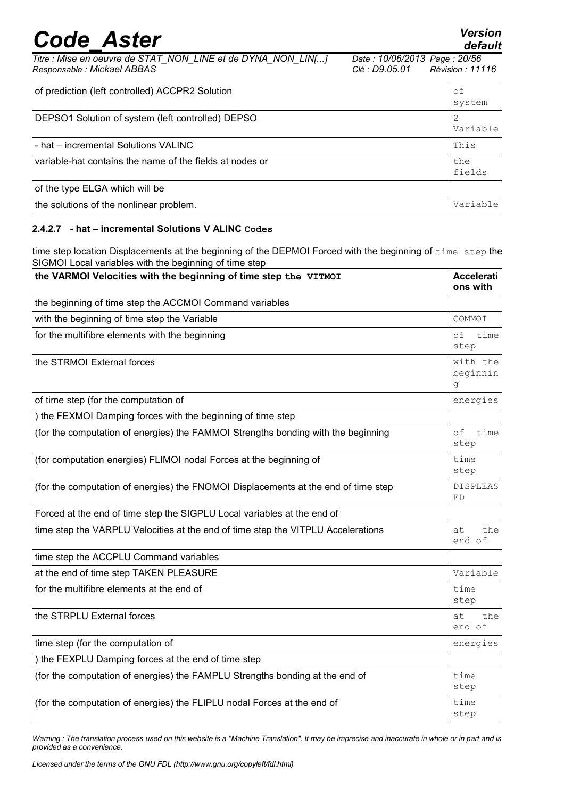*default*

*Titre : Mise en oeuvre de STAT\_NON\_LINE et de DYNA\_NON\_LIN[...] Date : 10/06/2013 Page : 20/56 Responsable : Mickael ABBAS Clé : D9.05.01 Révision : 11116*

| of prediction (left controlled) ACCPR2 Solution          | оf<br>system  |
|----------------------------------------------------------|---------------|
| DEPSO1 Solution of system (left controlled) DEPSO        | Variable      |
| - hat - incremental Solutions VALINC                     | This          |
| variable-hat contains the name of the fields at nodes or | the<br>fields |
| of the type ELGA which will be                           |               |
| the solutions of the nonlinear problem.                  | Variable      |

### <span id="page-19-0"></span>**2.4.2.7 - hat – incremental Solutions V ALINC Codes**

time step location Displacements at the beginning of the DEPMOI Forced with the beginning of time step the SIGMOI Local variables with the beginning of time step

| the VARMOI Velocities with the beginning of time step the VITMOI                   | <b>Accelerati</b><br>ons with |
|------------------------------------------------------------------------------------|-------------------------------|
| the beginning of time step the ACCMOI Command variables                            |                               |
| with the beginning of time step the Variable                                       | COMMOI                        |
| for the multifibre elements with the beginning                                     | оf<br>time<br>step            |
| the STRMOI External forces                                                         | with the<br>beginnin<br>q     |
| of time step (for the computation of                                               | energies                      |
| ) the FEXMOI Damping forces with the beginning of time step                        |                               |
| (for the computation of energies) the FAMMOI Strengths bonding with the beginning  | time<br>οf<br>step            |
| (for computation energies) FLIMOI nodal Forces at the beginning of                 | time<br>step                  |
| (for the computation of energies) the FNOMOI Displacements at the end of time step | <b>DISPLEAS</b><br>ED         |
| Forced at the end of time step the SIGPLU Local variables at the end of            |                               |
| time step the VARPLU Velocities at the end of time step the VITPLU Accelerations   | at<br>the<br>end of           |
| time step the ACCPLU Command variables                                             |                               |
| at the end of time step TAKEN PLEASURE                                             | Variable                      |
| for the multifibre elements at the end of                                          | time<br>step                  |
| the STRPLU External forces                                                         | the<br>at<br>end of           |
| time step (for the computation of                                                  | energies                      |
| ) the FEXPLU Damping forces at the end of time step                                |                               |
| (for the computation of energies) the FAMPLU Strengths bonding at the end of       | time<br>step                  |
| (for the computation of energies) the FLIPLU nodal Forces at the end of            | time<br>step                  |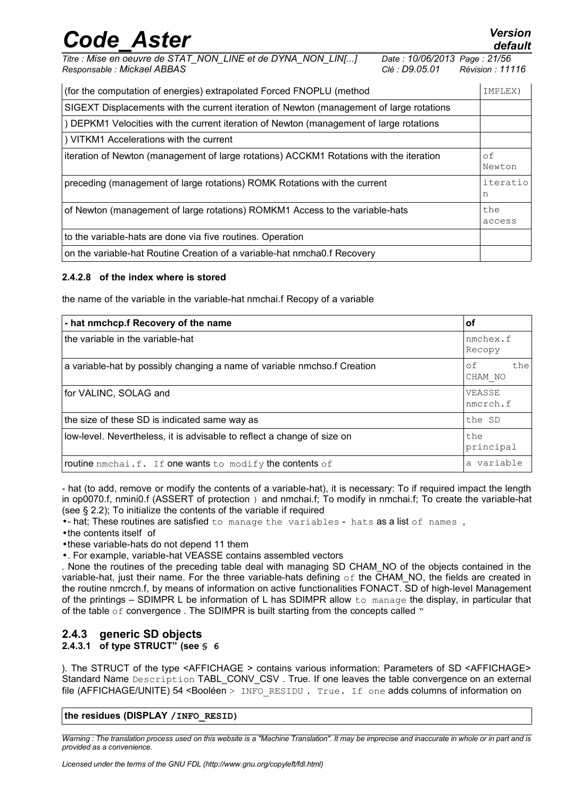*Titre : Mise en oeuvre de STAT\_NON\_LINE et de DYNA\_NON\_LIN[...] Date : 10/06/2013 Page : 21/56 Responsable : Mickael ABBAS Clé : D9.05.01 Révision : 11116*

| (for the computation of energies) extrapolated Forced FNOPLU (method                     | IMPLEX)       |
|------------------------------------------------------------------------------------------|---------------|
| SIGEXT Displacements with the current iteration of Newton (management of large rotations |               |
| ) DEPKM1 Velocities with the current iteration of Newton (management of large rotations  |               |
| ) VITKM1 Accelerations with the current                                                  |               |
| iteration of Newton (management of large rotations) ACCKM1 Rotations with the iteration  | οf<br>Newton  |
| preceding (management of large rotations) ROMK Rotations with the current                | iteratio<br>n |
| of Newton (management of large rotations) ROMKM1 Access to the variable-hats             | the<br>access |
| to the variable-hats are done via five routines. Operation                               |               |
| on the variable-hat Routine Creation of a variable-hat nmcha0.f Recovery                 |               |

### <span id="page-20-2"></span>**2.4.2.8 of the index where is stored**

the name of the variable in the variable-hat nmchai.f Recopy of a variable

| - hat nmchcp.f Recovery of the name                                      | оf                   |
|--------------------------------------------------------------------------|----------------------|
| the variable in the variable-hat                                         | nmchex.f<br>Recopy   |
| a variable-hat by possibly changing a name of variable nmchso.f Creation | the<br>оf<br>CHAM NO |
| for VALINC, SOLAG and                                                    | VEASSE<br>nmcrch.f   |
| the size of these SD is indicated same way as                            | the SD               |
| low-level. Nevertheless, it is advisable to reflect a change of size on  | the<br>principal     |
| routine nmchai.f. If one wants to modify the contents of                 | a variable           |

- hat (to add, remove or modify the contents of a variable-hat), it is necessary: To if required impact the length in op0070.f, nmini0.f (ASSERT of protection ) and nmchai.f; To modify in nmchai.f; To create the variable-hat (see § 2.2); To initialize the contents of the variable if required

•- hat; These routines are satisfied to manage the variables - hats as a list of names,

•the contents itself of

•these variable-hats do not depend [11](#page-10-0) them

•. For example, variable-hat VEASSE contains assembled vectors

. None the routines of the preceding table deal with managing SD CHAM\_NO of the objects contained in the variable-hat, just their name. For the three variable-hats defining  $\circ$  f the CHAM\_NO, the fields are created in the routine nmcrch.f, by means of information on active functionalities FONACT. SD of high-level Management of the printings – SDIMPR L be information of L has SDIMPR allow to manage the display, in particular that of the table  $\circ$  f convergence . The SDIMPR is built starting from the concepts called  $"$ 

### <span id="page-20-1"></span>**2.4.3 generic SD objects**

### <span id="page-20-0"></span>**2.4.3.1 of type STRUCT" (see § 6**

). The STRUCT of the type <AFFICHAGE > contains various information: Parameters of SD <AFFICHAGE> Standard Name Description TABL CONV CSV. True. If one leaves the table convergence on an external file (AFFICHAGE/UNITE) [54](#page-53-1) <Booléen > INFO\_RESIDU . True. If one adds columns of information on

### **the residues (DISPLAY /INFO\_RESID)**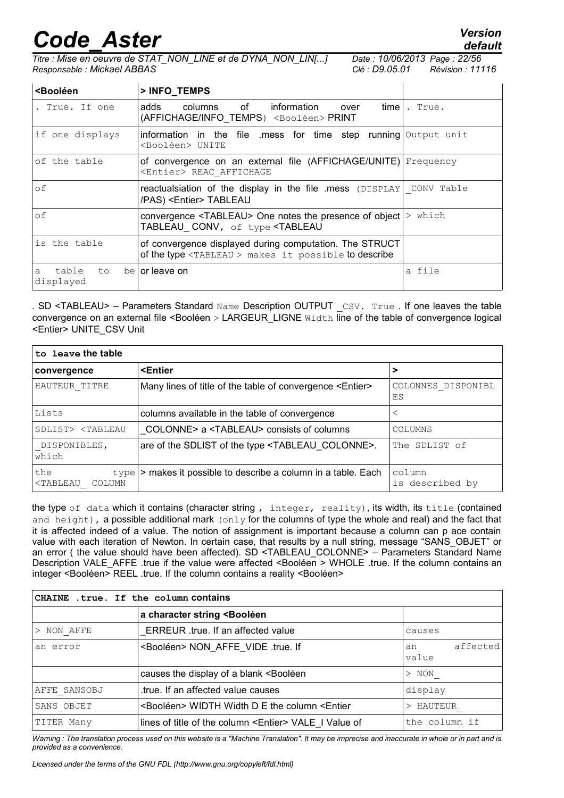*Titre : Mise en oeuvre de STAT\_NON\_LINE et de DYNA\_NON\_LIN[...] Date : 10/06/2013 Page : 22/56 Responsable : Mickael ABBAS Clé : D9.05.01 Révision : 11116*

| <booléen< th=""><th>&gt; INFO_TEMPS</th><th></th></booléen<> | > INFO_TEMPS                                                                                                                            |         |
|--------------------------------------------------------------|-----------------------------------------------------------------------------------------------------------------------------------------|---------|
| . True. If one                                               | columns of information over<br>adds<br>time l<br>(AFFICHAGE/INFO TEMPS) <booléen> PRINT</booléen>                                       | . True. |
| if one displays                                              | information in the file mess for time step running output unit<br><booléen> UNITE</booléen>                                             |         |
| of the table                                                 | of convergence on an external file (AFFICHAGE/UNITE) Frequency<br><entier> REAC AFFICHAGE</entier>                                      |         |
| of                                                           | reactualsiation of the display in the file .mess (DISPLAY CONV Table<br>/PAS) <entier> TABLEAU</entier>                                 |         |
| of                                                           | convergence $\leq$ TABLEAU> One notes the presence of object $\geq$ which<br>TABLEAU CONV, of type <tableau< td=""><td></td></tableau<> |         |
| is the table                                                 | of convergence displayed during computation. The STRUCT<br>of the type <tableau> makes it possible to describe</tableau>                |         |
| table<br>to.<br>$\overline{a}$<br>displayed                  | be or leave on                                                                                                                          | a file  |

. SD <TABLEAU> – Parameters Standard Name Description OUTPUT  $\cos v$ . True . If one leaves the table convergence on an external file <Booléen > LARGEUR\_LIGNE width line of the table of convergence logical <Entier> UNITE\_CSV Unit

| to leave the table                                                                                                   |                                                                   |                           |
|----------------------------------------------------------------------------------------------------------------------|-------------------------------------------------------------------|---------------------------|
| convergence                                                                                                          | <entier< th=""><th></th></entier<>                                |                           |
| HAUTEUR TITRE                                                                                                        | Many lines of title of the table of convergence <entier></entier> | COLONNES DISPONIBL<br>ES  |
| Lists                                                                                                                | columns available in the table of convergence                     | $\,<\,$                   |
| SDLIST><br><tableau< td=""><td>COLONNE&gt; a <tableau> consists of columns</tableau></td><td>COLUMNS</td></tableau<> | COLONNE> a <tableau> consists of columns</tableau>                | COLUMNS                   |
| DISPONIBLES,<br>which                                                                                                | are of the SDLIST of the type <tableau colonne="">.</tableau>     | The SDLIST of             |
| the<br>type<br><tableau<br>COLUMN</tableau<br>                                                                       | makes it possible to describe a column in a table. Each           | column<br>is described by |

the type of data which it contains (character string, integer, reality), its width, its title (contained and height), a possible additional mark (only for the columns of type the whole and real) and the fact that it is affected indeed of a value. The notion of assignment is important because a column can p ace contain value with each iteration of Newton. In certain case, that results by a null string, message "SANS\_OBJET" or an error ( the value should have been affected). SD <TABLEAU\_COLONNE> – Parameters Standard Name Description VALE\_AFFE .true if the value were affected <Booléen > WHOLE .true. If the column contains an integer <Booléen> REEL .true. If the column contains a reality <Booléen>

| CHAINE .true. If the column contains |                                                                                               |                         |
|--------------------------------------|-----------------------------------------------------------------------------------------------|-------------------------|
|                                      | a character string <booléen< th=""><th></th></booléen<>                                       |                         |
| > NON AFFE                           | ERREUR .true. If an affected value                                                            | causes                  |
| an error                             | <booléen> NON AFFE VIDE .true. If</booléen>                                                   | affected<br>an<br>value |
|                                      | causes the display of a blank <booléen< td=""><td><math>&gt;</math> NON</td></booléen<>       | $>$ NON                 |
| AFFE SANSOBJ                         | true. If an affected value causes                                                             | display                 |
| SANS OBJET                           | <booléen> WIDTH Width D E the column <entier< td=""><td>&gt; HAUTEUR</td></entier<></booléen> | > HAUTEUR               |
| TITER Many                           | lines of title of the column <entier> VALE I Value of</entier>                                | the column if           |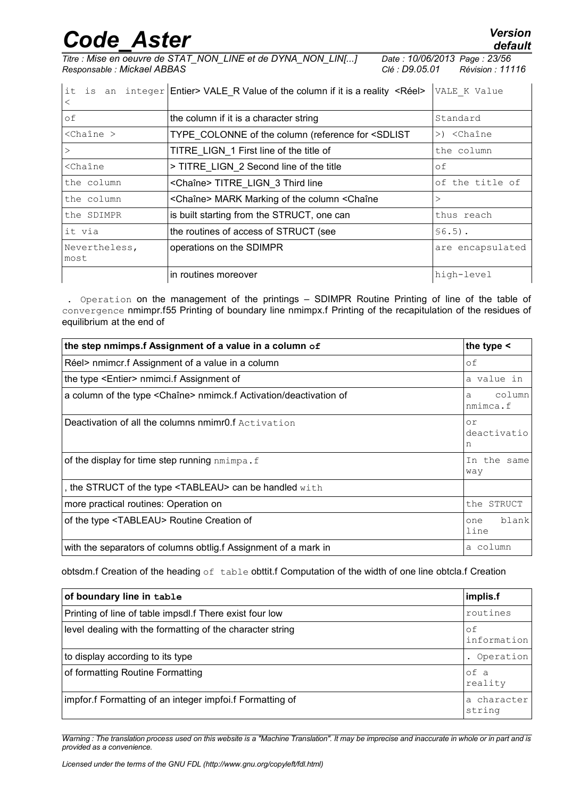*Titre : Mise en oeuvre de STAT\_NON\_LINE et de DYNA\_NON\_LIN[...] Date : 10/06/2013 Page : 23/56 Responsable : Mickael ABBAS Clé : D9.05.01 Révision : 11116*

|                       | it is an integer Entier> VALE R Value of the column if it is a reality <réel></réel>                        | VALE K Value                 |
|-----------------------|-------------------------------------------------------------------------------------------------------------|------------------------------|
| of                    | the column if it is a character string                                                                      | Standard                     |
| $\langle$ Chaîne >    | TYPE COLONNE of the column (reference for <sdlist< td=""><td>&gt;) <chaîne< td=""></chaîne<></td></sdlist<> | >) <chaîne< td=""></chaîne<> |
| $\geq$                | TITRE LIGN 1 First line of the title of                                                                     | the column                   |
| $<$ Chaîne            | > TITRE LIGN 2 Second line of the title                                                                     | οf                           |
| the column            | <chaîne> TITRE_LIGN_3 Third line</chaîne>                                                                   | of the title of              |
| the column            | <chaîne> MARK Marking of the column <chaîne< td=""><td><math>\rm{&gt;}</math></td></chaîne<></chaîne>       | $\rm{>}$                     |
| the SDIMPR            | is built starting from the STRUCT, one can                                                                  | thus reach                   |
| it via                | the routines of access of STRUCT (see                                                                       | $$6.5$ .                     |
| Nevertheless,<br>most | operations on the SDIMPR                                                                                    | are encapsulated             |
|                       | in routines moreover                                                                                        | high-level                   |

. Operation on the management of the printings – SDIMPR Routine Printing of line of the table of convergence nmimpr.[f55](#page-54-1) Printing of boundary line nmimpx.f Printing of the recapitulation of the residues of equilibrium at the end of

| the step nmimps.f Assignment of a value in a column of                     | the type <              |
|----------------------------------------------------------------------------|-------------------------|
| Réel> nmimcr.f Assignment of a value in a column                           | оf                      |
| the type <entier> nmimci.f Assignment of</entier>                          | a value in              |
| a column of the type <chaîne> nmimck.f Activation/deactivation of</chaîne> | column<br>a<br>nmimca.f |
| Deactivation of all the columns nmimr0.f Activation                        | or<br>deactivatio<br>n  |
| of the display for time step running nmimpa. f                             | In the same<br>way      |
| the STRUCT of the type <tableau> can be handled with</tableau>             |                         |
| more practical routines: Operation on                                      | the STRUCT              |
| of the type <tableau> Routine Creation of</tableau>                        | blank<br>one<br>line    |
| with the separators of columns obtlig. f Assignment of a mark in           | a column                |

obtsdm.f Creation of the heading of table obttit.f Computation of the width of one line obtcla.f Creation

| of boundary line in table                                 | implis.f              |
|-----------------------------------------------------------|-----------------------|
| Printing of line of table impsdl.f There exist four low   | routines              |
| level dealing with the formatting of the character string | οf<br>information     |
| to display according to its type                          | Operation             |
| of formatting Routine Formatting                          | of a<br>reality       |
| impfor.f Formatting of an integer impfoi.f Formatting of  | a character<br>string |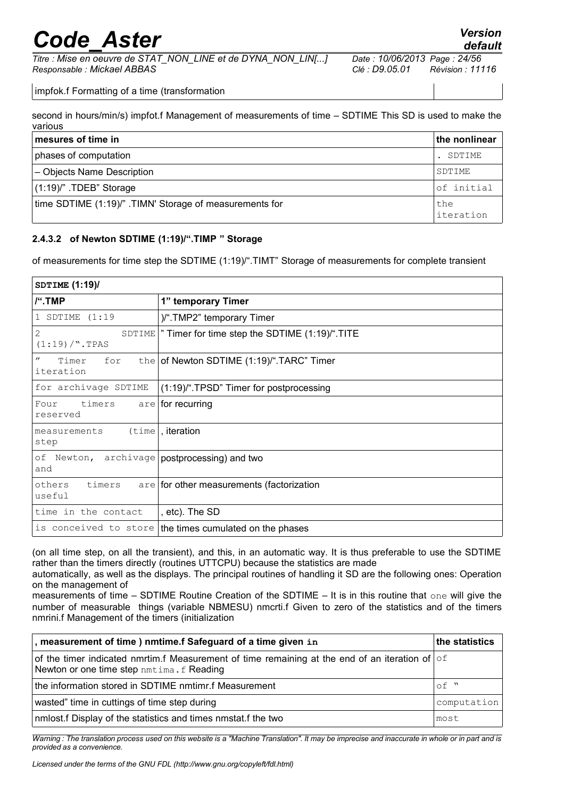*Titre : Mise en oeuvre de STAT\_NON\_LINE et de DYNA\_NON\_LIN[...] Date : 10/06/2013 Page : 24/56 Responsable : Mickael ABBAS Clé : D9.05.01 Révision : 11116*

impfok.f Formatting of a time (transformation

second in hours/min/s) impfot.f Management of measurements of time – SDTIME This SD is used to make the various

| mesures of time in                                      | the nonlinear    |
|---------------------------------------------------------|------------------|
| phases of computation                                   | SDTIME           |
| - Objects Name Description                              | SDTIME           |
| $(1:19)$ ". TDEB" Storage                               | of initial       |
| time SDTIME (1:19)/" .TIMN' Storage of measurements for | the<br>iteration |

### <span id="page-23-0"></span>**2.4.3.2 of Newton SDTIME (1:19)/".TIMP " Storage**

of measurements for time step the SDTIME (1:19)/".TIMT" Storage of measurements for complete transient

| SDTIME (1:19)/                                           |                                                |
|----------------------------------------------------------|------------------------------------------------|
| /".TMP                                                   | 1" temporary Timer                             |
| 1 SDTIME (1:19                                           | )/".TMP2" temporary Timer                      |
| 2<br>SDTIME<br>$(1:19)$ /". TPAS                         | " Timer for time step the SDTIME (1:19)/".TITE |
| for<br>Timer<br>iteration                                | the $of$ Newton SDTIME $(1:19)$ ".TARC" Timer  |
| for archivage SDTIME                                     | (1:19)/".TPSD" Timer for postprocessing        |
| timers<br>Four<br>are<br>reserved                        | for recurring                                  |
| measurements<br>step                                     | $(time$ , iteration                            |
| Newton, archivage   postprocessing) and two<br>οf<br>and |                                                |
| others<br>timers<br>useful                               | $are $ for other measurements (factorization   |
| time in the contact                                      | , etc). The SD                                 |
| is conceived to store                                    | the times cumulated on the phases              |

(on all time step, on all the transient), and this, in an automatic way. It is thus preferable to use the SDTIME rather than the timers directly (routines UTTCPU) because the statistics are made

automatically, as well as the displays. The principal routines of handling it SD are the following ones: Operation on the management of

measurements of time – SDTIME Routine Creation of the SDTIME – It is in this routine that one will give the number of measurable things (variable NBMESU) nmcrti.f Given to zero of the statistics and of the timers nmrini.f Management of the timers (initialization

| , measurement of time ) nmtime.f Safeguard of a time given in                                                                                                  | the statistics |
|----------------------------------------------------------------------------------------------------------------------------------------------------------------|----------------|
| of the timer indicated nmrtim.f Measurement of time remaining at the end of an iteration of $\vert \circ f \vert$<br>Newton or one time step nmtima. f Reading |                |
| the information stored in SDTIME nmtimr.f Measurement                                                                                                          | of "           |
| wasted" time in cuttings of time step during                                                                                                                   | computation    |
| nmlost.f Display of the statistics and times nmstat.f the two                                                                                                  | most           |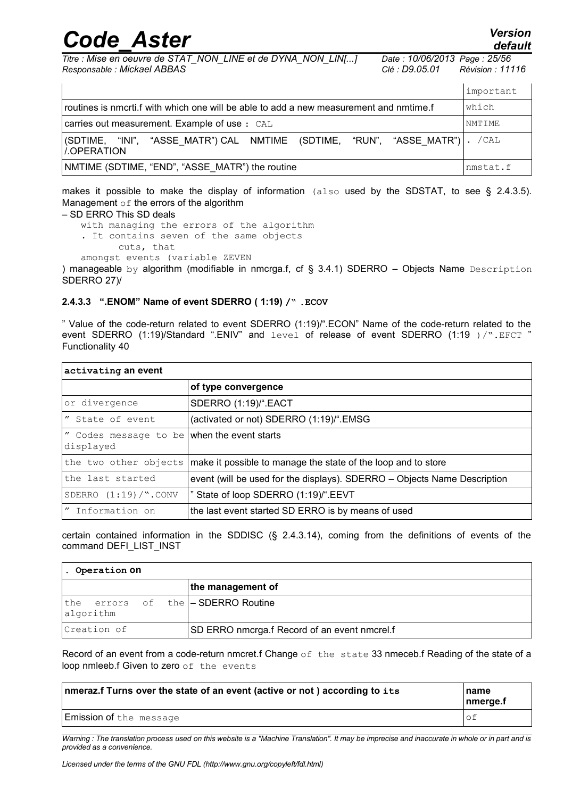*Titre : Mise en oeuvre de STAT\_NON\_LINE et de DYNA\_NON\_LIN[...] Date : 10/06/2013 Page : 25/56 Responsable : Mickael ABBAS Clé : D9.05.01 Révision : 11116*

|                                                                                             | important |
|---------------------------------------------------------------------------------------------|-----------|
| routines is nmcrti.f with which one will be able to add a new measurement and nmtime.f      | which     |
| carries out measurement. Example of use : CAL                                               | NMTIME    |
| (SDTIME, "INI", "ASSE MATR") CAL NMTIME (SDTIME, "RUN", "ASSE MATR")  . / CAL<br>LOPERATION |           |
| NMTIME (SDTIME, "END", "ASSE MATR") the routine                                             | nmstat.f  |

makes it possible to make the display of information (also used by the SDSTAT, to see § 2.4.3.5). Management of the errors of the algorithm

```
– SD ERRO This SD deals
```
with managing the errors of the algorithm

- . It contains seven of the same objects
	- cuts, that
- amongst events (variable ZEVEN

) manageable by algorithm (modifiable in nmcrga.f, cf  $\S$  3.4.1) SDERRO – Objects Name Description SDERRO [27\)](#page-26-0)/

#### <span id="page-24-0"></span>**2.4.3.3 ".ENOM" Name of event SDERRO ( 1:19) /" .ECOV**

" Value of the code-return related to event SDERRO (1:19)/".ECON" Name of the code-return related to the event SDERRO (1:19)/Standard ".ENIV" and level of release of event SDERRO (1:19 )/".EFCT " Functionality [40](#page-39-1)

| activating an event                                      |                                                                          |  |
|----------------------------------------------------------|--------------------------------------------------------------------------|--|
|                                                          | of type convergence                                                      |  |
| or divergence                                            | SDERRO (1:19)/".EACT                                                     |  |
| $^{\prime\prime}$<br>State of event                      | (activated or not) SDERRO (1:19)/".EMSG                                  |  |
| " Codes message to be when the event starts<br>displayed |                                                                          |  |
| the two other objects                                    | make it possible to manage the state of the loop and to store            |  |
| the last started                                         | event (will be used for the displays). SDERRO – Objects Name Description |  |
| SDERRO $(1:19)$ /".CONV                                  | " State of loop SDERRO (1:19)/".EEVT                                     |  |
| " Information on                                         | the last event started SD ERRO is by means of used                       |  |

certain contained information in the SDDISC (§ 2.4.3.14), coming from the definitions of events of the command DEFI\_LIST\_INST

| . Operation ON |  |  |                                              |
|----------------|--|--|----------------------------------------------|
|                |  |  | the management of                            |
| algorithm      |  |  | the errors of the   <b>-SDERRO Routine</b>   |
| Creation of    |  |  | SD ERRO nmcrga.f Record of an event nmcrel.f |

Record of an event from a code-return nmcret.f Change of the state [33](#page-32-0) nmeceb.f Reading of the state of a loop nmleeb.f Given to zero of the events

| Inmeraz.f Turns over the state of an event (active or not ) according to its | name<br>Inmerge.f |
|------------------------------------------------------------------------------|-------------------|
| <b>Emission of</b> the message                                               |                   |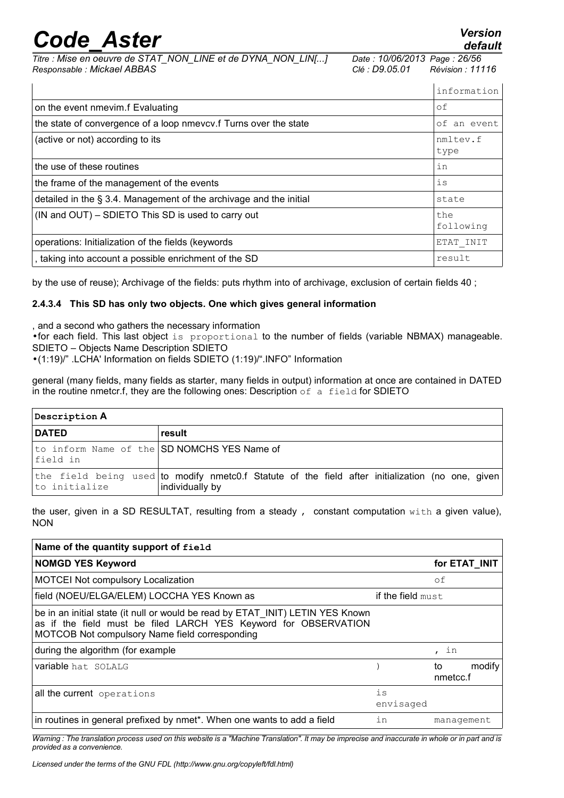*Titre : Mise en oeuvre de STAT\_NON\_LINE et de DYNA\_NON\_LIN[...] Date : 10/06/2013 Page : 26/56 Responsable : Mickael ABBAS Clé : D9.05.01 Révision : 11116*

|                                                                    | information      |
|--------------------------------------------------------------------|------------------|
| on the event nmevim.f Evaluating                                   | οf               |
| the state of convergence of a loop nmevcy. I Turns over the state  | of an event      |
| (active or not) according to its                                   | nmltev.f<br>type |
| the use of these routines                                          | in               |
| the frame of the management of the events                          | is               |
| detailed in the § 3.4. Management of the archivage and the initial | state            |
| (IN and OUT) - SDIETO This SD is used to carry out                 | the<br>following |
| operations: Initialization of the fields (keywords                 | ETAT INIT        |
| , taking into account a possible enrichment of the SD              | result           |

by the use of reuse); Archivage of the fields: puts rhythm into of archivage, exclusion of certain fields [40](#page-39-2) ;

#### <span id="page-25-0"></span>**2.4.3.4 This SD has only two objects. One which gives general information**

, and a second who gathers the necessary information

•for each field. This last object is proportional to the number of fields (variable NBMAX) manageable. SDIETO – Objects Name Description SDIETO

•(1:19)/" .LCHA' Information on fields SDIETO (1:19)/".INFO" Information

general (many fields, many fields as starter, many fields in output) information at once are contained in DATED in the routine nmetcr.f, they are the following ones: Description  $\circ f$  a field for SDIETO

| <b>Description A</b>                                    |                                                                                                                     |  |  |
|---------------------------------------------------------|---------------------------------------------------------------------------------------------------------------------|--|--|
| <b>DATED</b>                                            | result                                                                                                              |  |  |
| to inform Name of the SD NOMCHS YES Name of<br>field in |                                                                                                                     |  |  |
| to initialize                                           | the field being used to modify nmetc0.f Statute of the field after initialization (no one, given<br>individually by |  |  |

the user, given in a SD RESULTAT, resulting from a steady, constant computation with a given value), NON

| Name of the quantity support of field                                                                                                                                                               |                             |                |        |
|-----------------------------------------------------------------------------------------------------------------------------------------------------------------------------------------------------|-----------------------------|----------------|--------|
| <b>NOMGD YES Keyword</b>                                                                                                                                                                            |                             | for ETAT_INIT  |        |
| MOTCEI Not compulsory Localization                                                                                                                                                                  |                             | оf             |        |
| field (NOEU/ELGA/ELEM) LOCCHA YES Known as                                                                                                                                                          | if the field must           |                |        |
| be in an initial state (it null or would be read by ETAT INIT) LETIN YES Known<br>as if the field must be filed LARCH YES Keyword for OBSERVATION<br>MOTCOB Not compulsory Name field corresponding |                             |                |        |
| during the algorithm (for example                                                                                                                                                                   |                             | , in           |        |
| variable hat SOLALG                                                                                                                                                                                 |                             | to<br>nmetcc.f | modify |
| all the current operations                                                                                                                                                                          | $\frac{1}{2}S$<br>envisaged |                |        |
| in routines in general prefixed by nmet*. When one wants to add a field                                                                                                                             | in                          | management     |        |

*Warning : The translation process used on this website is a "Machine Translation". It may be imprecise and inaccurate in whole or in part and is provided as a convenience.*

*Licensed under the terms of the GNU FDL (http://www.gnu.org/copyleft/fdl.html)*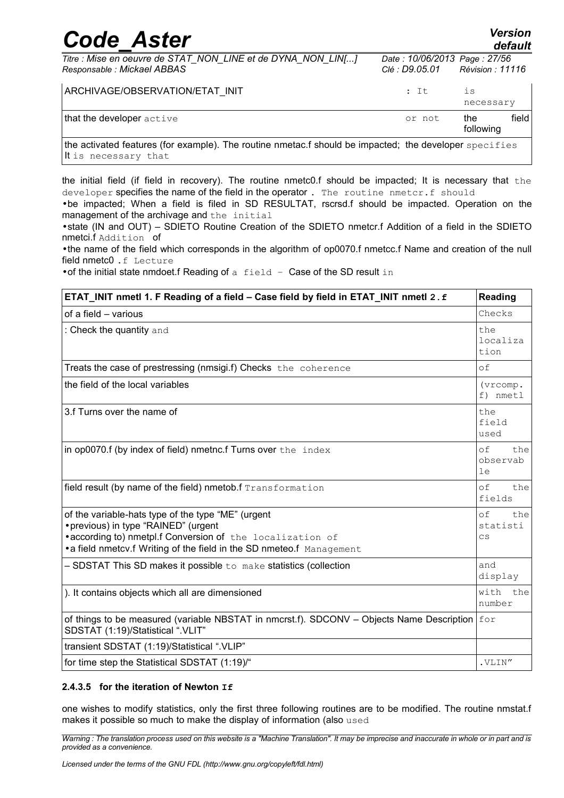| <b>Code Aster</b>                                                                           |                                                | <b>Version</b><br>default |
|---------------------------------------------------------------------------------------------|------------------------------------------------|---------------------------|
| Titre : Mise en oeuvre de STAT NON LINE et de DYNA NON LIN[]<br>Responsable : Mickael ABBAS | Date: 10/06/2013 Page: 27/56<br>Clé : D9.05.01 | Révision : 11116          |
| ARCHIVAGE/OBSERVATION/ETAT INIT                                                             | $:$ It                                         | is<br>necessary           |
| that the developer active                                                                   | or not                                         | field<br>the<br>following |

the activated features (for example). The routine nmetac.f should be impacted; the developer specifies It is necessary that

the initial field (if field in recovery). The routine nmetc0.f should be impacted; It is necessary that the developer specifies the name of the field in the operator. The routine nmetcr.f should

•be impacted; When a field is filed in SD RESULTAT, rscrsd.f should be impacted. Operation on the management of the archivage and the initial

•state (IN and OUT) – SDIETO Routine Creation of the SDIETO nmetcr.f Addition of a field in the SDIETO nmetci.f Addition of

•the name of the field which corresponds in the algorithm of op0070.f nmetcc.f Name and creation of the null field nmetc0 .f Lecture

•of the initial state nmdoet.f Reading of a field – Case of the SD result in

| ETAT_INIT nmetl 1. F Reading of a field - Case field by field in ETAT_INIT nmetl 2. £                                                                                                                                            | Reading                                   |
|----------------------------------------------------------------------------------------------------------------------------------------------------------------------------------------------------------------------------------|-------------------------------------------|
| of a field - various                                                                                                                                                                                                             | Checks                                    |
| : Check the quantity and                                                                                                                                                                                                         | the<br>localiza<br>tion                   |
| Treats the case of prestressing (nmsigi.f) Checks the coherence                                                                                                                                                                  | of                                        |
| the field of the local variables                                                                                                                                                                                                 | (vrcomp.<br>f) nmetl                      |
| 3.f Turns over the name of                                                                                                                                                                                                       | the<br>field<br>used                      |
| in op0070.f (by index of field) nmetnc.f Turns over the index                                                                                                                                                                    | of<br>the<br>observab<br>le               |
| field result (by name of the field) nmetob.f Transformation                                                                                                                                                                      | of<br>the<br>fields                       |
| of the variable-hats type of the type "ME" (urgent<br>• previous) in type "RAINED" (urgent<br>.according to) nmetpl.f Conversion of the localization of<br>• a field nmetcy.f Writing of the field in the SD nmeteo.f Management | of<br>the<br>statisti<br>$\overline{c}$ s |
| $-$ SDSTAT This SD makes it possible $to$ make statistics (collection                                                                                                                                                            | and<br>display                            |
| ). It contains objects which all are dimensioned                                                                                                                                                                                 | with the<br>number                        |
| of things to be measured (variable NBSTAT in nmcrst.f). SDCONV - Objects Name Description for<br>SDSTAT (1:19)/Statistical ".VLIT"                                                                                               |                                           |
| transient SDSTAT (1:19)/Statistical ".VLIP"                                                                                                                                                                                      |                                           |
| for time step the Statistical SDSTAT (1:19)/"                                                                                                                                                                                    | .VLIN"                                    |

#### <span id="page-26-0"></span>**2.4.3.5 for the iteration of Newton If**

one wishes to modify statistics, only the first three following routines are to be modified. The routine nmstat.f makes it possible so much to make the display of information (also used

*Warning : The translation process used on this website is a "Machine Translation". It may be imprecise and inaccurate in whole or in part and is provided as a convenience.*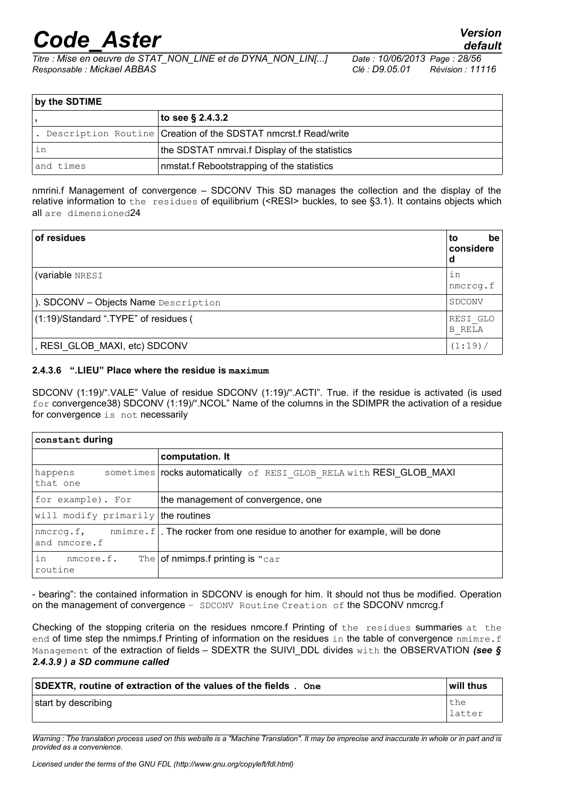*Titre : Mise en oeuvre de STAT\_NON\_LINE et de DYNA\_NON\_LIN[...] Date : 10/06/2013 Page : 28/56 Responsable : Mickael ABBAS Clé : D9.05.01 Révision : 11116*

### **by the SDTIME**

| $5.7.100$ 55.100 $-$ |                                                                  |  |  |
|----------------------|------------------------------------------------------------------|--|--|
|                      | to see § 2.4.3.2                                                 |  |  |
|                      | . Description Routine Creation of the SDSTAT nmcrst.f Read/write |  |  |
| in                   | the SDSTAT nmrvai.f Display of the statistics                    |  |  |
| and times            | nmstat.f Rebootstrapping of the statistics                       |  |  |

nmrini.f Management of convergence – SDCONV This SD manages the collection and the display of the relative information to the residues of equilibrium (<RESI> buckles, to see §3.1). It contains objects which all are dimensioned[24](#page-23-0)

| of residues                           | to<br>be<br>considere<br>d |
|---------------------------------------|----------------------------|
| (variable NRESI                       | in<br>nmcrcq.f             |
| ). SDCONV - Objects Name Description  | SDCONV                     |
| (1:19)/Standard ".TYPE" of residues ( | RESI GLO<br><b>B</b> RELA  |
| , RESI_GLOB_MAXI, etc) SDCONV         | (1:19) /                   |

### <span id="page-27-0"></span>**2.4.3.6 ".LIEU" Place where the residue is maximum**

SDCONV (1:19)/".VALE" Value of residue SDCONV (1:19)/".ACTI". True. if the residue is activated (is used for convergenc[e38\)](#page-37-4) SDCONV (1:19)/".NCOL" Name of the columns in the SDIMPR the activation of a residue for convergence is not necessarily

| constant during                    |                                                                                               |  |  |
|------------------------------------|-----------------------------------------------------------------------------------------------|--|--|
|                                    | computation. It                                                                               |  |  |
| happens<br>that one                | sometimes   rocks automatically of RESI GLOB RELA with RESI_GLOB_MAXI                         |  |  |
| for example). For                  | the management of convergence, one                                                            |  |  |
| will modify primarily the routines |                                                                                               |  |  |
| and nmcore.f                       | nmcrcg.f, $\qquad$ nminre.f. The rocker from one residue to another for example, will be done |  |  |
| in<br>nmcore.f.<br>routine         | The of nmimps f printing is "car                                                              |  |  |

- bearing": the contained information in SDCONV is enough for him. It should not thus be modified. Operation on the management of convergence - SDCONV Routine Creation of the SDCONV nmcrcg.f

Checking of the stopping criteria on the residues nmcore.f Printing of the residues summaries at the end of time step the nmimps.f Printing of information on the residues in the table of convergence nmimre. f Management of the extraction of fields – SDEXTR the SUIVI\_DDL divides with the OBSERVATION *(see § 2.4.3.9 ) a SD commune called*

| SDEXTR, routine of extraction of the values of the fields. One<br>$\mathsf{will}$ thus |                |  |
|----------------------------------------------------------------------------------------|----------------|--|
| start by describing                                                                    | the<br>llatter |  |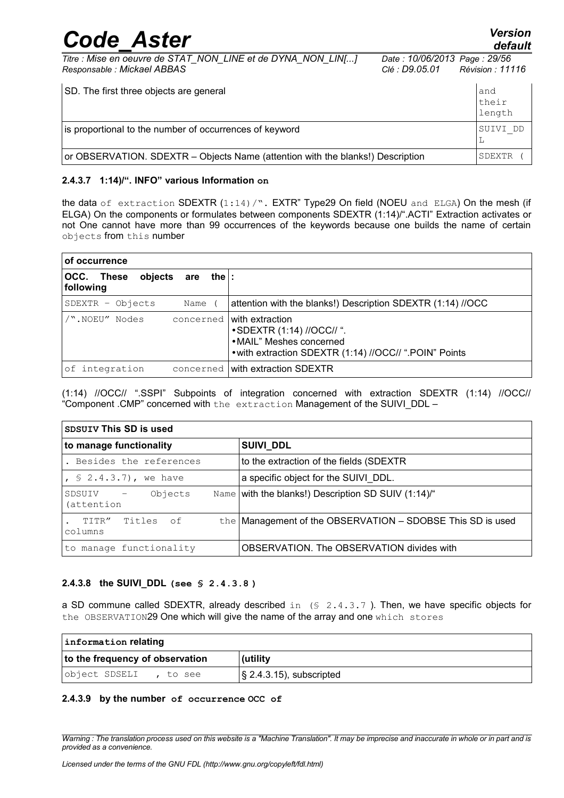| <b>Code Aster</b>                                                                          |                                                | <b>Version</b><br>default |
|--------------------------------------------------------------------------------------------|------------------------------------------------|---------------------------|
| Titre : Mise en oeuvre de STAT_NON_LINE et de DYNA_NON_LIN[]<br>Responsable: Mickael ABBAS | Date: 10/06/2013 Page: 29/56<br>Clé : D9.05.01 | Révision : 11116          |
| SD. The first three objects are general                                                    |                                                | and<br>their<br>length    |
| is proportional to the number of occurrences of keyword                                    |                                                | SUIVI DD                  |
| or OBSERVATION. SDEXTR – Objects Name (attention with the blanks!) Description             |                                                |                           |

#### <span id="page-28-2"></span>**2.4.3.7 1:14)/". INFO" various Information on**

the data of extraction SDEXTR (1:14) /". EXTR" Typ[e29](#page-28-0) On field (NOEU and ELGA) On the mesh (if ELGA) On the components or formulates between components SDEXTR (1:14)/".ACTI" Extraction activates or not One cannot have more than 99 occurrences of the keywords because one builds the name of certain objects from this number

| ∣ of occurrence         |                          |                                                                                                                                     |  |
|-------------------------|--------------------------|-------------------------------------------------------------------------------------------------------------------------------------|--|
| OCC. These<br>following | objects are the $\vdots$ |                                                                                                                                     |  |
| $ SDEXTR - 0bjects $    | Name (                   | attention with the blanks!) Description SDEXTR (1:14) //OCC                                                                         |  |
| /".NOEU" Nodes          | concerned                | with extraction<br>• SDEXTR (1:14) //OCC// ".<br>• MAIL" Meshes concerned<br>• with extraction SDEXTR (1:14) //OCC// ".POIN" Points |  |
| of integration          |                          | concerned with extraction SDEXTR                                                                                                    |  |

(1:14) //OCC// ".SSPI" Subpoints of integration concerned with extraction SDEXTR (1:14) //OCC// "Component .CMP" concerned with the extraction Management of the SUIVI\_DDL –

| <b>SDSUIV This SD is used</b>              |                                                              |  |
|--------------------------------------------|--------------------------------------------------------------|--|
| to manage functionality                    | <b>SUIVI_DDL</b>                                             |  |
| . Besides the references                   | to the extraction of the fields (SDEXTR)                     |  |
| , $$2.4.3.7)$ , we have                    | a specific object for the SUIVI DDL.                         |  |
| Objects<br>$SDSUIV -$<br><i>(attention</i> | Name with the blanks!) Description SD SUIV (1:14)/"          |  |
| TITR"<br>Titles of<br>columns              | the   Management of the OBSERVATION - SDOBSE This SD is used |  |
| to manage functionality                    | OBSERVATION. The OBSERVATION divides with                    |  |

#### <span id="page-28-1"></span>**2.4.3.8 the SUIVI\_DDL (see § 2.4.3.8 )**

a SD commune called SDEXTR, already described in (§ 2.4.3.7). Then, we have specific objects for the OBSERVATION[29](#page-28-2) One which will give the name of the array and one which stores

| information relating            |                                          |  |
|---------------------------------|------------------------------------------|--|
| to the frequency of observation | (utility                                 |  |
| object SDSELI<br>, to see       | $\frac{1}{2}$ (\$ 2.4.3.15), subscripted |  |

#### <span id="page-28-0"></span>**2.4.3.9 by the number of occurrence OCC of**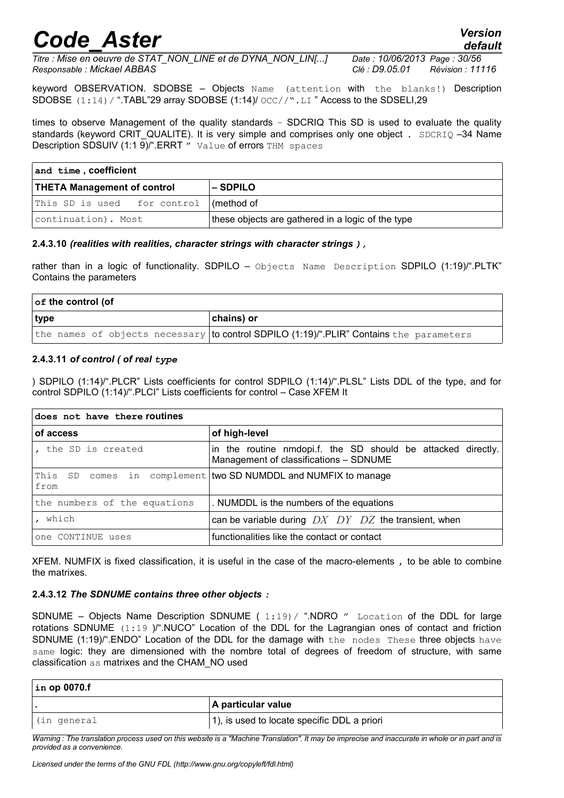*Titre : Mise en oeuvre de STAT\_NON\_LINE et de DYNA\_NON\_LIN[...] Date : 10/06/2013 Page : 30/56 Responsable : Mickael ABBAS Clé : D9.05.01 Révision : 11116*

keyword OBSERVATION. SDOBSE – Objects Name (attention with the blanks!) Description SDOBSE (1:14)/ ".TABL["29](#page-28-1) array SDOBSE (1:14)/ OCC//".LI " Access to the SDSELI[,29](#page-28-2)

times to observe Management of the quality standards – SDCRIQ This SD is used to evaluate the quality standards (keyword CRIT QUALITE). It is very simple and comprises only one object . SDCRIQ -34 Name Description SDSUIV (1:1 9)/".ERRT " Value of errors THM spaces

| and time, coefficient              |                                                   |
|------------------------------------|---------------------------------------------------|
| <b>THETA Management of control</b> | l – SDPILO                                        |
| This SD is used for control        | $\vert$ (method of                                |
| continuation). Most                | these objects are gathered in a logic of the type |

#### <span id="page-29-2"></span>**2.4.3.10** *(realities with realities, character strings with character strings ),*

rather than in a logic of functionality. SDPILO - Objects Name Description SDPILO (1:19)".PLTK" Contains the parameters

| ∣type | chains) or                                                                             |
|-------|----------------------------------------------------------------------------------------|
|       | the names of objects necessary to control SDPILO (1:19)".PLIR" Contains the parameters |

#### <span id="page-29-1"></span>**2.4.3.11** *of control ( of real type*

) SDPILO (1:14)/".PLCR" Lists coefficients for control SDPILO (1:14)/".PLSL" Lists DDL of the type, and for control SDPILO (1:14)/".PLCI" Lists coefficients for control – Case XFEM It

| does not have there routines |                                                                                                        |  |  |
|------------------------------|--------------------------------------------------------------------------------------------------------|--|--|
| of access                    | of high-level                                                                                          |  |  |
| , the SD is created          | in the routine nmdopi.f. the SD should be attacked directly.<br>Management of classifications - SDNUME |  |  |
| from                         | This SD comes in complement   two SD NUMDDL and NUMFIX to manage                                       |  |  |
| the numbers of the equations | . NUMDDL is the numbers of the equations                                                               |  |  |
| , which                      | can be variable during $DX$ $DY$ $DZ$ the transient, when                                              |  |  |
| one CONTINUE uses            | functionalities like the contact or contact                                                            |  |  |

XFEM. NUMFIX is fixed classification, it is useful in the case of the macro-elements , to be able to combine the matrixes.

#### <span id="page-29-0"></span>**2.4.3.12** *The SDNUME contains three other objects :*

SDNUME - Objects Name Description SDNUME (1:19)/ ".NDRO " Location of the DDL for large rotations SDNUME (1:19 )/".NUCO" Location of the DDL for the Lagrangian ones of contact and friction SDNUME (1:19)/".ENDO" Location of the DDL for the damage with the nodes These three objects have same logic: they are dimensioned with the nombre total of degrees of freedom of structure, with same classification as matrixes and the CHAM\_NO used

| $\vert$ in Op 0070.f |                                            |
|----------------------|--------------------------------------------|
|                      | A particular value                         |
| l(in general         | 1, is used to locate specific DDL a priori |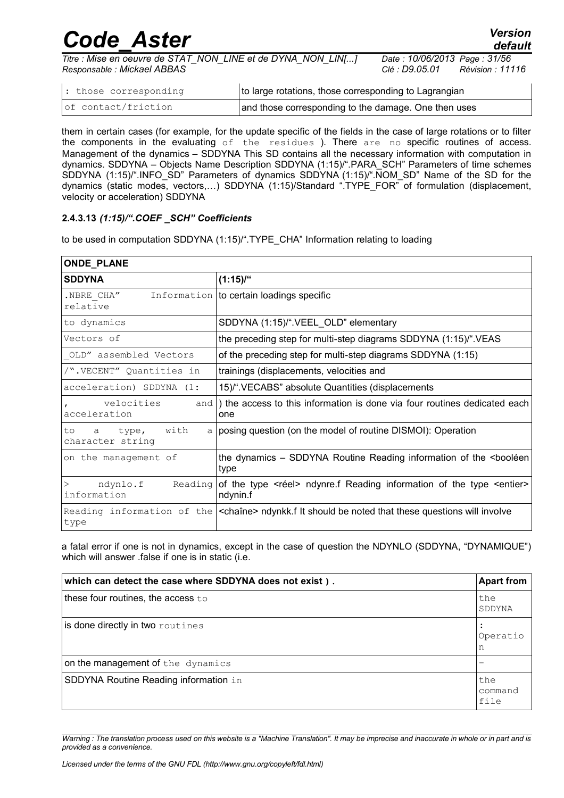| <b>Code Aster</b>                                                                          |                                                | <b>Version</b><br>default |
|--------------------------------------------------------------------------------------------|------------------------------------------------|---------------------------|
| Titre : Mise en oeuvre de STAT NON LINE et de DYNA NON LIN[]<br>Responsable: Mickael ABBAS | Date: 10/06/2013 Page: 31/56<br>Clé : D9.05.01 | Révision : 11116          |

| : those corresponding | to large rotations, those corresponding to Lagrangian |
|-----------------------|-------------------------------------------------------|
| of contact/friction   | and those corresponding to the damage. One then uses  |

them in certain cases (for example, for the update specific of the fields in the case of large rotations or to filter the components in the evaluating of the residues ). There are no specific routines of access. Management of the dynamics – SDDYNA This SD contains all the necessary information with computation in dynamics. SDDYNA – Objects Name Description SDDYNA (1:15)/".PARA\_SCH" Parameters of time schemes SDDYNA (1:15)/".INFO\_SD" Parameters of dynamics SDDYNA (1:15)/".NOM\_SD" Name of the SD for the dynamics (static modes, vectors,…) SDDYNA (1:15)/Standard ".TYPE\_FOR" of formulation (displacement, velocity or acceleration) SDDYNA

#### <span id="page-30-0"></span>**2.4.3.13** *(1:15)/".COEF \_SCH" Coefficients*

to be used in computation SDDYNA (1:15)/".TYPE\_CHA" Information relating to loading

| <b>ONDE_PLANE</b>                              |                                                                                                             |  |
|------------------------------------------------|-------------------------------------------------------------------------------------------------------------|--|
| <b>SDDYNA</b>                                  | (1:15)'                                                                                                     |  |
| .NBRE CHA"<br>relative                         | Information   to certain loadings specific                                                                  |  |
| to dynamics                                    | SDDYNA (1:15)/".VEEL_OLD" elementary                                                                        |  |
| Vectors of                                     | the preceding step for multi-step diagrams SDDYNA (1:15)/". VEAS                                            |  |
| OLD" assembled Vectors                         | of the preceding step for multi-step diagrams SDDYNA (1:15)                                                 |  |
| /".VECENT" Quantities in                       | trainings (displacements, velocities and                                                                    |  |
| acceleration) SDDYNA (1:                       | 15)/".VECABS" absolute Quantities (displacements                                                            |  |
| velocities<br>acceleration                     | $\lceil \nceil$ and $\lceil$ the access to this information is done via four routines dedicated each<br>one |  |
| type, with<br>to<br>a<br>a<br>character string | posing question (on the model of routine DISMOI): Operation                                                 |  |
| on the management of                           | the dynamics - SDDYNA Routine Reading information of the <booleen<br>type</booleen<br>                      |  |
| ndynlo.f<br>><br>information                   | Reading of the type $\leq$ réel> ndynre. f Reading information of the type $\leq$ entier><br>ndynin.f       |  |
| type                                           | Reading information of the <chaine> ndynkk.f It should be noted that these questions will involve</chaine>  |  |

a fatal error if one is not in dynamics, except in the case of question the NDYNLO (SDDYNA, "DYNAMIQUE") which will answer .false if one is in static (i.e.

| which can detect the case where SDDYNA does not exist). | <b>Apart from</b>      |
|---------------------------------------------------------|------------------------|
| these four routines, the access to                      | the<br>SDDYNA          |
| is done directly in two routines                        | Operatio<br>n          |
| on the management of the dynamics                       |                        |
| SDDYNA Routine Reading information in                   | the<br>command<br>file |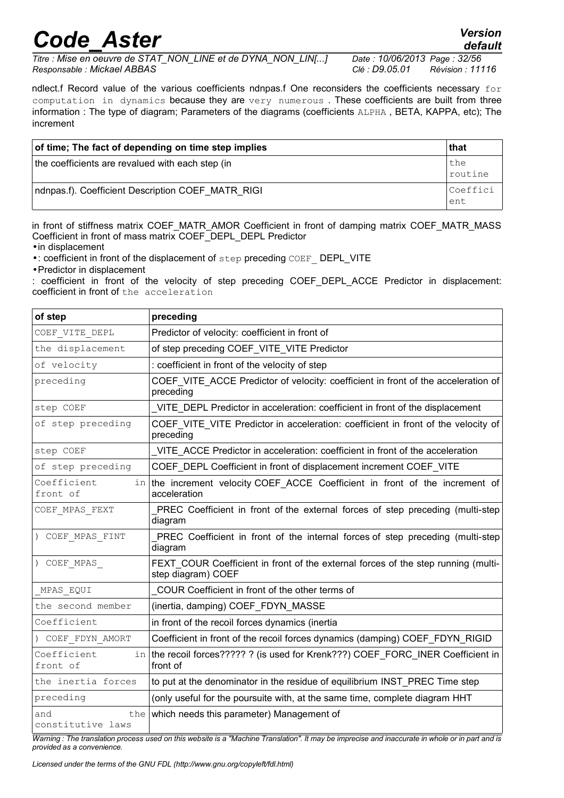*default*

*Titre : Mise en oeuvre de STAT\_NON\_LINE et de DYNA\_NON\_LIN[...] Date : 10/06/2013 Page : 32/56 Responsable : Mickael ABBAS Clé : D9.05.01 Révision : 11116*

ndlect.f Record value of the various coefficients ndnpas.f One reconsiders the coefficients necessary for computation in dynamics because they are very numerous . These coefficients are built from three information : The type of diagram; Parameters of the diagrams (coefficients ALPHA , BETA, KAPPA, etc); The increment

| of time; The fact of depending on time step implies | that            |
|-----------------------------------------------------|-----------------|
| the coefficients are revalued with each step (in    | the<br>routine  |
| ndnpas.f). Coefficient Description COEF MATR RIGI   | Coeffici<br>ent |

in front of stiffness matrix COEF\_MATR\_AMOR\_Coefficient in front of damping matrix COEF\_MATR\_MASS Coefficient in front of mass matrix COEF\_DEPL\_DEPL Predictor

•in displacement

•: coefficient in front of the displacement of step preceding COEF\_ DEPL\_VITE

•Predictor in displacement

: coefficient in front of the velocity of step preceding COEF DEPL ACCE Predictor in displacement: coefficient in front of the acceleration

| of step                         | preceding                                                                                               |
|---------------------------------|---------------------------------------------------------------------------------------------------------|
| COEF VITE DEPL                  | Predictor of velocity: coefficient in front of                                                          |
| the displacement                | of step preceding COEF VITE VITE Predictor                                                              |
| of velocity                     | : coefficient in front of the velocity of step                                                          |
| preceding                       | COEF_VITE_ACCE Predictor of velocity: coefficient in front of the acceleration of<br>preceding          |
| step COEF                       | VITE DEPL Predictor in acceleration: coefficient in front of the displacement                           |
| of step preceding               | COEF_VITE_VITE Predictor in acceleration: coefficient in front of the velocity of<br>preceding          |
| step COEF                       | VITE ACCE Predictor in acceleration: coefficient in front of the acceleration                           |
| of step preceding               | COEF DEPL Coefficient in front of displacement increment COEF VITE                                      |
| Coefficient<br>front of         | in the increment velocity COEF ACCE Coefficient in front of the increment of<br>acceleration            |
| COEF MPAS FEXT                  | PREC Coefficient in front of the external forces of step preceding (multi-step)<br>diagram              |
| ) COEF MPAS FINT                | PREC Coefficient in front of the internal forces of step preceding (multi-step)<br>diagram              |
| ) COEF MPAS                     | FEXT_COUR Coefficient in front of the external forces of the step running (multi-<br>step diagram) COEF |
| MPAS EQUI                       | COUR Coefficient in front of the other terms of                                                         |
| the second member               | (inertia, damping) COEF_FDYN_MASSE                                                                      |
| Coefficient                     | in front of the recoil forces dynamics (inertia                                                         |
| ) COEF FDYN AMORT               | Coefficient in front of the recoil forces dynamics (damping) COEF FDYN RIGID                            |
| Coefficient<br>in<br>front of   | the recoil forces????? ? (is used for Krenk???) COEF_FORC_INER Coefficient in<br>front of               |
| the inertia forces              | to put at the denominator in the residue of equilibrium INST PREC Time step                             |
| preceding                       | (only useful for the poursuite with, at the same time, complete diagram HHT                             |
| the<br>and<br>constitutive laws | which needs this parameter) Management of                                                               |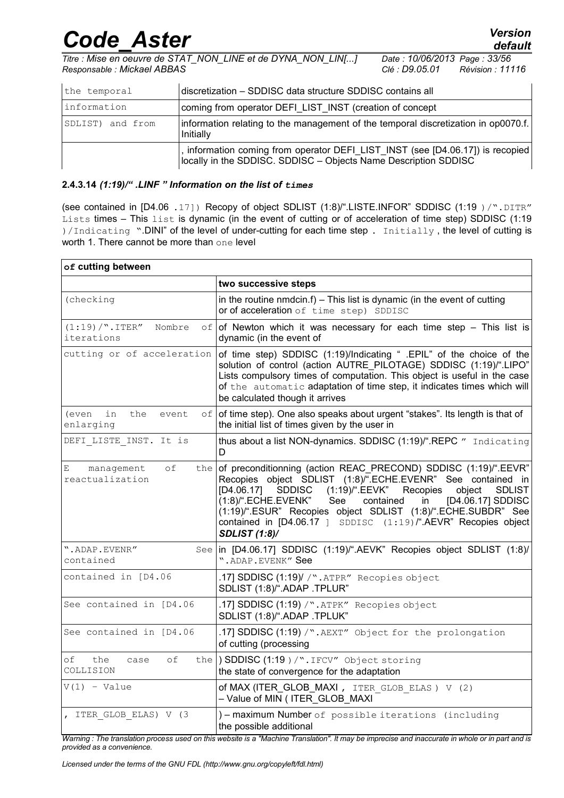| <b>Code Aster</b>           |                                                              |                                                | <b>Version</b><br>default |
|-----------------------------|--------------------------------------------------------------|------------------------------------------------|---------------------------|
| Responsable : Mickael ABBAS | Titre : Mise en oeuvre de STAT NON LINE et de DYNA NON LIN[] | Date: 10/06/2013 Page: 33/56<br>Clé : D9.05.01 | Révision : 11116          |
| the temporal                | discretization – SDDISC data structure SDDISC contains all   |                                                |                           |

| the temporal     | discretization - SDDISC data structure SDDISC contains all                                                                                        |  |
|------------------|---------------------------------------------------------------------------------------------------------------------------------------------------|--|
| linformation     | coming from operator DEFI_LIST_INST (creation of concept                                                                                          |  |
| SDLIST) and from | information relating to the management of the temporal discretization in op0070.f.<br>Initially                                                   |  |
|                  | , information coming from operator DEFI_LIST_INST (see [D4.06.17]) is recopied<br>locally in the SDDISC. SDDISC - Objects Name Description SDDISC |  |

#### <span id="page-32-0"></span>**2.4.3.14** *(1:19)/" .LINF " Information on the list of times*

(see contained in [D4.06 .17]) Recopy of object SDLIST (1:8)/".LISTE.INFOR" SDDISC (1:19 )/".DITR" Lists times – This list is dynamic (in the event of cutting or of acceleration of time step) SDDISC (1:19 )/Indicating ".DINI" of the level of under-cutting for each time step . Initially, the level of cutting is worth 1. There cannot be more than one level

| of cutting between                             |                                                                                                                                                                                                                                                                                                                                                                                                                                                 |  |
|------------------------------------------------|-------------------------------------------------------------------------------------------------------------------------------------------------------------------------------------------------------------------------------------------------------------------------------------------------------------------------------------------------------------------------------------------------------------------------------------------------|--|
|                                                | two successive steps                                                                                                                                                                                                                                                                                                                                                                                                                            |  |
| (checking                                      | in the routine nmdcin.f) – This list is dynamic (in the event of cutting<br>or of acceleration of time step) SDDISC                                                                                                                                                                                                                                                                                                                             |  |
| $(1:19)$ /". ITER"<br>Nombre<br>iterations     | of of Newton which it was necessary for each time step - This list is<br>dynamic (in the event of                                                                                                                                                                                                                                                                                                                                               |  |
| cutting or of acceleration                     | of time step) SDDISC (1:19)/Indicating " .EPIL" of the choice of the<br>solution of control (action AUTRE PILOTAGE) SDDISC (1:19)/".LIPO"<br>Lists compulsory times of computation. This object is useful in the case<br>of the automatic adaptation of time step, it indicates times which will<br>be calculated though it arrives                                                                                                             |  |
| in<br>the<br>οf<br>(even<br>event<br>enlarging | of time step). One also speaks about urgent "stakes". Its length is that of<br>the initial list of times given by the user in                                                                                                                                                                                                                                                                                                                   |  |
| DEFI LISTE INST. It is                         | thus about a list NON-dynamics. SDDISC (1:19)".REPC " Indicating<br>D                                                                                                                                                                                                                                                                                                                                                                           |  |
| management<br>оf<br>E<br>reactualization       | the of preconditionning (action REAC_PRECOND) SDDISC (1:19)/".EEVR"<br>Recopies object SDLIST (1:8)/".ECHE.EVENR" See contained in<br>$(1:19)'$ ".EEVK" Recopies<br>[D4.06.17] SDDISC<br>object<br><b>SDLIST</b><br>(1:8)/".ECHE.EVENK" See<br>[D4.06.17] SDDISC<br>contained<br>in<br>(1:19)/".ESUR" Recopies object SDLIST (1:8)/".ECHE.SUBDR" See<br>contained in [D4.06.17 ] SDDISC (1:19) /".AEVR" Recopies object<br><b>SDLIST (1:8)/</b> |  |
| ". ADAP. EVENR"<br>contained                   | See in [D4.06.17] SDDISC (1:19)/".AEVK" Recopies object SDLIST (1:8)/<br>". ADAP. EVENK" See                                                                                                                                                                                                                                                                                                                                                    |  |
| contained in [D4.06                            | .17] SDDISC (1:19)/ /".ATPR" Recopies object<br>SDLIST (1:8)/".ADAP .TPLUR"                                                                                                                                                                                                                                                                                                                                                                     |  |
| See contained in [D4.06                        | .17] SDDISC (1:19) /". ATPK" Recopies object<br>SDLIST (1:8)/".ADAP .TPLUK"                                                                                                                                                                                                                                                                                                                                                                     |  |
| See contained in [D4.06                        | .17] SDDISC (1:19) /". AEXT" Object for the prolongation<br>of cutting (processing                                                                                                                                                                                                                                                                                                                                                              |  |
| оf<br>οf<br>the<br>the<br>case<br>COLLISION    | ) SDDISC (1:19) /". IFCV" Object storing<br>the state of convergence for the adaptation                                                                                                                                                                                                                                                                                                                                                         |  |
| $V(1) - Value$                                 | of MAX (ITER_GLOB_MAXI, ITER GLOB ELAS) V (2)<br>- Value of MIN ( ITER GLOB MAXI                                                                                                                                                                                                                                                                                                                                                                |  |
| , ITER GLOB ELAS) V (3                         | ) - maximum Number of possible iterations (including<br>the possible additional                                                                                                                                                                                                                                                                                                                                                                 |  |

*Warning : The translation process used on this website is a "Machine Translation". It may be imprecise and inaccurate in whole or in part and is provided as a convenience.*

*Licensed under the terms of the GNU FDL (http://www.gnu.org/copyleft/fdl.html)*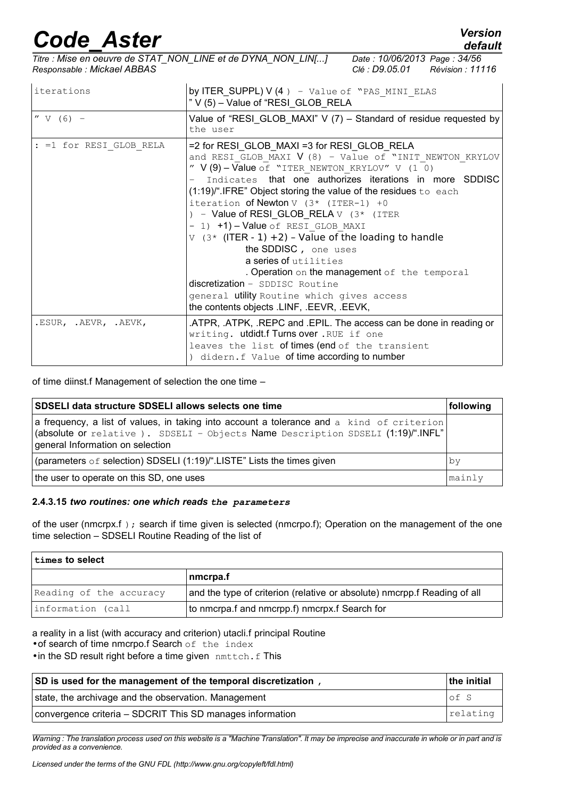*default*

*Titre : Mise en oeuvre de STAT\_NON\_LINE et de DYNA\_NON\_LIN[...] Date : 10/06/2013 Page : 34/56 Responsable : Mickael ABBAS Clé : D9.05.01 Révision : 11116*

| iterations              | by ITER_SUPPL) V (4) - Value of "PAS MINI ELAS<br>" V (5) – Value of "RESI GLOB RELA                                                                                                                                                                                                                                                                                                                                                                                                                                                                                                                                                                                                                                    |
|-------------------------|-------------------------------------------------------------------------------------------------------------------------------------------------------------------------------------------------------------------------------------------------------------------------------------------------------------------------------------------------------------------------------------------------------------------------------------------------------------------------------------------------------------------------------------------------------------------------------------------------------------------------------------------------------------------------------------------------------------------------|
| " $V(6) -$              | Value of "RESI_GLOB_MAXI" V (7) - Standard of residue requested by<br>the user                                                                                                                                                                                                                                                                                                                                                                                                                                                                                                                                                                                                                                          |
| : =1 for RESI GLOB RELA | =2 for RESI GLOB MAXI =3 for RESI GLOB RELA<br>and RESI GLOB MAXI $V(8)$ - Value of "INIT NEWTON KRYLOV<br>" $V(9)$ - Value of "ITER NEWTON KRYLOV" V (1 0)<br>- Indicates that one authorizes iterations in more SDDISC<br>$(1:19)$ ". IFRE" Object storing the value of the residues to each<br>iteration of Newton V $(3*$ (ITER-1) +0<br>) - Value of RESI_GLOB_RELA $V$ (3* (ITER<br>- 1) +1) - Value of RESI GLOB MAXI<br>$V$ (3* (ITER - 1) +2) - Value of the loading to handle<br>the SDDISC, one uses<br>a series of utilities<br>. Operation on the management of the temporal<br>discretization - SDDISC Routine<br>general utility Routine which gives access<br>the contents objects .LINF, .EEVR, .EEVK, |
| .ESUR, .AEVR, .AEVK,    | ATPR, ATPK, .REPC and .EPIL. The access can be done in reading or<br>writing. utdidt.f Turns over . RUE if one<br>leaves the list of times (end of the transient<br>) didern.f Value of time according to number                                                                                                                                                                                                                                                                                                                                                                                                                                                                                                        |

of time diinst.f Management of selection the one time –

| SDSELI data structure SDSELI allows selects one time                                                                                                                                                                  |        |
|-----------------------------------------------------------------------------------------------------------------------------------------------------------------------------------------------------------------------|--------|
| a frequency, a list of values, in taking into account a tolerance and a kind of criterion<br>$ $ (absolute or relative ). SDSELI - Objects Name Description SDSELI (1:19)". INFL"<br>general Information on selection |        |
| (parameters $\circ$ f selection) SDSELI (1:19)/".LISTE" Lists the times given<br>by                                                                                                                                   |        |
| the user to operate on this SD, one uses                                                                                                                                                                              | mainly |

#### <span id="page-33-0"></span>**2.4.3.15** *two routines: one which reads the parameters*

of the user (nmcrpx.f ); search if time given is selected (nmcrpo.f); Operation on the management of the one time selection – SDSELI Routine Reading of the list of

| $^\dagger$ times to select |                                                                          |  |
|----------------------------|--------------------------------------------------------------------------|--|
|                            | nmcrpa.f                                                                 |  |
| Reading of the accuracy    | and the type of criterion (relative or absolute) nmcrpp.f Reading of all |  |
| information (call          | to nmcrpa.f and nmcrpp.f) nmcrpx.f Search for                            |  |

a reality in a list (with accuracy and criterion) utacli.f principal Routine •of search of time nmcrpo.f Search of the index • in the SD result right before a time given nmttch.f This

| SD is used for the management of the temporal discretization, |          |
|---------------------------------------------------------------|----------|
| state, the archivage and the observation. Management          | of S     |
| convergence criteria - SDCRIT This SD manages information     | relating |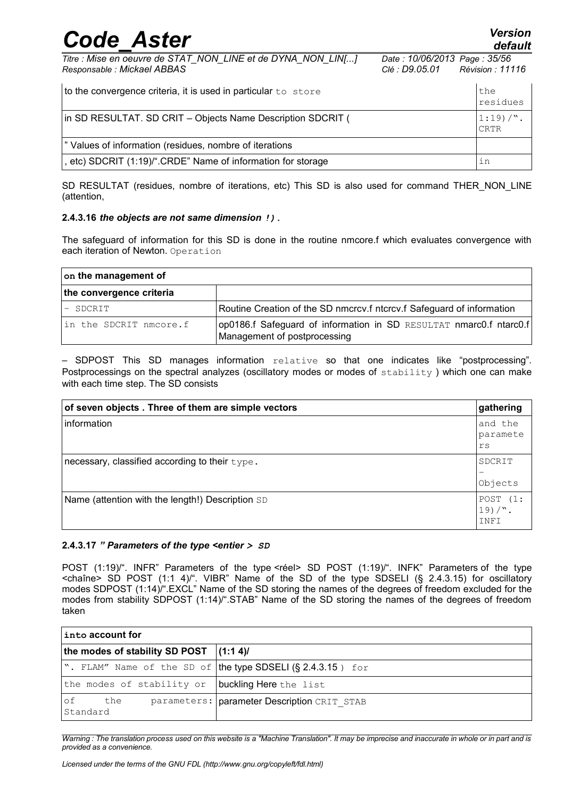*Titre : Mise en oeuvre de STAT\_NON\_LINE et de DYNA\_NON\_LIN[...] Date : 10/06/2013 Page : 35/56 Responsable : Mickael ABBAS Clé : D9.05.01 Révision : 11116*

| to the convergence criteria, it is used in particular $to$ store | the<br>residues           |
|------------------------------------------------------------------|---------------------------|
| in SD RESULTAT. SD CRIT - Objects Name Description SDCRIT (      | $1:19$ /*.<br><b>CRTR</b> |
| " Values of information (residues, nombre of iterations          |                           |
| , etc) SDCRIT $(1.19)$ ".CRDE" Name of information for storage   | ın                        |

SD RESULTAT (residues, nombre of iterations, etc) This SD is also used for command THER\_NON\_LINE (attention,

### <span id="page-34-1"></span>**2.4.3.16** *the objects are not same dimension !).*

The safeguard of information for this SD is done in the routine nmcore.f which evaluates convergence with each iteration of Newton. Operation

| on the management of     |                                                                                                    |
|--------------------------|----------------------------------------------------------------------------------------------------|
| the convergence criteria |                                                                                                    |
| - SDCRIT                 | Routine Creation of the SD nmcrcv.f ntcrcv.f Safeguard of information                              |
| in the SDCRIT nmcore.f   | op0186.f Safeguard of information in SD RESULTAT nmarc0.f ntarc0.f<br>Management of postprocessing |

– SDPOST This SD manages information relative so that one indicates like "postprocessing". Postprocessings on the spectral analyzes (oscillatory modes or modes of stability) which one can make with each time step. The SD consists

| of seven objects . Three of them are simple vectors | gathering                        |
|-----------------------------------------------------|----------------------------------|
| information                                         | and the<br>paramete<br>rs        |
| necessary, classified according to their type.      | SDCRIT<br>Objects                |
| Name (attention with the length!) Description SD    | POST $(1:$<br>$19) /$ ".<br>INFI |

#### <span id="page-34-0"></span>**2.4.3.17** *" Parameters of the type <entier > SD*

POST (1:19)<sup>"</sup>. INFR" Parameters of the type <réel> SD POST (1:19)<sup>"</sup>. INFK" Parameters of the type <chaîne> SD POST (1:1 4)/". VIBR" Name of the SD of the type SDSELI (§ 2.4.3.15) for oscillatory modes SDPOST (1:14)/".EXCL" Name of the SD storing the names of the degrees of freedom excluded for the modes from stability SDPOST (1:14)/".STAB" Name of the SD storing the names of the degrees of freedom taken

| $\mid$ into account for        |                                                              |  |  |
|--------------------------------|--------------------------------------------------------------|--|--|
| the modes of stability SD POST | (1:14)                                                       |  |  |
|                                | ". FLAM" Name of the SD of the type SDSELI (§ 2.4.3.15 ) for |  |  |
| the modes of stability or      | buckling Here the list                                       |  |  |
| оf<br>the<br>Standard          | parameters:   parameter Description CRIT STAB                |  |  |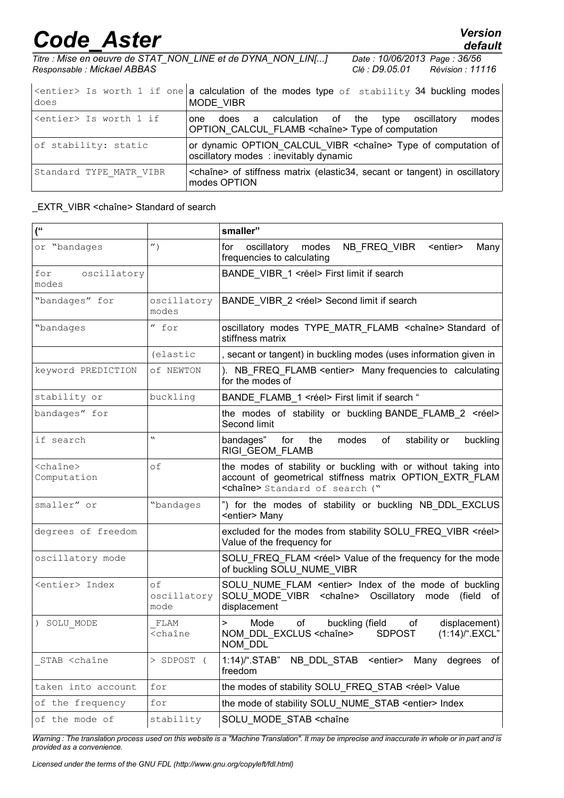# *Code\_Aster Version*<br>*Titre : Mise en oeuvre de STAT\_NON\_LINE et de DYNA\_NON\_LIN[...] Date : 10/06/2013\_Page : 36/56*

*Titre : Mise en oeuvre de STAT\_NON\_LINE et de DYNA\_NON\_LIN[...] Date : 10/06/2013 Page : 36/56 Responsable : Mickael ABBAS Clé : D9.05.01 Révision : 11116*

| does                            | $ \le$ entier> Is worth 1 if one a calculation of the modes type of stability 34 buckling modes<br><b>MODE VIBR</b>     |
|---------------------------------|-------------------------------------------------------------------------------------------------------------------------|
| <entier> Is worth 1 if</entier> | modes<br>does a calculation of the type oscillatory<br>one<br>OPTION CALCUL FLAMB <chaîne> Type of computation</chaîne> |
| of stability: static            | or dynamic OPTION CALCUL VIBR <chaîne> Type of computation of<br/>oscillatory modes: inevitably dynamic</chaîne>        |
| Standard TYPE MATR VIBR         | <chaîne> of stiffness matrix (elastic34, secant or tangent) in oscillatory<br/>modes OPTION</chaîne>                    |

\_EXTR\_VIBR <chaîne> Standard of search

| $\binom{16}{16}$                                                                                                                             |                                                                                                                                                                                                                                    | smaller"                                                                                                                                                                 |  |
|----------------------------------------------------------------------------------------------------------------------------------------------|------------------------------------------------------------------------------------------------------------------------------------------------------------------------------------------------------------------------------------|--------------------------------------------------------------------------------------------------------------------------------------------------------------------------|--|
| or "bandages                                                                                                                                 | $^{\prime\prime}$ )                                                                                                                                                                                                                | for<br>oscillatory modes<br>NB_FREQ_VIBR<br><entier><br/>Many<br/>frequencies to calculating</entier>                                                                    |  |
| oscillatory<br>for<br>modes                                                                                                                  |                                                                                                                                                                                                                                    | BANDE_VIBR_1 <réel> First limit if search</réel>                                                                                                                         |  |
| "bandages" for                                                                                                                               | oscillatory<br>modes                                                                                                                                                                                                               | BANDE VIBR 2 <réel> Second limit if search</réel>                                                                                                                        |  |
| "bandages                                                                                                                                    | " for                                                                                                                                                                                                                              | oscillatory modes TYPE_MATR_FLAMB <chaîne> Standard of<br/>stiffness matrix</chaîne>                                                                                     |  |
|                                                                                                                                              | (elastic                                                                                                                                                                                                                           | , secant or tangent) in buckling modes (uses information given in                                                                                                        |  |
| keyword PREDICTION                                                                                                                           | of NEWTON                                                                                                                                                                                                                          | ). NB FREQ FLAMB <entier> Many frequencies to calculating<br/>for the modes of</entier>                                                                                  |  |
| stability or                                                                                                                                 | buckling                                                                                                                                                                                                                           | BANDE FLAMB 1 <réel> First limit if search "</réel>                                                                                                                      |  |
| bandages" for                                                                                                                                |                                                                                                                                                                                                                                    | the modes of stability or buckling BANDE FLAMB 2 <réel><br/>Second limit</réel>                                                                                          |  |
| if search                                                                                                                                    | $\mathbf{v}$                                                                                                                                                                                                                       | of<br>bandages"<br>for<br>the<br>modes<br>stability or<br>buckling<br>RIGI GEOM FLAMB                                                                                    |  |
| <chaîne><br/>Computation</chaîne>                                                                                                            | of                                                                                                                                                                                                                                 | the modes of stability or buckling with or without taking into<br>account of geometrical stiffness matrix OPTION EXTR FLAM<br><chaîne> Standard of search ("</chaîne>    |  |
| smaller" or                                                                                                                                  | "bandages                                                                                                                                                                                                                          | ") for the modes of stability or buckling NB_DDL_EXCLUS<br><entier> Many</entier>                                                                                        |  |
| degrees of freedom                                                                                                                           |                                                                                                                                                                                                                                    | excluded for the modes from stability SOLU_FREQ_VIBR <réel><br/>Value of the frequency for</réel>                                                                        |  |
| oscillatory mode                                                                                                                             |                                                                                                                                                                                                                                    | SOLU_FREQ_FLAM <réel> Value of the frequency for the mode<br/>of buckling SOLU NUME VIBR</réel>                                                                          |  |
| <entier> Index</entier>                                                                                                                      | оf<br>oscillatory<br>mode                                                                                                                                                                                                          | SOLU NUME FLAM <entier> Index of the mode of buckling<br/>SOLU MODE VIBR <chaîne> Oscillatory mode<br/>(field<br/>_of  <br/>displacement</chaîne></entier>               |  |
| SOLU MODE                                                                                                                                    | FLAM<br><chaîne< td=""><td>Mode<br/>of the control<br/>buckling (field of<br/><math>\geq</math><br/>displacement)<br/>NOM DDL EXCLUS <chaîne><br/><b>SDPOST</b><br/><math>(1:14)</math>".EXCL"<br/>NOM DDL</chaîne></td></chaîne<> | Mode<br>of the control<br>buckling (field of<br>$\geq$<br>displacement)<br>NOM DDL EXCLUS <chaîne><br/><b>SDPOST</b><br/><math>(1:14)</math>".EXCL"<br/>NOM DDL</chaîne> |  |
| STAB <chaîne< td=""><td>&gt; SDPOST (</td><td>1:14)/".STAB" NB_DDL_STAB <entier><br/>Many degrees<br/>of<br/>freedom</entier></td></chaîne<> | > SDPOST (                                                                                                                                                                                                                         | 1:14)/".STAB" NB_DDL_STAB <entier><br/>Many degrees<br/>of<br/>freedom</entier>                                                                                          |  |
| taken into account                                                                                                                           | for                                                                                                                                                                                                                                | the modes of stability SOLU_FREQ_STAB <réel> Value</réel>                                                                                                                |  |
| of the frequency                                                                                                                             | for                                                                                                                                                                                                                                | the mode of stability SOLU_NUME_STAB <entier> Index</entier>                                                                                                             |  |
| of the mode of                                                                                                                               | stability                                                                                                                                                                                                                          | SOLU_MODE_STAB <chaîne< td=""></chaîne<>                                                                                                                                 |  |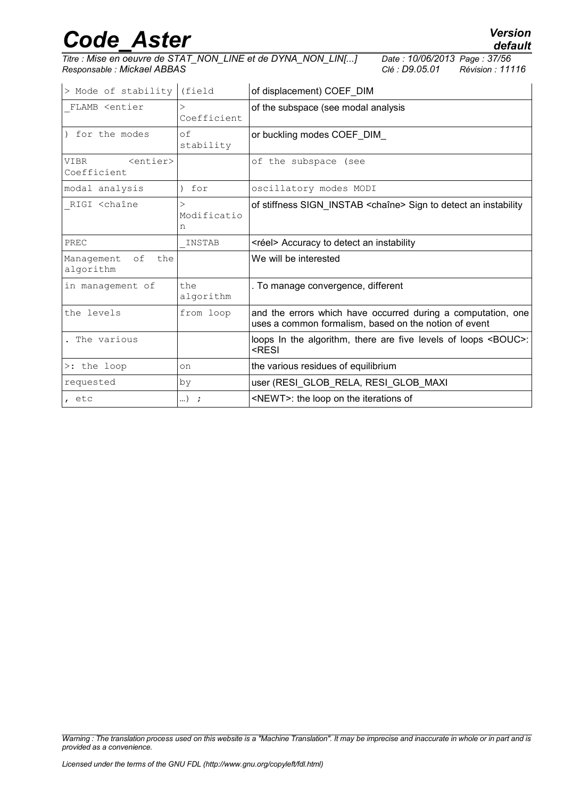*Titre : Mise en oeuvre de STAT\_NON\_LINE et de DYNA\_NON\_LIN[...] Date : 10/06/2013 Page : 37/56 Responsable : Mickael ABBAS Clé : D9.05.01 Révision : 11116*

| > Mode of stability                                                                                                                                                   | (field                           | of displacement) COEF DIM                                                                                             |
|-----------------------------------------------------------------------------------------------------------------------------------------------------------------------|----------------------------------|-----------------------------------------------------------------------------------------------------------------------|
| FLAMB <entier< td=""><td>&gt;<br/>Coefficient</td><td>of the subspace (see modal analysis</td></entier<>                                                              | ><br>Coefficient                 | of the subspace (see modal analysis                                                                                   |
| ) for the modes                                                                                                                                                       | $\circ$ f<br>stability           | or buckling modes COEF_DIM_                                                                                           |
| <entier><br/>VIBR<br/>Coefficient</entier>                                                                                                                            |                                  | of the subspace (see                                                                                                  |
| modal analysis                                                                                                                                                        | for                              | oscillatory modes MODI                                                                                                |
| RIGI <chaîne< td=""><td><math>\mathbf{L}</math><br/>Modificatio<br/>n</td><td>of stiffness SIGN INSTAB <chaîne> Sign to detect an instability</chaîne></td></chaîne<> | $\mathbf{L}$<br>Modificatio<br>n | of stiffness SIGN INSTAB <chaîne> Sign to detect an instability</chaîne>                                              |
| PREC                                                                                                                                                                  | INSTAB                           | <réel> Accuracy to detect an instability</réel>                                                                       |
| Management<br>оf<br>the<br>algorithm                                                                                                                                  |                                  | We will be interested                                                                                                 |
| in management of                                                                                                                                                      | the<br>algorithm                 | . To manage convergence, different                                                                                    |
| the levels                                                                                                                                                            | from loop                        | and the errors which have occurred during a computation, one<br>uses a common formalism, based on the notion of event |
| . The various                                                                                                                                                         |                                  | loops In the algorithm, there are five levels of loops <bouc>:<br/><resi< td=""></resi<></bouc>                       |
| $\geq$ : the loop                                                                                                                                                     | on                               | the various residues of equilibrium                                                                                   |
| requested                                                                                                                                                             | by                               | user (RESI_GLOB_RELA, RESI_GLOB_MAXI                                                                                  |
| , etc                                                                                                                                                                 | $\ldots$ ) ;                     | <newt>: the loop on the iterations of</newt>                                                                          |

*Warning : The translation process used on this website is a "Machine Translation". It may be imprecise and inaccurate in whole or in part and is provided as a convenience.*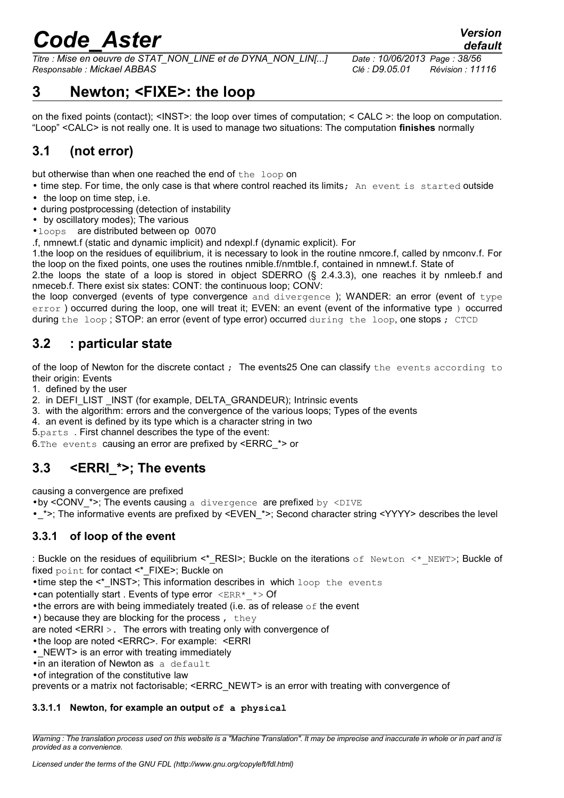*Titre : Mise en oeuvre de STAT\_NON\_LINE et de DYNA\_NON\_LIN[...] Date : 10/06/2013 Page : 38/56 Responsable : Mickael ABBAS Clé : D9.05.01 Révision : 11116*

*default*

### <span id="page-37-5"></span>**3 Newton; <FIXE>: the loop**

on the fixed points (contact); <INST>: the loop over times of computation; < CALC >: the loop on computation. "Loop" <CALC> is not really one. It is used to manage two situations: The computation **finishes** normally

### <span id="page-37-4"></span>**3.1 (not error)**

but otherwise than when one reached the end of the loop on

- time step. For time, the only case is that where control reached its limits; An event is started outside • the loop on time step, i.e.
- during postprocessing (detection of instability
- by oscillatory modes); The various
- •loops are distributed between op 0070

.f, nmnewt.f (static and dynamic implicit) and ndexpl.f (dynamic explicit). For

1.the loop on the residues of equilibrium, it is necessary to look in the routine nmcore.f, called by nmconv.f. For the loop on the fixed points, one uses the routines nmible.f/nmtble.f, contained in nmnewt.f. State of

2.the loops the state of a loop is stored in object SDERRO (§ 2.4.3.3), one reaches it by nmleeb.f and nmeceb.f. There exist six states: CONT: the continuous loop; CONV:

the loop converged (events of type convergence and divergence ); WANDER: an error (event of type error ) occurred during the loop, one will treat it; EVEN: an event (event of the informative type ) occurred during the loop: STOP: an error (event of type error) occurred during the loop, one stops ; CTCD

### <span id="page-37-3"></span>**3.2 : particular state**

of the loop of Newton for the discrete contact; The event[s25](#page-24-0) One can classify the events according to their origin: Events

- 1. defined by the user
- 2. in DEFI\_LIST LINST (for example, DELTA\_GRANDEUR); Intrinsic events
- 3. with the algorithm: errors and the convergence of the various loops; Types of the events
- 4. an event is defined by its type which is a character string in two
- 5.parts . First channel describes the type of the event:

6. The events causing an error are prefixed by <ERRC \*> or

### <span id="page-37-2"></span>**3.3 <ERRI\_\*>; The events**

causing a convergence are prefixed

•by <CONV \*>; The events causing a divergence are prefixed by  $\leq$ DIVE

• \*>; The informative events are prefixed by <EVEN \*>; Second character string <YYYY> describes the level

### <span id="page-37-1"></span>**3.3.1 of loop of the event**

: Buckle on the residues of equilibrium <\* RESI>; Buckle on the iterations of Newton <\* NEWT>; Buckle of fixed point for contact <\* FIXE>; Buckle on

• time step the  $\leq$ \* INST>; This information describes in which loop the events

• can potentially start. Events of type error  $\langle ERR^* \rangle$  \*> Of

• the errors are with being immediately treated (i.e. as of release  $\circ$  f the event

 $\bullet$ ) because they are blocking for the process, they

are noted <ERRI >. The errors with treating only with convergence of

•the loop are noted <ERRC>. For example: <ERRI

- NEWT> is an error with treating immediately
- •in an iteration of Newton as a default
- •of integration of the constitutive law

prevents or a matrix not factorisable; <ERRC\_NEWT> is an error with treating with convergence of

### <span id="page-37-0"></span>**3.3.1.1 Newton, for example an output of a physical**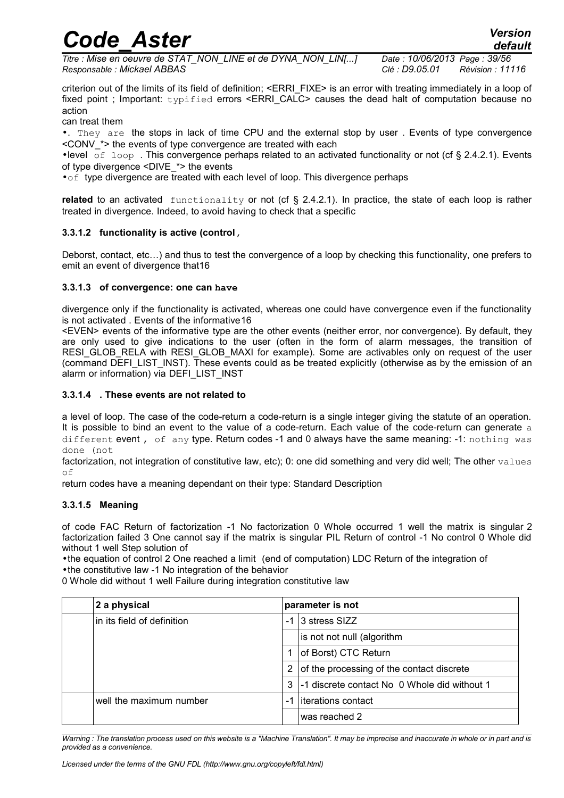*Titre : Mise en oeuvre de STAT\_NON\_LINE et de DYNA\_NON\_LIN[...] Date : 10/06/2013 Page : 39/56 Responsable : Mickael ABBAS Clé : D9.05.01 Révision : 11116*

criterion out of the limits of its field of definition; <ERRI\_FIXE> is an error with treating immediately in a loop of fixed point ; Important: typified errors <ERRI CALC> causes the dead halt of computation because no action

can treat them

•. They are the stops in lack of time CPU and the external stop by user. Events of type convergence <CONV\_\*> the events of type convergence are treated with each

• level  $\circ$ f loop. This convergence perhaps related to an activated functionality or not (cf § 2.4.2.1). Events of type divergence  $\leq$ DIVE  $\leq$  the events

• of type divergence are treated with each level of loop. This divergence perhaps

related to an activated functionality or not (cf § 2.4.2.1). In practice, the state of each loop is rather treated in divergence. Indeed, to avoid having to check that a specific

### <span id="page-38-3"></span>**3.3.1.2 functionality is active (control,**

Deborst, contact, etc…) and thus to test the convergence of a loop by checking this functionality, one prefers to emit an event of divergence tha[t16](#page-15-1)

### <span id="page-38-2"></span>**3.3.1.3 of convergence: one can have**

divergence only if the functionality is activated, whereas one could have convergence even if the functionality is not activated . Events of the informativ[e16](#page-15-1)

<EVEN> events of the informative type are the other events (neither error, nor convergence). By default, they are only used to give indications to the user (often in the form of alarm messages, the transition of RESI\_GLOB\_RELA with RESI\_GLOB\_MAXI for example). Some are activables only on request of the user (command DEFILIST INST). These events could as be treated explicitly (otherwise as by the emission of an alarm or information) via DEFI\_LIST\_INST

#### <span id="page-38-1"></span>**3.3.1.4 . These events are not related to**

a level of loop. The case of the code-return a code-return is a single integer giving the statute of an operation. It is possible to bind an event to the value of a code-return. Each value of the code-return can generate a different event, of any type. Return codes -1 and 0 always have the same meaning: -1: nothing was done (not

factorization, not integration of constitutive law, etc); 0: one did something and very did well; The other values of

return codes have a meaning dependant on their type: Standard Description

#### <span id="page-38-0"></span>**3.3.1.5 Meaning**

of code FAC Return of factorization -1 No factorization 0 Whole occurred 1 well the matrix is singular 2 factorization failed 3 One cannot say if the matrix is singular PIL Return of control -1 No control 0 Whole did without 1 well Step solution of

•the equation of control 2 One reached a limit (end of computation) LDC Return of the integration of •the constitutive law -1 No integration of the behavior

0 Whole did without 1 well Failure during integration constitutive law

|                            | 2 a physical            | parameter is not |                                              |  |
|----------------------------|-------------------------|------------------|----------------------------------------------|--|
| in its field of definition |                         | $-1$             | 3 stress SIZZ                                |  |
|                            |                         |                  | is not not null (algorithm                   |  |
|                            |                         |                  | of Borst) CTC Return                         |  |
|                            |                         | 2                | of the processing of the contact discrete    |  |
|                            |                         | 3                | -1 discrete contact No 0 Whole did without 1 |  |
|                            | well the maximum number |                  | -1 literations contact                       |  |
|                            |                         |                  | was reached 2                                |  |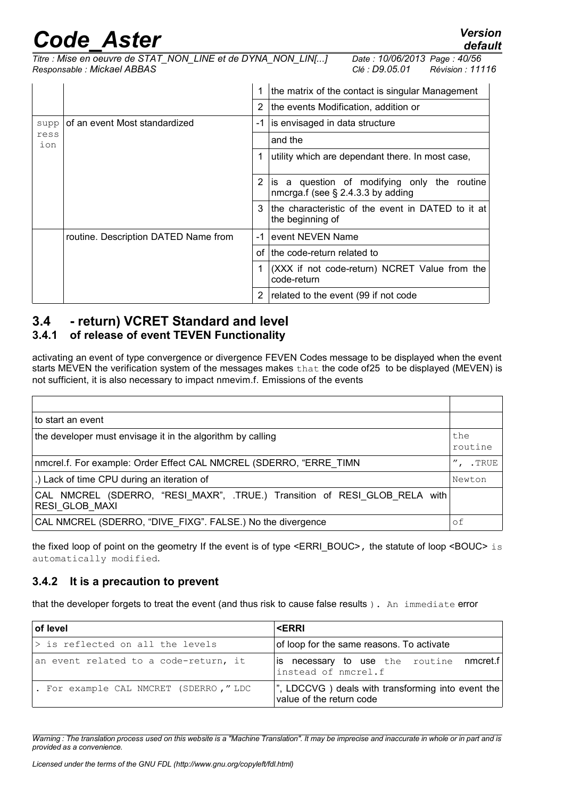*Titre : Mise en oeuvre de STAT\_NON\_LINE et de DYNA\_NON\_LIN[...] Date : 10/06/2013 Page : 40/56 Responsable : Mickael ABBAS Clé : D9.05.01 Révision : 11116*

|             |                                      | 1 <sup>1</sup> | the matrix of the contact is singular Management                                    |
|-------------|--------------------------------------|----------------|-------------------------------------------------------------------------------------|
|             |                                      |                |                                                                                     |
|             |                                      | 2              | the events Modification, addition or                                                |
| supp        | of an event Most standardized        | -1 l           | is envisaged in data structure                                                      |
| ress<br>ion |                                      |                | and the                                                                             |
|             |                                      | 1              | utility which are dependant there. In most case,                                    |
|             |                                      | $\overline{2}$ | is a question of modifying only the routine<br>nmcrga.f (see $\S$ 2.4.3.3 by adding |
|             |                                      | 3              | the characteristic of the event in DATED to it at<br>the beginning of               |
|             | routine. Description DATED Name from | -1             | event NEVEN Name                                                                    |
|             |                                      | Ωf             | the code-return related to                                                          |
|             |                                      |                | (XXX if not code-return) NCRET Value from the<br>code-return                        |
|             |                                      | 2              | related to the event (99 if not code                                                |

### <span id="page-39-2"></span><span id="page-39-1"></span>**3.4 - return) VCRET Standard and level 3.4.1 of release of event TEVEN Functionality**

activating an event of type convergence or divergence FEVEN Codes message to be displayed when the event starts MEVEN the verification system of the messages makes that the code o[f25](#page-24-0) to be displayed (MEVEN) is not sufficient, it is also necessary to impact nmevim.f. Emissions of the events

| to start an event                                                                                      |                |
|--------------------------------------------------------------------------------------------------------|----------------|
| the developer must envisage it in the algorithm by calling                                             | the<br>routine |
| nmcrel.f. For example: Order Effect CAL NMCREL (SDERRO, "ERRE TIMN                                     | .TRUE          |
| .) Lack of time CPU during an iteration of                                                             | Newton         |
| NMCREL (SDERRO, "RESI_MAXR", .TRUE.) Transition of RESI_GLOB_RELA with<br>CAL<br><b>RESI GLOB MAXI</b> |                |
| CAL NMCREL (SDERRO, "DIVE_FIXG". FALSE.) No the divergence                                             | οf             |

the fixed loop of point on the geometry If the event is of type <ERRI\_BOUC>, the statute of loop <BOUC> is automatically modified.

### <span id="page-39-0"></span>**3.4.2 It is a precaution to prevent**

that the developer forgets to treat the event (and thus risk to cause false results ). An immediate error

| of level                               | <b><erri< b=""></erri<></b>                                                   |
|----------------------------------------|-------------------------------------------------------------------------------|
| $ >$ is reflected on all the levels    | of loop for the same reasons. To activate                                     |
| an event related to a code-return, it  | is necessary to use the routine nmcret.f<br>instead of nmcrel.f               |
| . For example CAL NMCRET (SDERRO, "LDC | ", LDCCVG) deals with transforming into event the<br>value of the return code |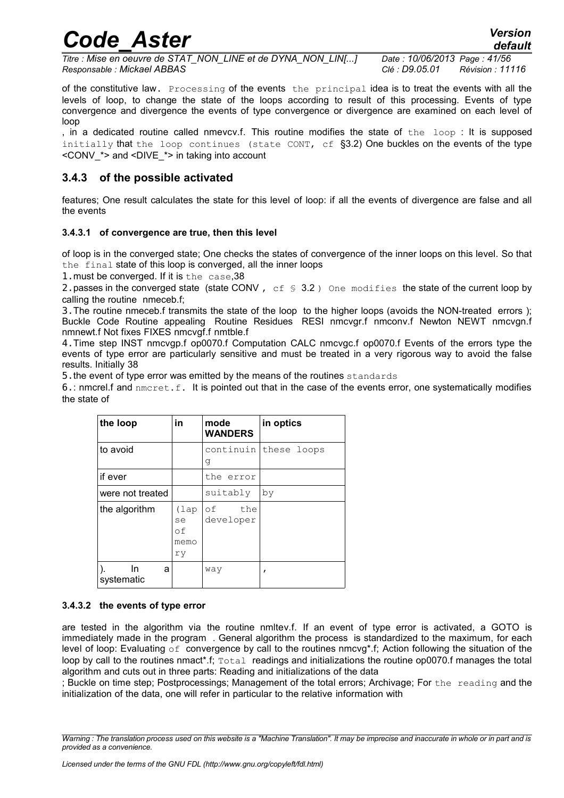*Titre : Mise en oeuvre de STAT\_NON\_LINE et de DYNA\_NON\_LIN[...] Date : 10/06/2013 Page : 41/56 Responsable : Mickael ABBAS Clé : D9.05.01 Révision : 11116*

*default*

of the constitutive law. Processing of the events the principal idea is to treat the events with all the levels of loop, to change the state of the loops according to result of this processing. Events of type convergence and divergence the events of type convergence or divergence are examined on each level of loop

*Code\_Aster Version*

, in a dedicated routine called nmevcv.f. This routine modifies the state of the loop : It is supposed initially that the loop continues (state CONT, cf  $\S 3.2$ ) One buckles on the events of the type  $<$  CONV  $*$  and  $<$ DIVE  $*$  in taking into account

### <span id="page-40-2"></span>**3.4.3 of the possible activated**

features; One result calculates the state for this level of loop: if all the events of divergence are false and all the events

#### <span id="page-40-1"></span>**3.4.3.1 of convergence are true, then this level**

of loop is in the converged state; One checks the states of convergence of the inner loops on this level. So that the final state of this loop is converged, all the inner loops

1.must be converged. If it is the case[,38](#page-37-3)

2. passes in the converged state (state CONV, cf  $\$\,3.2\,)$  One modifies the state of the current loop by calling the routine nmeceb.f;

3.The routine nmeceb.f transmits the state of the loop to the higher loops (avoids the NON-treated errors ); Buckle Code Routine appealing Routine Residues RESI nmcvgr.f nmconv.f Newton NEWT nmcvgn.f nmnewt.f Not fixes FIXES nmcvgf.f nmtble.f

4.Time step INST nmcvgp.f op0070.f Computation CALC nmcvgc.f op0070.f Events of the errors type the events of type error are particularly sensitive and must be treated in a very rigorous way to avoid the false results. Initially [38](#page-37-3)

5.the event of type error was emitted by the means of the routines standards

6.: nmcrel.f and nmcret.f. It is pointed out that in the case of the events error, one systematically modifies the state of

| the loop               | in                              | mode<br><b>WANDERS</b> | in optics             |
|------------------------|---------------------------------|------------------------|-----------------------|
| to avoid               |                                 | g                      | continuin these loops |
| if ever                |                                 | the error              |                       |
| were not treated       |                                 | suitably               | by                    |
| the algorithm          | (lap)<br>se<br>оf<br>memo<br>ry | the<br>of<br>developer |                       |
| In.<br>a<br>systematic |                                 | way                    | ,                     |

#### <span id="page-40-0"></span>**3.4.3.2 the events of type error**

are tested in the algorithm via the routine nmltev.f. If an event of type error is activated, a GOTO is immediately made in the program . General algorithm the process is standardized to the maximum, for each level of loop: Evaluating  $\circ$  f convergence by call to the routines nmcvg\*.f; Action following the situation of the loop by call to the routines nmact\*.f; Total readings and initializations the routine op0070.f manages the total algorithm and cuts out in three parts: Reading and initializations of the data

; Buckle on time step; Postprocessings; Management of the total errors; Archivage; For the reading and the initialization of the data, one will refer in particular to the relative information with

*Warning : The translation process used on this website is a "Machine Translation". It may be imprecise and inaccurate in whole or in part and is provided as a convenience.*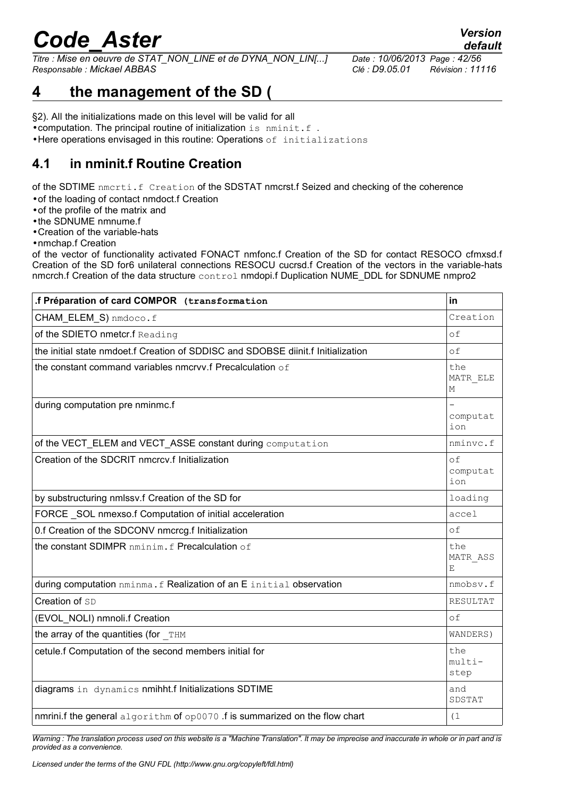*Titre : Mise en oeuvre de STAT\_NON\_LINE et de DYNA\_NON\_LIN[...] Date : 10/06/2013 Page : 42/56 Responsable : Mickael ABBAS Clé : D9.05.01 Révision : 11116*

### <span id="page-41-1"></span>**4 the management of the SD (**

§2). All the initializations made on this level will be valid for all

•computation. The principal routine of initialization is nminit.f .

•Here operations envisaged in this routine: Operations of initializations

### <span id="page-41-0"></span>**4.1 in nminit.f Routine Creation**

of the SDTIME nmcrti.f Creation of the SDSTAT nmcrst.f Seized and checking of the coherence

- •of the loading of contact nmdoct.f Creation
- •of the profile of the matrix and
- •the SDNUME nmnume.f

•Creation of the variable-hats

•nmchap.f Creation

of the vector of functionality activated FONACT nmfonc.f Creation of the SD for contact RESOCO cfmxsd.f Creation of the SD fo[r6](#page-5-3) unilateral connections RESOCU cucrsd.f Creation of the vectors in the variable-hats nmcrch.f Creation of the data structure control nmdopi.f Duplication NUME\_DDL for SDNUME nmpro2

| .f Préparation of card COMPOR (transformation                                    | in                      |
|----------------------------------------------------------------------------------|-------------------------|
| CHAM ELEM S) nmdoco.f                                                            | Creation                |
| of the SDIETO nmetcr.f Reading                                                   | оf                      |
| the initial state nmdoet.f Creation of SDDISC and SDOBSE diinit.f Initialization | of                      |
| the constant command variables nmcrvv.f Precalculation of                        | the<br>MATR ELE<br>М    |
| during computation pre nminmc.f                                                  | computat<br>ion         |
| of the VECT_ELEM and VECT_ASSE constant during computation                       | nminvc.f                |
| Creation of the SDCRIT nmcrcy f Initialization                                   | of<br>computat<br>ion   |
| by substructuring nmlssv.f Creation of the SD for                                | loading                 |
| FORCE SOL nmexso.f Computation of initial acceleration                           | accel                   |
| 0.f Creation of the SDCONV nmcrcg.f Initialization                               | оf                      |
| the constant SDIMPR nminim. f Precalculation of                                  | the<br>MATR ASS<br>F.   |
| during computation nminma. f Realization of an E initial observation             | nmobsv.f                |
| Creation of SD                                                                   | RESULTAT                |
| (EVOL_NOLI) nmnoli.f Creation                                                    | оf                      |
| the array of the quantities (for THM                                             | WANDERS)                |
| cetule.f Computation of the second members initial for                           | the<br>$multi-$<br>step |
| diagrams in dynamics nmihht.f Initializations SDTIME                             | and<br>SDSTAT           |
| nmrini.f the general algorithm of op0070 .f is summarized on the flow chart      | (1)                     |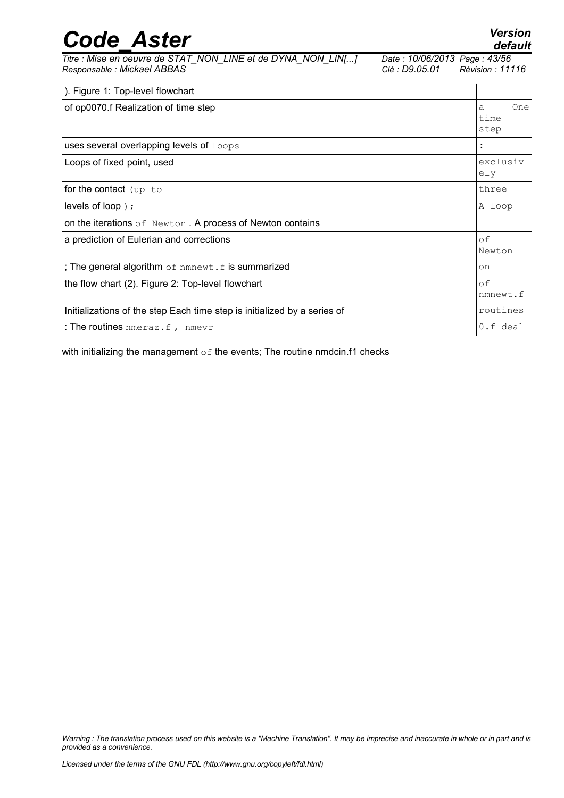*Titre : Mise en oeuvre de STAT\_NON\_LINE et de DYNA\_NON\_LIN[...] Date : 10/06/2013 Date : 10/06/2013 Page : Aickael ABBAS Responsable : Mickael ABBAS Clé : D9.05.01 Révision : 11116*

| ). Figure 1: Top-level flowchart                                         |                          |
|--------------------------------------------------------------------------|--------------------------|
| of op0070.f Realization of time step                                     | One<br>а<br>time<br>step |
| uses several overlapping levels of loops                                 | $\ddot{\cdot}$           |
| Loops of fixed point, used                                               | exclusiv<br>ely          |
| for the contact (up to                                                   | three                    |
| levels of loop);                                                         | A loop                   |
| on the iterations of Newton. A process of Newton contains                |                          |
| a prediction of Eulerian and corrections                                 | of<br>Newton             |
| ; The general algorithm of nmnewt. $f$ is summarized                     | on                       |
| the flow chart (2). Figure 2: Top-level flowchart                        | $\circ$ f<br>nmnewt.f    |
| Initializations of the step Each time step is initialized by a series of | routines                 |
| : The routines nmeraz.f, nmevr                                           | $0.f$ deal               |

with initializing the management  $\circ$  f the events; The routine nmdcin.f[1](#page-43-1) checks

*Warning : The translation process used on this website is a "Machine Translation". It may be imprecise and inaccurate in whole or in part and is provided as a convenience.*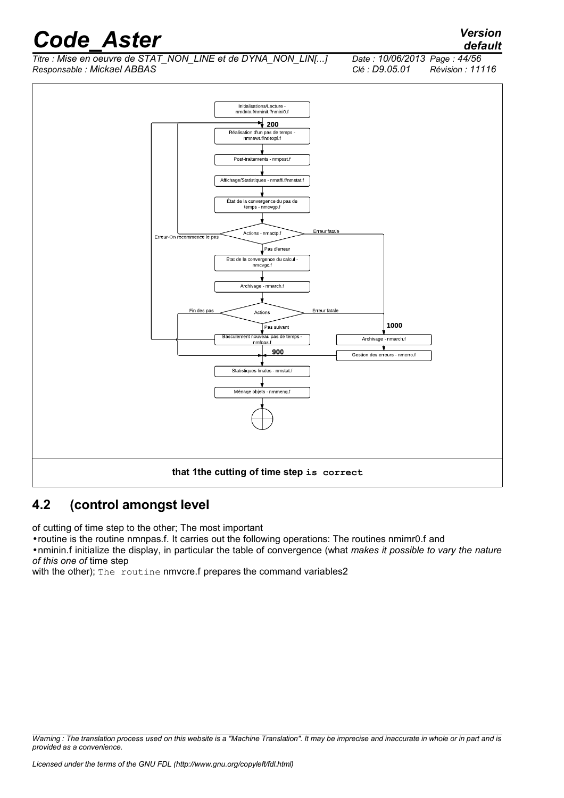*Titre : Mise en oeuvre de STAT\_NON\_LINE et de DYNA\_NON\_LIN[...] Date : 10/06/2013 Page : 44/56 Responsable : Mickael ABBAS Clé : D9.05.01 Révision : 11116*



### <span id="page-43-1"></span><span id="page-43-0"></span>**4.2 (control amongst level**

of cutting of time step to the other; The most important

•routine is the routine nmnpas.f. It carries out the following operations: The routines nmimr0.f and

•nminin.f initialize the display, in particular the table of convergence (what *makes it possible to vary the nature of this one of* time step

with the other); The routine nmvcre.f prepares the command variable[s2](#page-44-2)

*default*

*Warning : The translation process used on this website is a "Machine Translation". It may be imprecise and inaccurate in whole or in part and is provided as a convenience.*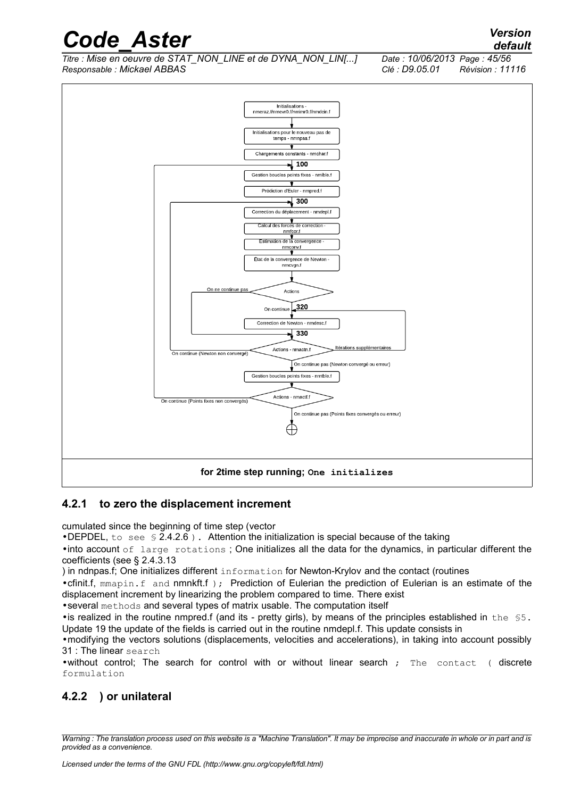*Titre : Mise en oeuvre de STAT\_NON\_LINE et de DYNA\_NON\_LIN[...] Date : 10/06/2013 Page : 45/56 Responsable : Mickael ABBAS Clé : D9.05.01 Révision : 11116*



### <span id="page-44-2"></span><span id="page-44-1"></span>**4.2.1 to zero the displacement increment**

cumulated since the beginning of time step (vector

•DEPDEL, to see  $$2.4.2.6$ ). Attention the initialization is special because of the taking

•into account of large rotations ; One initializes all the data for the dynamics, in particular different the coefficients (see § 2.4.3.13

) in ndnpas.f; One initializes different information for Newton-Krylov and the contact (routines

•cfinit.f, mmapin.f and nmnkft.f ); Prediction of Eulerian the prediction of Eulerian is an estimate of the displacement increment by linearizing the problem compared to time. There exist

•several methods and several types of matrix usable. The computation itself

• is realized in the routine nmpred.f (and its - pretty girls), by means of the principles established in the  $$5.$ Update [19](#page-18-0) the update of the fields is carried out in the routine nmdepl.f. This update consists in

•modifying the vectors solutions (displacements, velocities and accelerations), in taking into account possibly [31](#page-30-0) : The linear search

•without control; The search for control with or without linear search ; The contact ( discrete formulation

### <span id="page-44-0"></span>**4.2.2 ) or unilateral**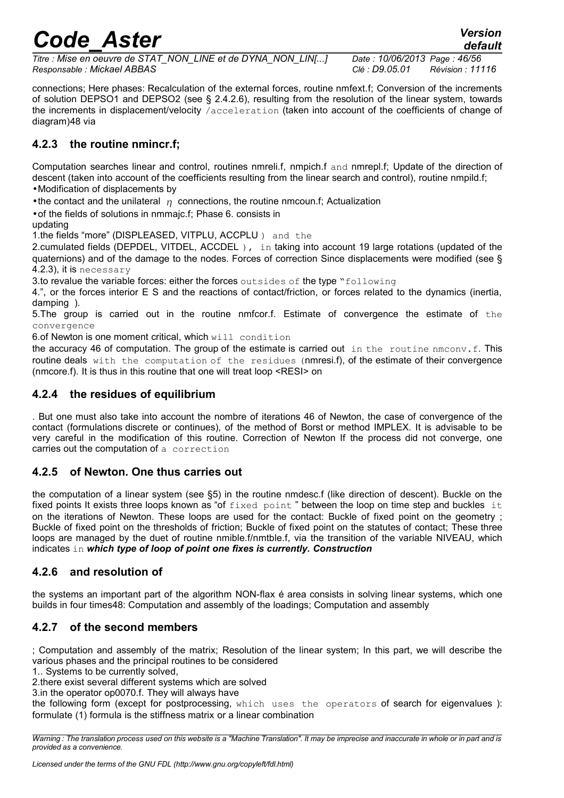*default*

*Titre : Mise en oeuvre de STAT\_NON\_LINE et de DYNA\_NON\_LIN[...] Date : 10/06/2013 Page : 46/56 Responsable : Mickael ABBAS Clé : D9.05.01 Révision : 11116*

connections; Here phases: Recalculation of the external forces, routine nmfext.f; Conversion of the increments of solution DEPSO1 and DEPSO2 (see § 2.4.2.6), resulting from the resolution of the linear system, towards the increments in displacement/velocity /acceleration (taken into account of the coefficients of change of diagram[\)48](#page-47-3) via

### <span id="page-45-4"></span>**4.2.3 the routine nmincr.f;**

Computation searches linear and control, routines nmreli.f, nmpich.f and nmrepl.f; Update of the direction of descent (taken into account of the coefficients resulting from the linear search and control), routine nmpild.f; •Modification of displacements by

•the contact and the unilateral  $\eta$  connections, the routine nmcoun.f; Actualization

•of the fields of solutions in nmmajc.f; Phase 6. consists in

updating

1.the fields "more" (DISPLEASED, VITPLU, ACCPLU ) and the

2.cumulated fields (DEPDEL, VITDEL, ACCDEL ), in taking into account [19](#page-18-0) large rotations (updated of the quaternions) and of the damage to the nodes. Forces of correction Since displacements were modified (see § 4.2.3), it is necessary

3.to revalue the variable forces: either the forces outsides of the type "following

4.", or the forces interior E S and the reactions of contact/friction, or forces related to the dynamics (inertia, damping ).

5.The group is carried out in the routine nmfcor.f. Estimate of convergence the estimate of the convergence

<span id="page-45-5"></span>6.of Newton is one moment critical, which will condition

the accuracy [46](#page-45-5) of computation. The group of the estimate is carried out in the routine nmconv.  $f$ . This routine deals with the computation of the residues (nmresi.f), of the estimate of their convergence (nmcore.f). It is thus in this routine that one will treat loop <RESI> on

### <span id="page-45-3"></span>**4.2.4 the residues of equilibrium**

. But one must also take into account the nombre of iterations [46](#page-45-4) of Newton, the case of convergence of the contact (formulations discrete or continues), of the method of Borst or method IMPLEX. It is advisable to be very careful in the modification of this routine. Correction of Newton If the process did not converge, one carries out the computation of a correction

### <span id="page-45-2"></span>**4.2.5 of Newton. One thus carries out**

the computation of a linear system (see §5) in the routine nmdesc.f (like direction of descent). Buckle on the fixed points It exists three loops known as "of fixed point" between the loop on time step and buckles it on the iterations of Newton. These loops are used for the contact: Buckle of fixed point on the geometry ; Buckle of fixed point on the thresholds of friction; Buckle of fixed point on the statutes of contact; These three loops are managed by the duet of routine nmible.f/nmtble.f, via the transition of the variable NIVEAU, which indicates in *which type of loop of point one fixes is currently. Construction*

### <span id="page-45-1"></span>**4.2.6 and resolution of**

the systems an important part of the algorithm NON-flax é area consists in solving linear systems, which one builds in four time[s48:](#page-47-3) Computation and assembly of the loadings; Computation and assembly

### <span id="page-45-0"></span>**4.2.7 of the second members**

; Computation and assembly of the matrix; Resolution of the linear system; In this part, we will describe the various phases and the principal routines to be considered

1.. Systems to be currently solved,

2.there exist several different systems which are solved

3.in the operator op0070.f. They will always have

the following form (except for postprocessing, which uses the operators of search for eigenvalues ): formulate (1) formula is the stiffness matrix or a linear combination

*Warning : The translation process used on this website is a "Machine Translation". It may be imprecise and inaccurate in whole or in part and is provided as a convenience.*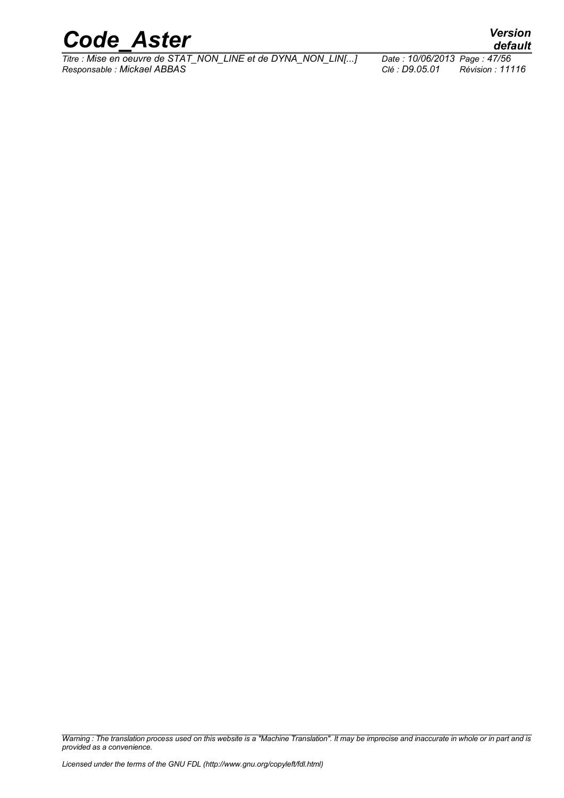

*default*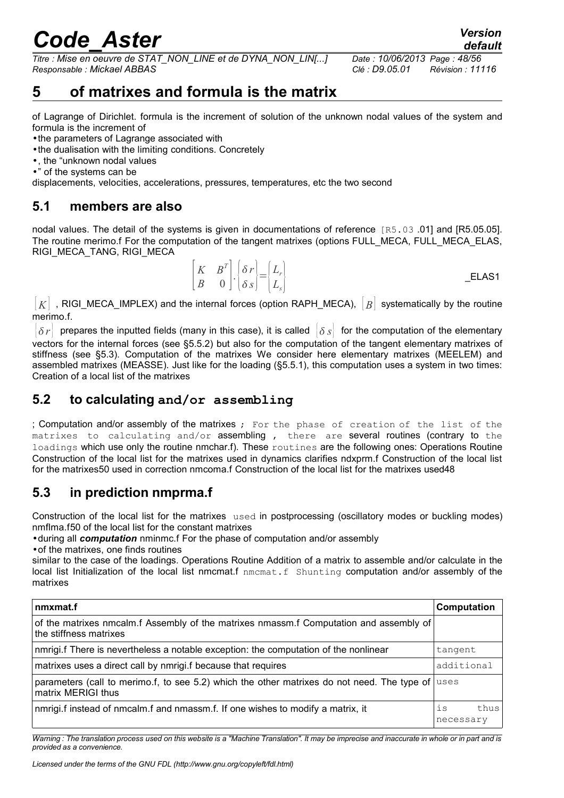*Titre : Mise en oeuvre de STAT\_NON\_LINE et de DYNA\_NON\_LIN[...] Date : 10/06/2013 Page : 48/56 Responsable : Mickael ABBAS Clé : D9.05.01 Révision : 11116*

*default*

### <span id="page-47-3"></span>**5 of matrixes and formula is the matrix**

of Lagrange of Dirichlet. formula is the increment of solution of the unknown nodal values of the system and formula is the increment of

•the parameters of Lagrange associated with

•the dualisation with the limiting conditions. Concretely

- •, the "unknown nodal values
- •" of the systems can be

displacements, velocities, accelerations, pressures, temperatures, etc the two second

### <span id="page-47-2"></span>**5.1 members are also**

nodal values. The detail of the systems is given in documentations of reference [R5.03 .01] and [R5.05.05]. The routine merimo.f For the computation of the tangent matrixes (options FULL\_MECA, FULL\_MECA\_ELAS, RIGI\_MECA\_TANG, RIGI\_MECA

[ *K B T B* 0 ] .{ *r s*}={ *Lr Ls*} \_ELAS1

 $|K|$ , RIGI\_MECA\_IMPLEX) and the internal forces (option RAPH\_MECA),  $|B|$  systematically by the routine merimo.f.

 $|8r|$  prepares the inputted fields (many in this case), it is called  $|8s|$  for the computation of the elementary vectors for the internal forces (see §5.5.2) but also for the computation of the tangent elementary matrixes of stiffness (see §5.3). Computation of the matrixes We consider here elementary matrixes (MEELEM) and assembled matrixes (MEASSE). Just like for the loading (§5.5.1), this computation uses a system in two times: Creation of a local list of the matrixes

### <span id="page-47-1"></span>**5.2 to calculating and/or assembling**

; Computation and/or assembly of the matrixes ; For the phase of creation of the list of the matrixes to calculating and/or assembling, there are several routines (contrary to the loadings which use only the routine nmchar.f). These routines are the following ones: Operations Routine Construction of the local list for the matrixes used in dynamics clarifies ndxprm.f Construction of the local list for the matrixe[s50](#page-49-0) used in correction nmcoma.f Construction of the local list for the matrixes use[d48](#page-47-0)

### <span id="page-47-0"></span>**5.3 in prediction nmprma.f**

Construction of the local list for the matrixes used in postprocessing (oscillatory modes or buckling modes) nmflma.[f50](#page-49-1) of the local list for the constant matrixes

•during all *computation* nminmc.f For the phase of computation and/or assembly

•of the matrixes, one finds routines

similar to the case of the loadings. Operations Routine Addition of a matrix to assemble and/or calculate in the local list Initialization of the local list nmcmat.f nmcmat.f Shunting computation and/or assembly of the matrixes

| nmxmat.f                                                                                                                  | Computation              |  |  |  |
|---------------------------------------------------------------------------------------------------------------------------|--------------------------|--|--|--|
| of the matrixes nmcalm. f Assembly of the matrixes nmassm. f Computation and assembly of<br>the stiffness matrixes        |                          |  |  |  |
| nmrigi.f There is nevertheless a notable exception: the computation of the nonlinear                                      |                          |  |  |  |
| matrixes uses a direct call by nmrigi.f because that requires                                                             |                          |  |  |  |
| parameters (call to merimo.f, to see 5.2) which the other matrixes do not need. The type of<br>uses<br>matrix MERIGI thus |                          |  |  |  |
| nmrigi.f instead of nmcalm.f and nmassm.f. If one wishes to modify a matrix, it                                           | thus<br>is.<br>necessary |  |  |  |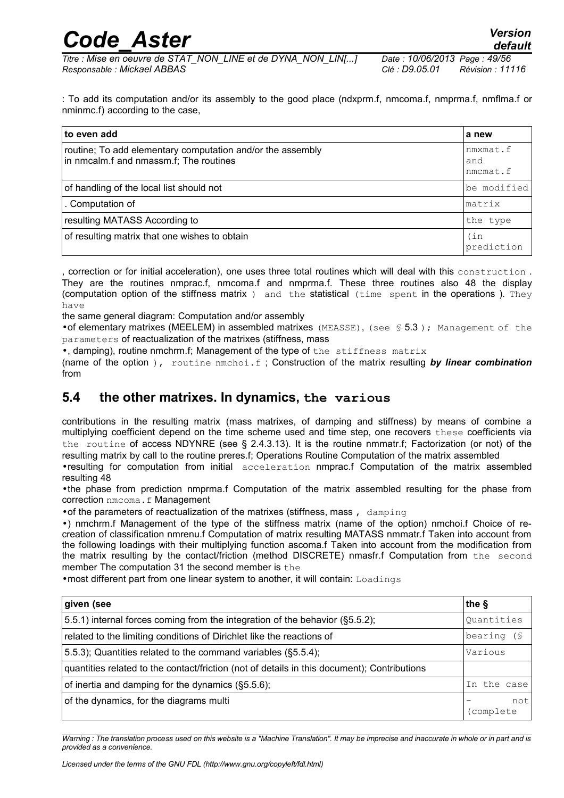| <b>Code Aster</b> | <b>Version</b> |
|-------------------|----------------|
|                   | default        |

*Titre : Mise en oeuvre de STAT\_NON\_LINE et de DYNA\_NON\_LIN[...] Date : 10/06/2013 Page : 49/56 Responsable : Mickael ABBAS Clé : D9.05.01 Révision : 11116*

: To add its computation and/or its assembly to the good place (ndxprm.f, nmcoma.f, nmprma.f, nmflma.f or nminmc.f) according to the case,

| to even add                                                                                          | a new                       |
|------------------------------------------------------------------------------------------------------|-----------------------------|
| routine; To add elementary computation and/or the assembly<br>in nmcalm.f and nmassm.f; The routines | nmxmat.f<br>and<br>nmcmat.f |
| of handling of the local list should not                                                             | be modified                 |
| . Computation of                                                                                     | matrix                      |
| resulting MATASS According to                                                                        | the type                    |
| of resulting matrix that one wishes to obtain                                                        | (in)<br>prediction          |

, correction or for initial acceleration), one uses three total routines which will deal with this construction . They are the routines nmprac.f, nmcoma.f and nmprma.f. These three routines also [48](#page-47-1) the display (computation option of the stiffness matrix ) and the statistical (time spent in the operations ). They have

the same general diagram: Computation and/or assembly

•of elementary matrixes (MEELEM) in assembled matrixes (MEASSE), (see § 5.3 ); Management of the parameters of reactualization of the matrixes (stiffness, mass

•, damping), routine nmchrm.f; Management of the type of the stiffness matrix

(name of the option ), routine nmchoi.f ; Construction of the matrix resulting *by linear combination* from

### <span id="page-48-0"></span>**5.4 the other matrixes. In dynamics, the various**

contributions in the resulting matrix (mass matrixes, of damping and stiffness) by means of combine a multiplying coefficient depend on the time scheme used and time step, one recovers these coefficients via the routine of access NDYNRE (see § 2.4.3.13). It is the routine nmmatr.f; Factorization (or not) of the resulting matrix by call to the routine preres.f; Operations Routine Computation of the matrix assembled

•resulting for computation from initial acceleration nmprac.f Computation of the matrix assembled resulting [48](#page-47-0)

•the phase from prediction nmprma.f Computation of the matrix assembled resulting for the phase from correction nmcoma.f Management

• of the parameters of reactualization of the matrixes (stiffness, mass, damping

•) nmchrm.f Management of the type of the stiffness matrix (name of the option) nmchoi.f Choice of recreation of classification nmrenu.f Computation of matrix resulting MATASS nmmatr.f Taken into account from the following loadings with their multiplying function ascoma.f Taken into account from the modification from the matrix resulting by the contact/friction (method DISCRETE) nmasfr.f Computation from the second member The computation [31](#page-30-0) the second member is the

•most different part from one linear system to another, it will contain: Loadings

| given (see                                                                                  | the $\S$         |
|---------------------------------------------------------------------------------------------|------------------|
| 5.5.1) internal forces coming from the integration of the behavior (§5.5.2);                | Quantities       |
| related to the limiting conditions of Dirichlet like the reactions of                       | bearing (\$      |
| 5.5.3); Quantities related to the command variables (§5.5.4);                               | Various          |
| quantities related to the contact/friction (not of details in this document); Contributions |                  |
| of inertia and damping for the dynamics (§5.5.6);                                           | In the case      |
| of the dynamics, for the diagrams multi                                                     | not<br>(complete |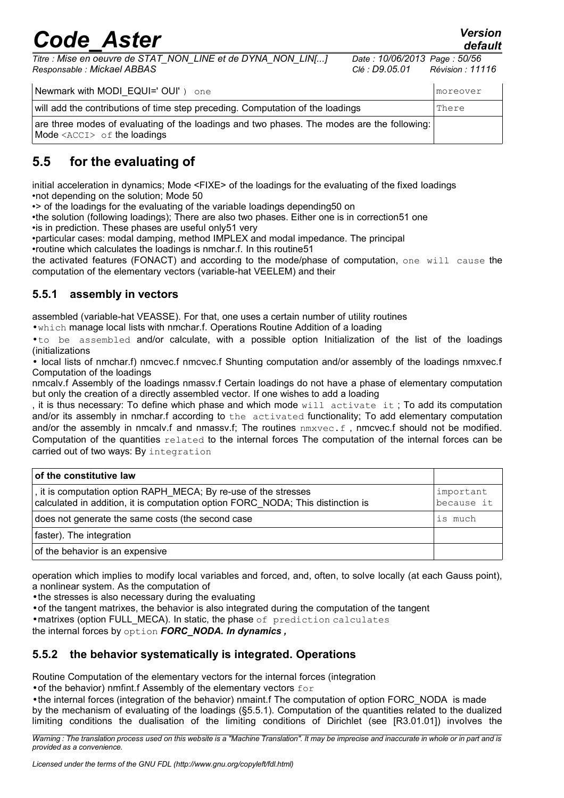*default*

*Titre : Mise en oeuvre de STAT\_NON\_LINE et de DYNA\_NON\_LIN[...] Date : 10/06/2013 Page : 50/56 Responsable : Mickael ABBAS Clé : D9.05.01 Révision : 11116*

| Newmark with MODI EQUI=' OUI' ) one                                                                                                              | Imoreover |
|--------------------------------------------------------------------------------------------------------------------------------------------------|-----------|
| will add the contributions of time step preceding. Computation of the loadings                                                                   | There     |
| are three modes of evaluating of the loadings and two phases. The modes are the following:<br>Mode $\langle \text{ACCI} \rangle$ of the loadings |           |

### <span id="page-49-2"></span>**5.5 for the evaluating of**

initial acceleration in dynamics; Mode <FIXE> of the loadings for the evaluating of the fixed loadings •not depending on the solution; Mode [50](#page-49-1)

•> of the loadings for the evaluating of the variable loadings dependin[g50](#page-49-0) on

•the solution (following loadings); There are also two phases. Either one is in correctio[n51](#page-50-1) one

•is in prediction. These phases are useful onl[y51](#page-50-0) very

•particular cases: modal damping, method IMPLEX and modal impedance. The principal

•routine which calculates the loadings is nmchar.f. In this routin[e51](#page-50-2)

the activated features (FONACT) and according to the mode/phase of computation, one will cause the computation of the elementary vectors (variable-hat VEELEM) and their

### <span id="page-49-1"></span>**5.5.1 assembly in vectors**

assembled (variable-hat VEASSE). For that, one uses a certain number of utility routines

•which manage local lists with nmchar.f. Operations Routine Addition of a loading

•to be assembled and/or calculate, with a possible option Initialization of the list of the loadings (initializations

• local lists of nmchar.f) nmcvec.f nmcvec.f Shunting computation and/or assembly of the loadings nmxvec.f Computation of the loadings

nmcalv.f Assembly of the loadings nmassv.f Certain loadings do not have a phase of elementary computation but only the creation of a directly assembled vector. If one wishes to add a loading

, it is thus necessary: To define which phase and which mode  $\text{will}$  activate it; To add its computation and/or its assembly in nmchar.f according to the activated functionality; To add elementary computation and/or the assembly in nmcalv.f and nmassv.f; The routines  $nmxvec$ , nmcvec.f should not be modified. Computation of the quantities related to the internal forces The computation of the internal forces can be carried out of two ways: By integration

| of the constitutive law                                                                                                                            |                         |
|----------------------------------------------------------------------------------------------------------------------------------------------------|-------------------------|
| , it is computation option RAPH_MECA; By re-use of the stresses<br>calculated in addition, it is computation option FORC NODA; This distinction is | important<br>because it |
| does not generate the same costs (the second case                                                                                                  | is much                 |
| faster). The integration                                                                                                                           |                         |
| of the behavior is an expensive                                                                                                                    |                         |

operation which implies to modify local variables and forced, and, often, to solve locally (at each Gauss point), a nonlinear system. As the computation of

•the stresses is also necessary during the evaluating

•of the tangent matrixes, the behavior is also integrated during the computation of the tangent •matrixes (option FULL\_MECA). In static, the phase of prediction calculates the internal forces by option *FORC\_NODA. In dynamics ,* 

### <span id="page-49-0"></span>**5.5.2 the behavior systematically is integrated. Operations**

Routine Computation of the elementary vectors for the internal forces (integration

• of the behavior) nmfint.f Assembly of the elementary vectors  $for$ 

•the internal forces (integration of the behavior) nmaint.f The computation of option FORC\_NODA is made by the mechanism of evaluating of the loadings (§5.5.1). Computation of the quantities related to the dualized limiting conditions the dualisation of the limiting conditions of Dirichlet (see [R3.01.01]) involves the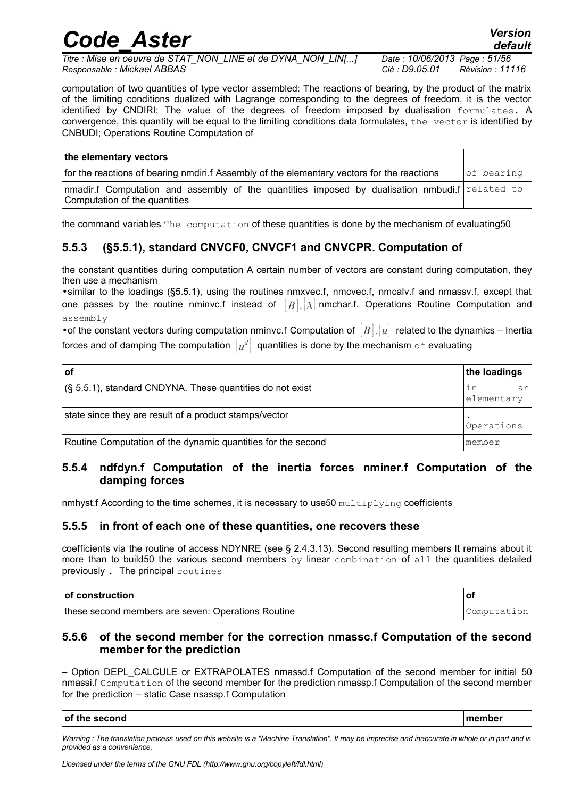*default*

*Titre : Mise en oeuvre de STAT\_NON\_LINE et de DYNA\_NON\_LIN[...] Date : 10/06/2013 Page : 51/56 Responsable : Mickael ABBAS Clé : D9.05.01 Révision : 11116*

computation of two quantities of type vector assembled: The reactions of bearing, by the product of the matrix of the limiting conditions dualized with Lagrange corresponding to the degrees of freedom, it is the vector identified by CNDIRI; The value of the degrees of freedom imposed by dualisation formulates. A convergence, this quantity will be equal to the limiting conditions data formulates, the vector is identified by CNBUDI; Operations Routine Computation of

| the elementary vectors                                                                                                           |            |
|----------------------------------------------------------------------------------------------------------------------------------|------------|
| for the reactions of bearing nmdiri. Assembly of the elementary vectors for the reactions                                        | of bearing |
| Inmadir.f Computation and assembly of the quantities imposed by dualisation nmbudi.f related to<br>Computation of the quantities |            |

the command variables The computation of these quantities is done by the mechanism of evaluatin[g50](#page-49-1)

### <span id="page-50-1"></span>**5.5.3 (§5.5.1), standard CNVCF0, CNVCF1 and CNVCPR. Computation of**

the constant quantities during computation A certain number of vectors are constant during computation, they then use a mechanism

•similar to the loadings (§5.5.1), using the routines nmxvec.f, nmcvec.f, nmcalv.f and nmassv.f, except that one passes by the routine nminvc.f instead of  $B \cup \lambda$  nmchar.f. Operations Routine Computation and assembly

• of the constant vectors during computation nminvc.f Computation of  $|B|$   $|u|$  related to the dynamics – Inertia forces and of damping The computation  $\, \big| u^d \big| \,$  quantities is done by the mechanism  $\circ$  f evaluating

| ∣of                                                                         | the loadings           |
|-----------------------------------------------------------------------------|------------------------|
| $\left( \frac{6}{5}$ 5.5.1), standard CNDYNA. These quantities do not exist | ın<br>an<br>elementary |
| state since they are result of a product stamps/vector                      | Operations             |
| Routine Computation of the dynamic quantities for the second                | member                 |

### <span id="page-50-0"></span>**5.5.4 ndfdyn.f Computation of the inertia forces nminer.f Computation of the damping forces**

nmhyst.f According to the time schemes, it is necessary to us[e50](#page-49-1) multiplying coefficients

### <span id="page-50-3"></span>**5.5.5 in front of each one of these quantities, one recovers these**

coefficients via the routine of access NDYNRE (see § 2.4.3.13). Second resulting members It remains about it more than to buil[d50](#page-49-1) the various second members by linear combination of all the quantities detailed previously. The principal routines

| $\mid$ of construction                             |             |
|----------------------------------------------------|-------------|
| these second members are seven: Operations Routine | Computation |

### <span id="page-50-2"></span>**5.5.6 of the second member for the correction nmassc.f Computation of the second member for the prediction**

– Option DEPL\_CALCULE or EXTRAPOLATES nmassd.f Computation of the second member for initial [50](#page-49-1) nmassi.f Computation of the second member for the prediction nmassp.f Computation of the second member for the prediction – static Case nsassp.f Computation

| of the second | member |
|---------------|--------|
|               |        |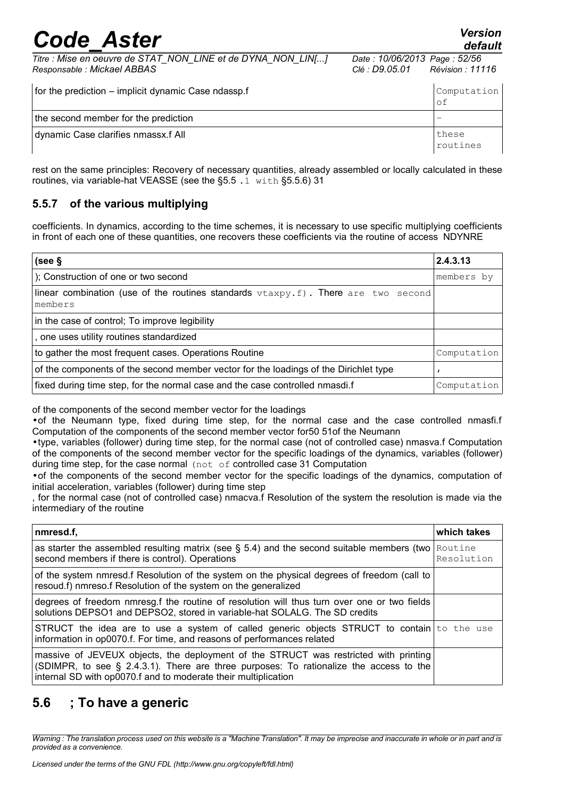*default*

| Titre : Mise en oeuvre de STAT NON LINE et de DYNA NON LIN[]<br>Responsable : Mickael ABBAS | Date: 10/06/2013 Page: 52/56<br>Clé : D9.05.01 | Révision : 11116   |
|---------------------------------------------------------------------------------------------|------------------------------------------------|--------------------|
| for the prediction $-$ implicit dynamic Case ndassp.f                                       |                                                | Computation<br>.of |
| the second member for the prediction                                                        |                                                |                    |
| dynamic Case clarifies nmassx.f All                                                         |                                                | these<br>routines  |

rest on the same principles: Recovery of necessary quantities, already assembled or locally calculated in these routines, via variable-hat VEASSE (see the §5.5 .1 with §5.5.6) [31](#page-30-0)

### <span id="page-51-1"></span>**5.5.7 of the various multiplying**

coefficients. In dynamics, according to the time schemes, it is necessary to use specific multiplying coefficients in front of each one of these quantities, one recovers these coefficients via the routine of access NDYNRE

| (see §                                                                                       | 2.4.3.13    |  |
|----------------------------------------------------------------------------------------------|-------------|--|
| ); Construction of one or two second                                                         | members by  |  |
| linear combination (use of the routines standards vtaxpy.f). There are two second<br>members |             |  |
| in the case of control; To improve legibility                                                |             |  |
| , one uses utility routines standardized                                                     |             |  |
| to gather the most frequent cases. Operations Routine                                        | Computation |  |
| of the components of the second member vector for the loadings of the Dirichlet type         |             |  |
| fixed during time step, for the normal case and the case controlled nmasdi.f                 | Computation |  |

of the components of the second member vector for the loadings

•of the Neumann type, fixed during time step, for the normal case and the case controlled nmasfi.f Computation of the components of the second member vector fo[r50](#page-49-1) [51o](#page-50-2)f the Neumann

•type, variables (follower) during time step, for the normal case (not of controlled case) nmasva.f Computation of the components of the second member vector for the specific loadings of the dynamics, variables (follower) during time step, for the case normal (not of controlled case [31](#page-30-0) Computation

•of the components of the second member vector for the specific loadings of the dynamics, computation of initial acceleration, variables (follower) during time step

, for the normal case (not of controlled case) nmacva.f Resolution of the system the resolution is made via the intermediary of the routine

| nmresd.f,                                                                                                                                                                                                                                        | which takes           |
|--------------------------------------------------------------------------------------------------------------------------------------------------------------------------------------------------------------------------------------------------|-----------------------|
| as starter the assembled resulting matrix (see $\S$ 5.4) and the second suitable members (two<br>second members if there is control). Operations                                                                                                 | Routine<br>Resolution |
| of the system nmresd f Resolution of the system on the physical degrees of freedom (call to<br>resoud.f) nmreso.f Resolution of the system on the generalized                                                                                    |                       |
| degrees of freedom nmresg. f the routine of resolution will thus turn over one or two fields<br>solutions DEPSO1 and DEPSO2, stored in variable-hat SOLALG. The SD credits                                                                       |                       |
| STRUCT the idea are to use a system of called generic objects STRUCT to contain to the use<br>information in op0070.f. For time, and reasons of performances related                                                                             |                       |
| massive of JEVEUX objects, the deployment of the STRUCT was restricted with printing<br>(SDIMPR, to see § 2.4.3.1). There are three purposes: To rationalize the access to the<br>internal SD with op0070.f and to moderate their multiplication |                       |

### <span id="page-51-0"></span>**5.6 ; To have a generic**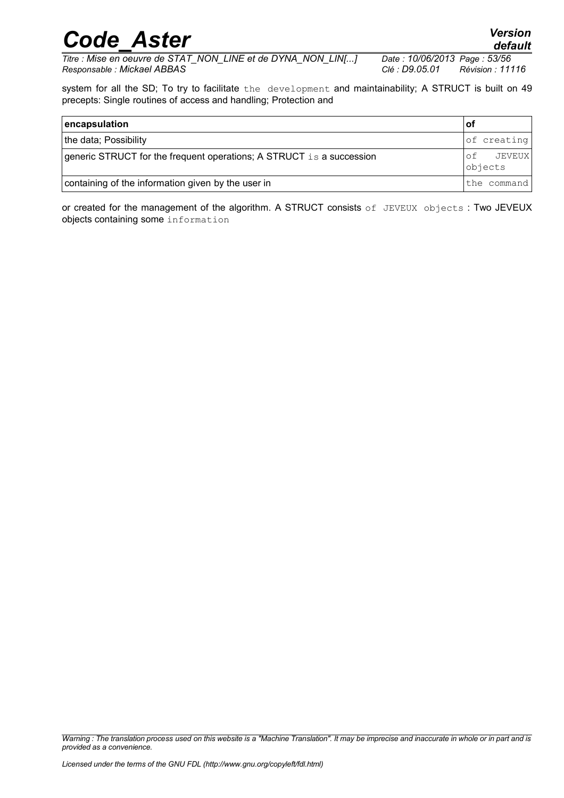*Titre : Mise en oeuvre de STAT\_NON\_LINE et de DYNA\_NON\_LIN[...] Date : 10/06/2013 Page : 53/56 Responsable : Mickael ABBAS Clé : D9.05.01 Révision : 11116*

system for all the SD; To try to facilitate the development and maintainability; A STRUCT is built on [49](#page-48-0) precepts: Single routines of access and handling; Protection and

| encapsulation                                                             | O1                   |
|---------------------------------------------------------------------------|----------------------|
| the data; Possibility                                                     | of creating          |
| generic STRUCT for the frequent operations; A STRUCT $\pm s$ a succession | of JEVEUX<br>objects |
| containing of the information given by the user in                        | the command          |

or created for the management of the algorithm. A STRUCT consists of JEVEUX objects : Two JEVEUX objects containing some information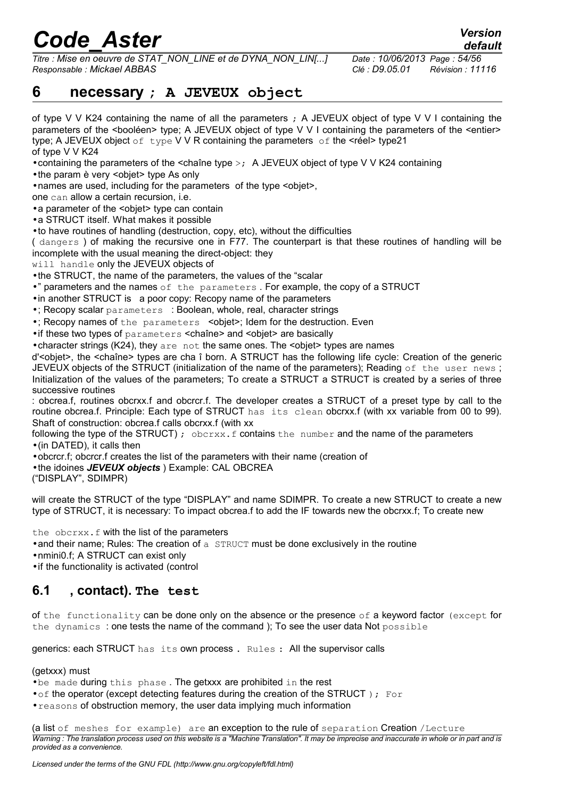*Titre : Mise en oeuvre de STAT\_NON\_LINE et de DYNA\_NON\_LIN[...] Date : 10/06/2013 Page : 54/56 Responsable : Mickael ABBAS Clé : D9.05.01 Révision : 11116*

### <span id="page-53-1"></span>**6 necessary ; A JEVEUX object**

of type V V K24 containing the name of all the parameters ; A JEVEUX object of type V V I containing the parameters of the <booléen> type; A JEVEUX object of type V V I containing the parameters of the <entier> type; A JEVEUX object  $\circ$  f type V V R containing the parameters  $\circ$  f the <reel> typ[e21](#page-20-0) of type V V K24

• containing the parameters of the <chaîne type >; A JEVEUX object of type V V K24 containing

•the param è very <objet> type As only

• names are used, including for the parameters of the type <objet>,

one can allow a certain recursion, i.e.

• a parameter of the <objet> type can contain

•a STRUCT itself. What makes it possible

•to have routines of handling (destruction, copy, etc), without the difficulties

( dangers ) of making the recursive one in F77. The counterpart is that these routines of handling will be incomplete with the usual meaning the direct-object: they

will handle only the JEVEUX objects of

•the STRUCT, the name of the parameters, the values of the "scalar

 $\bullet$ " parameters and the names of the parameters. For example, the copy of a STRUCT

•in another STRUCT is a poor copy: Recopy name of the parameters

•; Recopy scalar parameters : Boolean, whole, real, character strings

•; Recopy names of the parameters <objet>; Idem for the destruction. Even

•if these two types of parameters <chaîne> and <objet> are basically

• character strings (K24), they are not the same ones. The  $\leq$  objet > types are names

d'<objet>, the <chaîne> types are cha î born. A STRUCT has the following life cycle: Creation of the generic JEVEUX objects of the STRUCT (initialization of the name of the parameters); Reading of the user news; Initialization of the values of the parameters; To create a STRUCT a STRUCT is created by a series of three successive routines

: obcrea.f, routines obcrxx.f and obcrcr.f. The developer creates a STRUCT of a preset type by call to the routine obcrea.f. Principle: Each type of STRUCT has its clean obcrxx.f (with xx variable from 00 to 99). Shaft of construction: obcrea.f calls obcrxx.f (with xx

following the type of the STRUCT)  $\dot{z}$  obcrxx. f contains the number and the name of the parameters •(in DATED), it calls then

•obcrcr.f; obcrcr.f creates the list of the parameters with their name (creation of

•the idoines *JEVEUX objects* ) Example: CAL OBCREA

("DISPLAY", SDIMPR)

will create the STRUCT of the type "DISPLAY" and name SDIMPR. To create a new STRUCT to create a new type of STRUCT, it is necessary: To impact obcrea.f to add the IF towards new the obcrxx.f; To create new

the obcrxx.f with the list of the parameters • and their name; Rules: The creation of a STRUCT must be done exclusively in the routine •nmini0.f; A STRUCT can exist only •if the functionality is activated (control

### <span id="page-53-0"></span>**6.1 , contact). The test**

of the functionality can be done only on the absence or the presence of a keyword factor (except for the dynamics : one tests the name of the command ); To see the user data Not possible

generics: each STRUCT has its own process . Rules : All the supervisor calls

#### (getxxx) must

•be made during this phase . The getxxx are prohibited in the rest

•  $\circ$  f the operator (except detecting features during the creation of the STRUCT); For

• reasons of obstruction memory, the user data implying much information

(a list of meshes for example) are an exception to the rule of separation Creation /Lecture *Warning : The translation process used on this website is a "Machine Translation". It may be imprecise and inaccurate in whole or in part and is provided as a convenience.*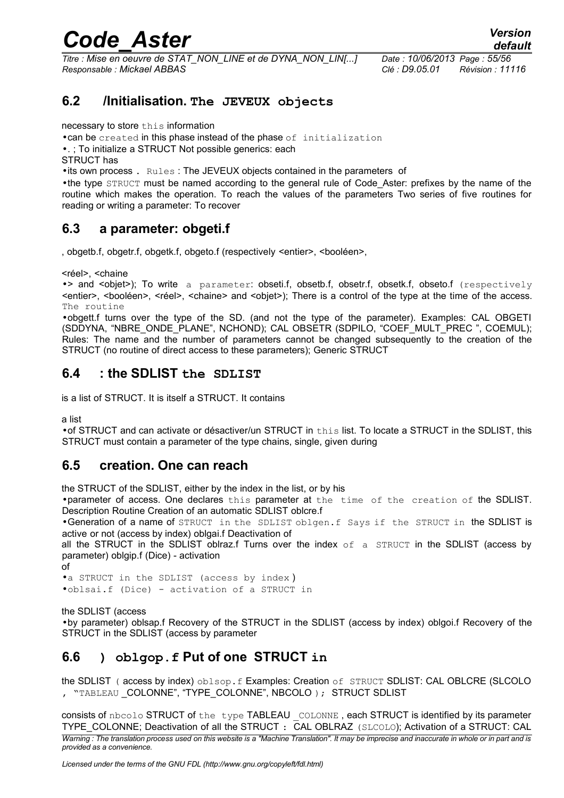*Titre : Mise en oeuvre de STAT\_NON\_LINE et de DYNA\_NON\_LIN[...] Date : 10/06/2013 Page : 55/56 Responsable : Mickael ABBAS Clé : D9.05.01 Révision : 11116*

### <span id="page-54-4"></span>**6.2 /Initialisation. The JEVEUX objects**

necessary to store this information

•can be created in this phase instead of the phase of initialization

•. ; To initialize a STRUCT Not possible generics: each

STRUCT has

•its own process . Rules : The JEVEUX objects contained in the parameters of

•the type STRUCT must be named according to the general rule of Code\_Aster: prefixes by the name of the routine which makes the operation. To reach the values of the parameters Two series of five routines for reading or writing a parameter: To recover

### <span id="page-54-3"></span>**6.3 a parameter: obgeti.f**

, obgetb.f, obgetr.f, obgetk.f, obgeto.f (respectively <entier>, <booléen>,

<réel>, <chaine

```
•> and <objet>); To write a parameter: obseti.f, obsetb.f, obsetr.f, obsetk.f, obseto.f (respectively
<entier>, <booléen>, <réel>, <chaine> and <objet>); There is a control of the type at the time of the access.
The routine
```
•obgett.f turns over the type of the SD. (and not the type of the parameter). Examples: CAL OBGETI (SDDYNA, "NBRE\_ONDE\_PLANE", NCHOND); CAL OBSETR (SDPILO, "COEF\_MULT\_PREC ", COEMUL); Rules: The name and the number of parameters cannot be changed subsequently to the creation of the STRUCT (no routine of direct access to these parameters); Generic STRUCT

### <span id="page-54-2"></span>**6.4 : the SDLIST the SDLIST**

is a list of STRUCT. It is itself a STRUCT. It contains

a list

•of STRUCT and can activate or désactiver/un STRUCT in this list. To locate a STRUCT in the SDLIST, this STRUCT must contain a parameter of the type chains, single, given during

### <span id="page-54-1"></span>**6.5 creation. One can reach**

the STRUCT of the SDLIST, either by the index in the list, or by his

•parameter of access. One declares this parameter at the time of the creation of the SDLIST. Description Routine Creation of an automatic SDLIST oblcre.f

•Generation of a name of STRUCT in the SDLIST oblgen.f Says if the STRUCT in the SDLIST is active or not (access by index) oblgai.f Deactivation of

all the STRUCT in the SDLIST oblraz.f Turns over the index  $of$  a STRUCT in the SDLIST (access by parameter) oblgip.f (Dice) - activation

```
of
•a STRUCT in the SDLIST (access by index )
•oblsai.f (Dice) - activation of a STRUCT in
```
the SDLIST (access

•by parameter) oblsap.f Recovery of the STRUCT in the SDLIST (access by index) oblgoi.f Recovery of the STRUCT in the SDLIST (access by parameter

### <span id="page-54-0"></span>**6.6 ) oblgop.f Put of one STRUCT in**

the SDLIST ( access by index) oblsop.f Examples: Creation of STRUCT SDLIST: CAL OBLCRE (SLCOLO , "TABLEAU \_COLONNE", "TYPE\_COLONNE", NBCOLO ); STRUCT SDLIST

consists of nbcolo STRUCT of the type TABLEAU \_COLONNE , each STRUCT is identified by its parameter TYPE\_COLONNE; Deactivation of all the STRUCT : CAL OBLRAZ (SLCOLO); Activation of a STRUCT: CAL